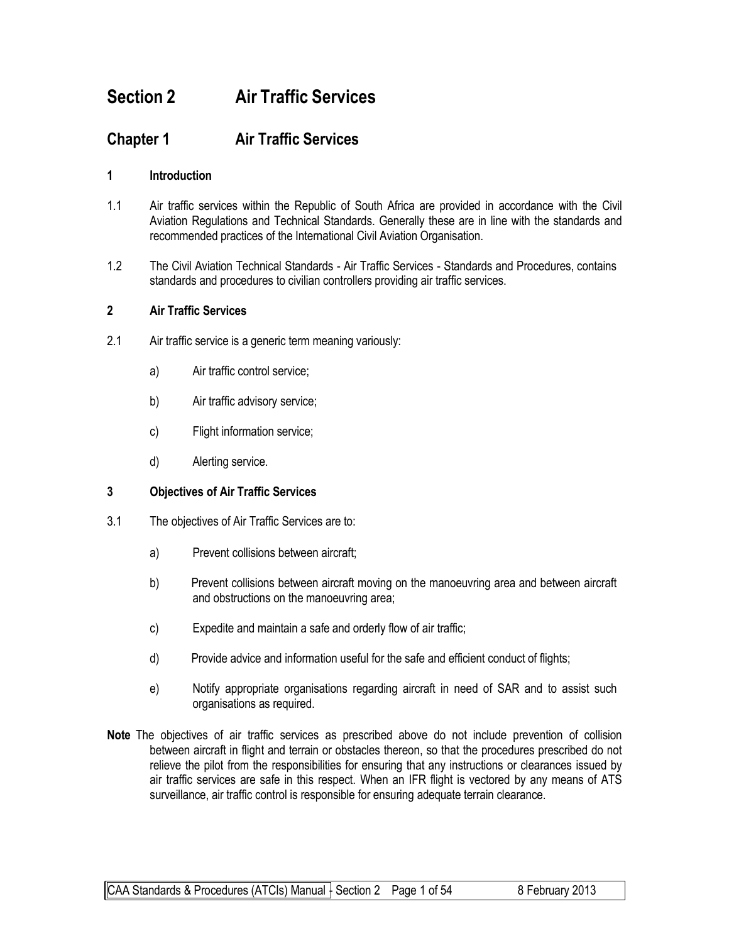# **Section 2 Air Traffic Services**

## **Chapter 1 Air Traffic Services**

#### **1 Introduction**

- 1.1 Air traffic services within the Republic of South Africa are provided in accordance with the Civil Aviation Regulations and Technical Standards. Generally these are in line with the standards and recommended practices of the International Civil Aviation Organisation.
- 1.2 The Civil Aviation Technical Standards Air Traffic Services Standards and Procedures, contains standards and procedures to civilian controllers providing air traffic services.

#### **2 Air Traffic Services**

- 2.1 Air traffic service is a generic term meaning variously:
	- a) Air traffic control service;
	- b) Air traffic advisory service;
	- c) Flight information service;
	- d) Alerting service.

#### **3 Objectives of Air Traffic Services**

- 3.1 The objectives of Air Traffic Services are to:
	- a) Prevent collisions between aircraft;
	- b) Prevent collisions between aircraft moving on the manoeuvring area and between aircraft and obstructions on the manoeuvring area;
	- c) Expedite and maintain a safe and orderly flow of air traffic;
	- d) Provide advice and information useful for the safe and efficient conduct of flights;
	- e) Notify appropriate organisations regarding aircraft in need of SAR and to assist such organisations as required.
- **Note** The objectives of air traffic services as prescribed above do not include prevention of collision between aircraft in flight and terrain or obstacles thereon, so that the procedures prescribed do not relieve the pilot from the responsibilities for ensuring that any instructions or clearances issued by air traffic services are safe in this respect. When an IFR flight is vectored by any means of ATS surveillance, air traffic control is responsible for ensuring adequate terrain clearance.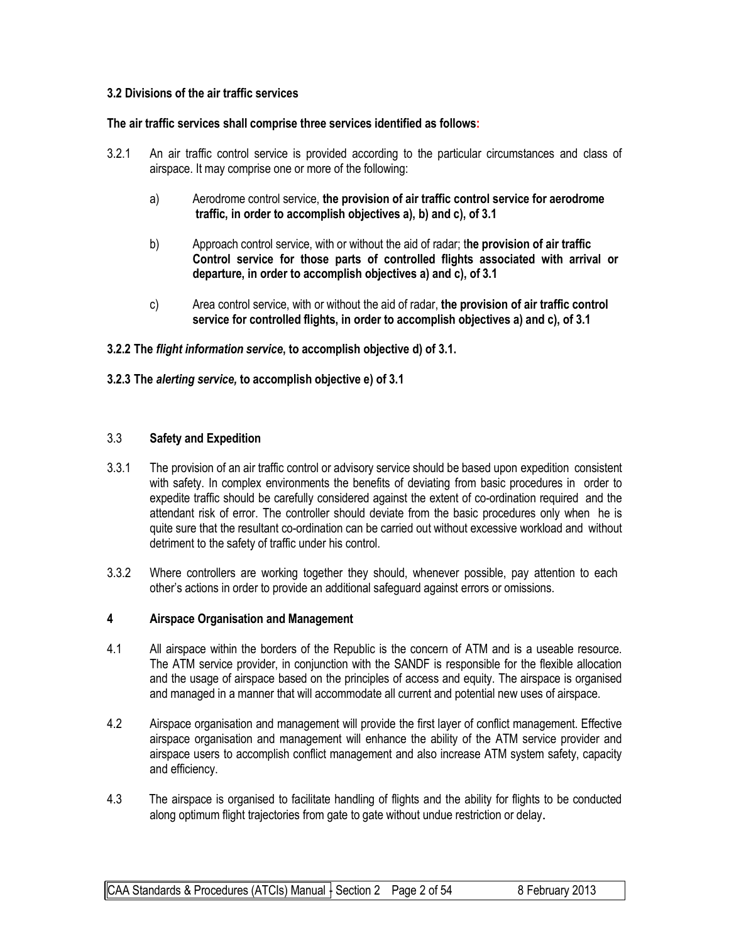#### **3.2 Divisions of the air traffic services**

#### **The air traffic services shall comprise three services identified as follows:**

- 3.2.1 An air traffic control service is provided according to the particular circumstances and class of airspace. It may comprise one or more of the following:
	- a) Aerodrome control service, **the provision of air traffic control service for aerodrome traffic, in order to accomplish objectives a), b) and c), of 3.1**
	- b) Approach control service, with or without the aid of radar; t**he provision of air traffic Control service for those parts of controlled flights associated with arrival or departure, in order to accomplish objectives a) and c), of 3.1**
	- c) Area control service, with or without the aid of radar, **the provision of air traffic control service for controlled flights, in order to accomplish objectives a) and c), of 3.1**

#### **3.2.2 The** *flight information service***, to accomplish objective d) of 3.1.**

#### **3.2.3 The** *alerting service,* **to accomplish objective e) of 3.1**

#### 3.3 **Safety and Expedition**

- 3.3.1 The provision of an air traffic control or advisory service should be based upon expedition consistent with safety. In complex environments the benefits of deviating from basic procedures in order to expedite traffic should be carefully considered against the extent of co-ordination required and the attendant risk of error. The controller should deviate from the basic procedures only when he is quite sure that the resultant co-ordination can be carried out without excessive workload and without detriment to the safety of traffic under his control.
- 3.3.2 Where controllers are working together they should, whenever possible, pay attention to each other's actions in order to provide an additional safeguard against errors or omissions.

#### **4 Airspace Organisation and Management**

- 4.1 All airspace within the borders of the Republic is the concern of ATM and is a useable resource. The ATM service provider, in conjunction with the SANDF is responsible for the flexible allocation and the usage of airspace based on the principles of access and equity. The airspace is organised and managed in a manner that will accommodate all current and potential new uses of airspace.
- 4.2 Airspace organisation and management will provide the first layer of conflict management. Effective airspace organisation and management will enhance the ability of the ATM service provider and airspace users to accomplish conflict management and also increase ATM system safety, capacity and efficiency.
- 4.3 The airspace is organised to facilitate handling of flights and the ability for flights to be conducted along optimum flight trajectories from gate to gate without undue restriction or delay.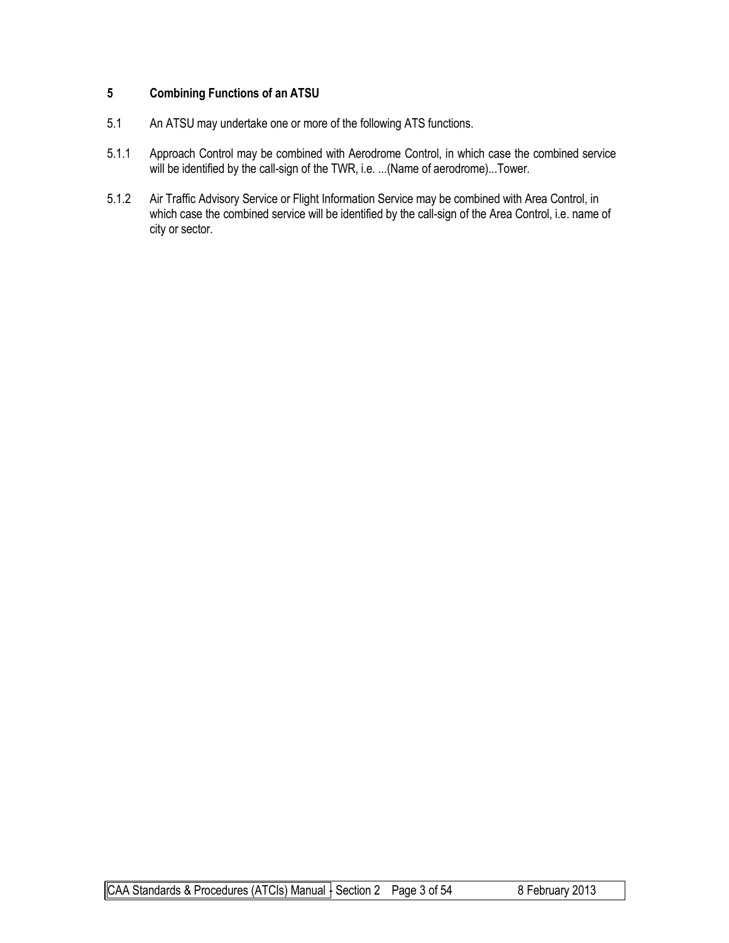#### **5 Combining Functions of an ATSU**

- 5.1 An ATSU may undertake one or more of the following ATS functions.
- 5.1.1 Approach Control may be combined with Aerodrome Control, in which case the combined service will be identified by the call-sign of the TWR, i.e. ...(Name of aerodrome)...Tower.
- 5.1.2 Air Traffic Advisory Service or Flight Information Service may be combined with Area Control, in which case the combined service will be identified by the call-sign of the Area Control, i.e. name of city or sector.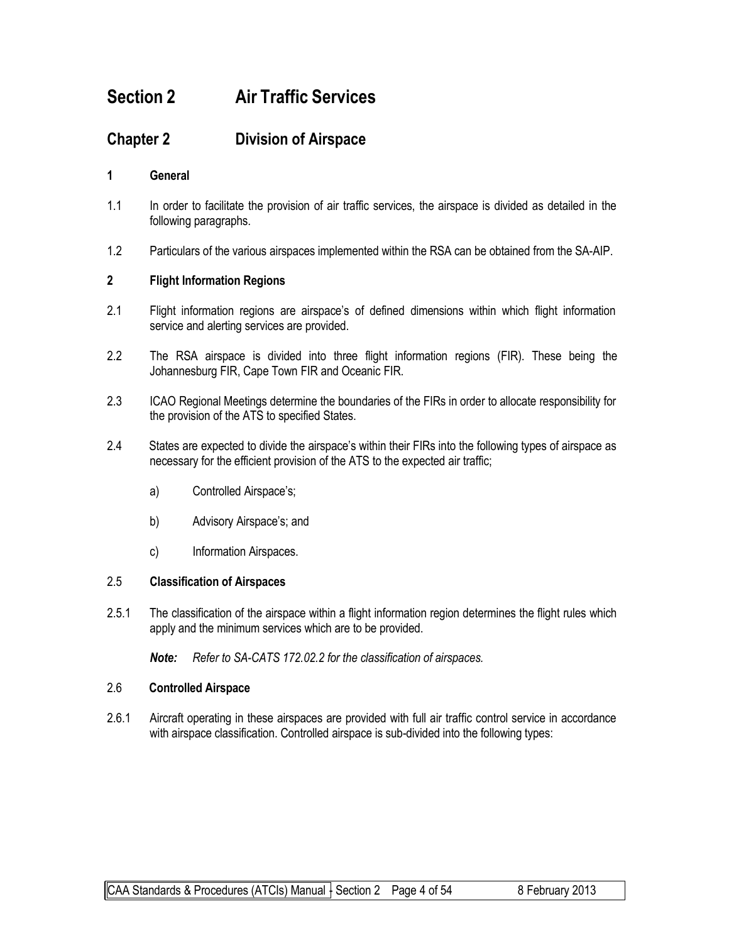# **Section 2 Air Traffic Services**

## **Chapter 2 Division of Airspace**

#### **1 General**

- 1.1 In order to facilitate the provision of air traffic services, the airspace is divided as detailed in the following paragraphs.
- 1.2 Particulars of the various airspaces implemented within the RSA can be obtained from the SA-AIP.

#### **2 Flight Information Regions**

- 2.1 Flight information regions are airspace's of defined dimensions within which flight information service and alerting services are provided.
- 2.2 The RSA airspace is divided into three flight information regions (FIR). These being the Johannesburg FIR, Cape Town FIR and Oceanic FIR.
- 2.3 ICAO Regional Meetings determine the boundaries of the FIRs in order to allocate responsibility for the provision of the ATS to specified States.
- 2.4 States are expected to divide the airspace's within their FIRs into the following types of airspace as necessary for the efficient provision of the ATS to the expected air traffic;
	- a) Controlled Airspace's;
	- b) Advisory Airspace's; and
	- c) Information Airspaces.

#### 2.5 **Classification of Airspaces**

2.5.1 The classification of the airspace within a flight information region determines the flight rules which apply and the minimum services which are to be provided.

*Note: Refer to SA-CATS 172.02.2 for the classification of airspaces.*

#### 2.6 **Controlled Airspace**

2.6.1 Aircraft operating in these airspaces are provided with full air traffic control service in accordance with airspace classification. Controlled airspace is sub-divided into the following types: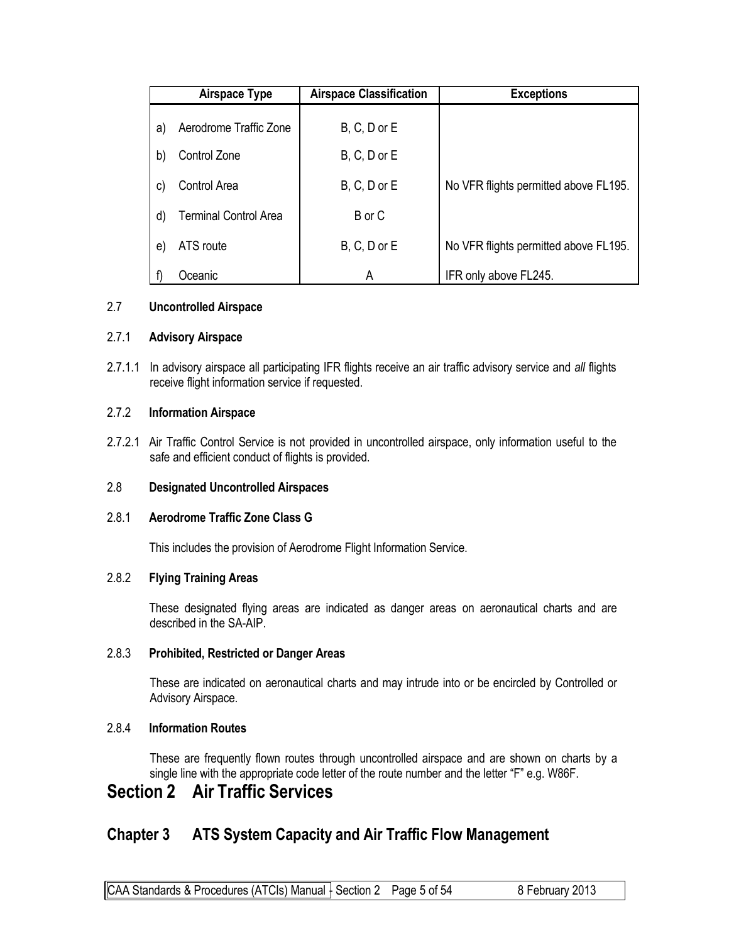|    | Airspace Type                | <b>Airspace Classification</b> | <b>Exceptions</b>                     |
|----|------------------------------|--------------------------------|---------------------------------------|
| a) | Aerodrome Traffic Zone       | $B, C, D$ or $E$               |                                       |
| b) | Control Zone                 | $B, C, D$ or $E$               |                                       |
| C) | Control Area                 | $B, C, D$ or $E$               | No VFR flights permitted above FL195. |
| d) | <b>Terminal Control Area</b> | B or C                         |                                       |
| e) | ATS route                    | $B, C, D$ or $E$               | No VFR flights permitted above FL195. |
|    | Oceanic                      | A                              | IFR only above FL245.                 |

#### 2.7 **Uncontrolled Airspace**

#### 2.7.1 **Advisory Airspace**

2.7.1.1 In advisory airspace all participating IFR flights receive an air traffic advisory service and *all* flights receive flight information service if requested.

#### 2.7.2 **Information Airspace**

2.7.2.1 Air Traffic Control Service is not provided in uncontrolled airspace, only information useful to the safe and efficient conduct of flights is provided.

#### 2.8 **Designated Uncontrolled Airspaces**

#### 2.8.1 **Aerodrome Traffic Zone Class G**

This includes the provision of Aerodrome Flight Information Service.

#### 2.8.2 **Flying Training Areas**

These designated flying areas are indicated as danger areas on aeronautical charts and are described in the SA-AIP.

#### 2.8.3 **Prohibited, Restricted or Danger Areas**

These are indicated on aeronautical charts and may intrude into or be encircled by Controlled or Advisory Airspace.

#### 2.8.4 **Information Routes**

These are frequently flown routes through uncontrolled airspace and are shown on charts by a single line with the appropriate code letter of the route number and the letter "F" e.g. W86F.

## **Section 2 Air Traffic Services**

## **Chapter 3 ATS System Capacity and Air Traffic Flow Management**

CAA Standards & Procedures (ATCIs) Manual  $\frac{1}{2}$  Section 2 Page 5 of 54 8 February 2013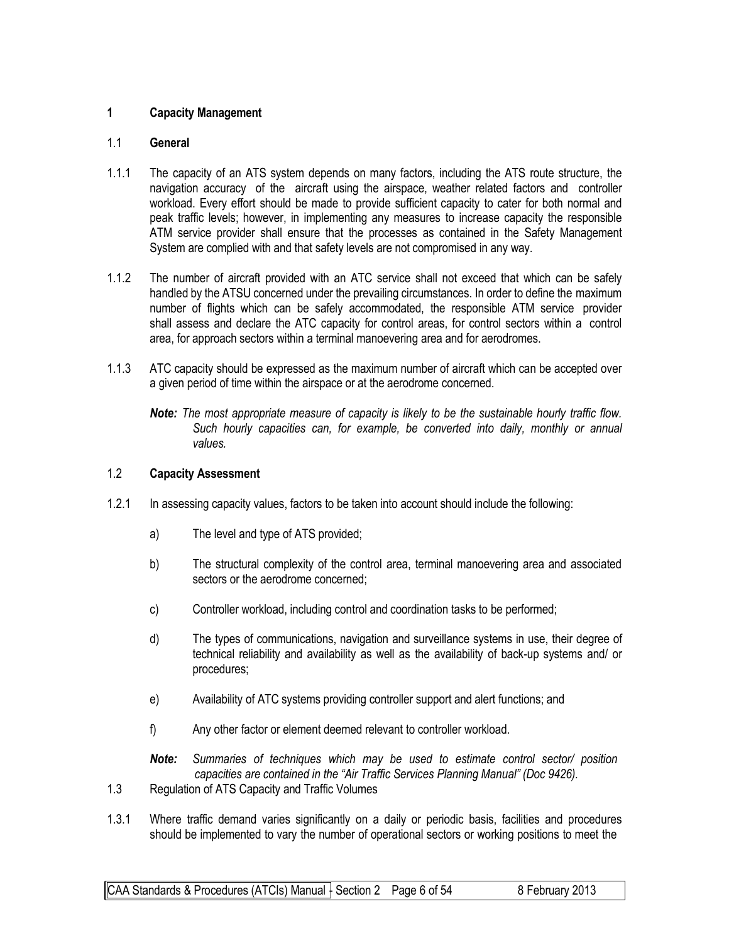#### **1 Capacity Management**

#### 1.1 **General**

- 1.1.1 The capacity of an ATS system depends on many factors, including the ATS route structure, the navigation accuracy of the aircraft using the airspace, weather related factors and controller workload. Every effort should be made to provide sufficient capacity to cater for both normal and peak traffic levels; however, in implementing any measures to increase capacity the responsible ATM service provider shall ensure that the processes as contained in the Safety Management System are complied with and that safety levels are not compromised in any way.
- 1.1.2 The number of aircraft provided with an ATC service shall not exceed that which can be safely handled by the ATSU concerned under the prevailing circumstances. In order to define the maximum number of flights which can be safely accommodated, the responsible ATM service provider shall assess and declare the ATC capacity for control areas, for control sectors within a control area, for approach sectors within a terminal manoevering area and for aerodromes.
- 1.1.3 ATC capacity should be expressed as the maximum number of aircraft which can be accepted over a given period of time within the airspace or at the aerodrome concerned.

*Note: The most appropriate measure of capacity is likely to be the sustainable hourly traffic flow. Such hourly capacities can, for example, be converted into daily, monthly or annual values.*

#### 1.2 **Capacity Assessment**

- 1.2.1 In assessing capacity values, factors to be taken into account should include the following:
	- a) The level and type of ATS provided;
	- b) The structural complexity of the control area, terminal manoevering area and associated sectors or the aerodrome concerned;
	- c) Controller workload, including control and coordination tasks to be performed;
	- d) The types of communications, navigation and surveillance systems in use, their degree of technical reliability and availability as well as the availability of back-up systems and/ or procedures;
	- e) Availability of ATC systems providing controller support and alert functions; and
	- f) Any other factor or element deemed relevant to controller workload.
	- *Note: Summaries of techniques which may be used to estimate control sector/ position capacities are contained in the "Air Traffic Services Planning Manual" (Doc 9426).*
- 1.3 Regulation of ATS Capacity and Traffic Volumes
- 1.3.1 Where traffic demand varies significantly on a daily or periodic basis, facilities and procedures should be implemented to vary the number of operational sectors or working positions to meet the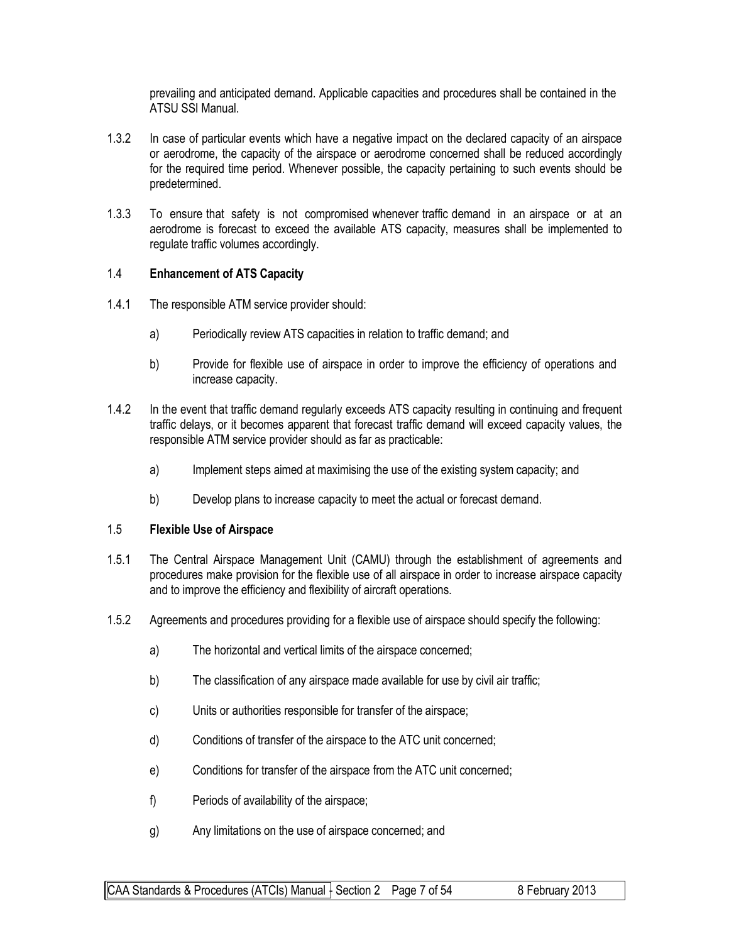prevailing and anticipated demand. Applicable capacities and procedures shall be contained in the ATSU SSI Manual.

- 1.3.2 In case of particular events which have a negative impact on the declared capacity of an airspace or aerodrome, the capacity of the airspace or aerodrome concerned shall be reduced accordingly for the required time period. Whenever possible, the capacity pertaining to such events should be predetermined.
- 1.3.3 To ensure that safety is not compromised whenever traffic demand in an airspace or at an aerodrome is forecast to exceed the available ATS capacity, measures shall be implemented to regulate traffic volumes accordingly.

#### 1.4 **Enhancement of ATS Capacity**

- 1.4.1 The responsible ATM service provider should:
	- a) Periodically review ATS capacities in relation to traffic demand; and
	- b) Provide for flexible use of airspace in order to improve the efficiency of operations and increase capacity.
- 1.4.2 In the event that traffic demand regularly exceeds ATS capacity resulting in continuing and frequent traffic delays, or it becomes apparent that forecast traffic demand will exceed capacity values, the responsible ATM service provider should as far as practicable:
	- a) Implement steps aimed at maximising the use of the existing system capacity; and
	- b) Develop plans to increase capacity to meet the actual or forecast demand.

#### 1.5 **Flexible Use of Airspace**

- 1.5.1 The Central Airspace Management Unit (CAMU) through the establishment of agreements and procedures make provision for the flexible use of all airspace in order to increase airspace capacity and to improve the efficiency and flexibility of aircraft operations.
- 1.5.2 Agreements and procedures providing for a flexible use of airspace should specify the following:
	- a) The horizontal and vertical limits of the airspace concerned;
	- b) The classification of any airspace made available for use by civil air traffic;
	- c) Units or authorities responsible for transfer of the airspace;
	- d) Conditions of transfer of the airspace to the ATC unit concerned;
	- e) Conditions for transfer of the airspace from the ATC unit concerned;
	- f) Periods of availability of the airspace;
	- g) Any limitations on the use of airspace concerned; and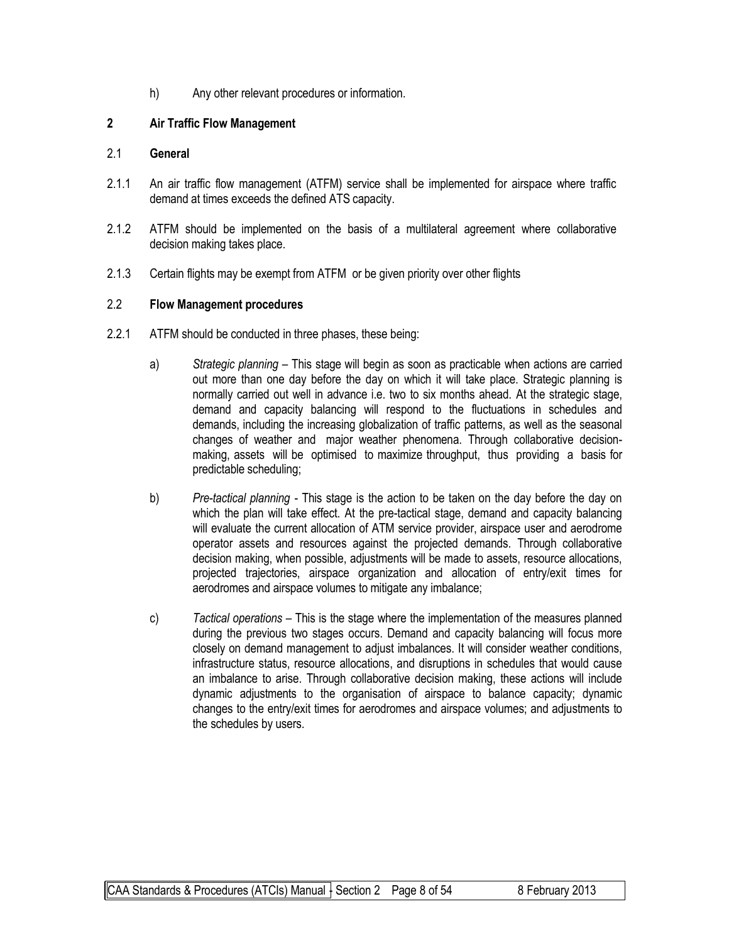h) Any other relevant procedures or information.

#### **2 Air Traffic Flow Management**

#### 2.1 **General**

- 2.1.1 An air traffic flow management (ATFM) service shall be implemented for airspace where traffic demand at times exceeds the defined ATS capacity.
- 2.1.2 ATFM should be implemented on the basis of a multilateral agreement where collaborative decision making takes place.
- 2.1.3 Certain flights may be exempt from ATFM or be given priority over other flights

#### 2.2 **Flow Management procedures**

- 2.2.1 ATFM should be conducted in three phases, these being:
	- a) *Strategic planning* This stage will begin as soon as practicable when actions are carried out more than one day before the day on which it will take place. Strategic planning is normally carried out well in advance i.e. two to six months ahead. At the strategic stage, demand and capacity balancing will respond to the fluctuations in schedules and demands, including the increasing globalization of traffic patterns, as well as the seasonal changes of weather and major weather phenomena. Through collaborative decisionmaking, assets will be optimised to maximize throughput, thus providing a basis for predictable scheduling;
	- b) *Pre-tactical planning* This stage is the action to be taken on the day before the day on which the plan will take effect. At the pre-tactical stage, demand and capacity balancing will evaluate the current allocation of ATM service provider, airspace user and aerodrome operator assets and resources against the projected demands. Through collaborative decision making, when possible, adjustments will be made to assets, resource allocations, projected trajectories, airspace organization and allocation of entry/exit times for aerodromes and airspace volumes to mitigate any imbalance;
	- c) *Tactical operations* This is the stage where the implementation of the measures planned during the previous two stages occurs. Demand and capacity balancing will focus more closely on demand management to adjust imbalances. It will consider weather conditions, infrastructure status, resource allocations, and disruptions in schedules that would cause an imbalance to arise. Through collaborative decision making, these actions will include dynamic adjustments to the organisation of airspace to balance capacity; dynamic changes to the entry/exit times for aerodromes and airspace volumes; and adjustments to the schedules by users.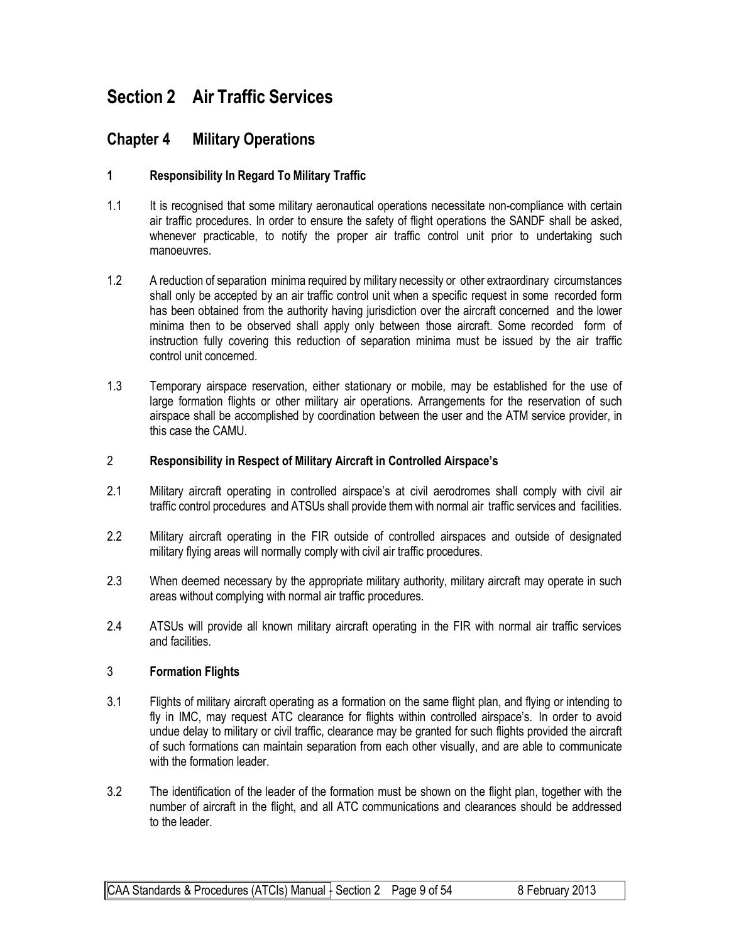# **Section 2 Air Traffic Services**

## **Chapter 4 Military Operations**

#### **1 Responsibility In Regard To Military Traffic**

- 1.1 It is recognised that some military aeronautical operations necessitate non-compliance with certain air traffic procedures. In order to ensure the safety of flight operations the SANDF shall be asked, whenever practicable, to notify the proper air traffic control unit prior to undertaking such manoeuvres.
- 1.2 A reduction of separation minima required by military necessity or other extraordinary circumstances shall only be accepted by an air traffic control unit when a specific request in some recorded form has been obtained from the authority having jurisdiction over the aircraft concerned and the lower minima then to be observed shall apply only between those aircraft. Some recorded form of instruction fully covering this reduction of separation minima must be issued by the air traffic control unit concerned.
- 1.3 Temporary airspace reservation, either stationary or mobile, may be established for the use of large formation flights or other military air operations. Arrangements for the reservation of such airspace shall be accomplished by coordination between the user and the ATM service provider, in this case the CAMU.

#### 2 **Responsibility in Respect of Military Aircraft in Controlled Airspace's**

- 2.1 Military aircraft operating in controlled airspace's at civil aerodromes shall comply with civil air traffic control procedures and ATSUs shall provide them with normal air traffic services and facilities.
- 2.2 Military aircraft operating in the FIR outside of controlled airspaces and outside of designated military flying areas will normally comply with civil air traffic procedures.
- 2.3 When deemed necessary by the appropriate military authority, military aircraft may operate in such areas without complying with normal air traffic procedures.
- 2.4 ATSUs will provide all known military aircraft operating in the FIR with normal air traffic services and facilities.

#### 3 **Formation Flights**

- 3.1 Flights of military aircraft operating as a formation on the same flight plan, and flying or intending to fly in IMC, may request ATC clearance for flights within controlled airspace's. In order to avoid undue delay to military or civil traffic, clearance may be granted for such flights provided the aircraft of such formations can maintain separation from each other visually, and are able to communicate with the formation leader.
- 3.2 The identification of the leader of the formation must be shown on the flight plan, together with the number of aircraft in the flight, and all ATC communications and clearances should be addressed to the leader.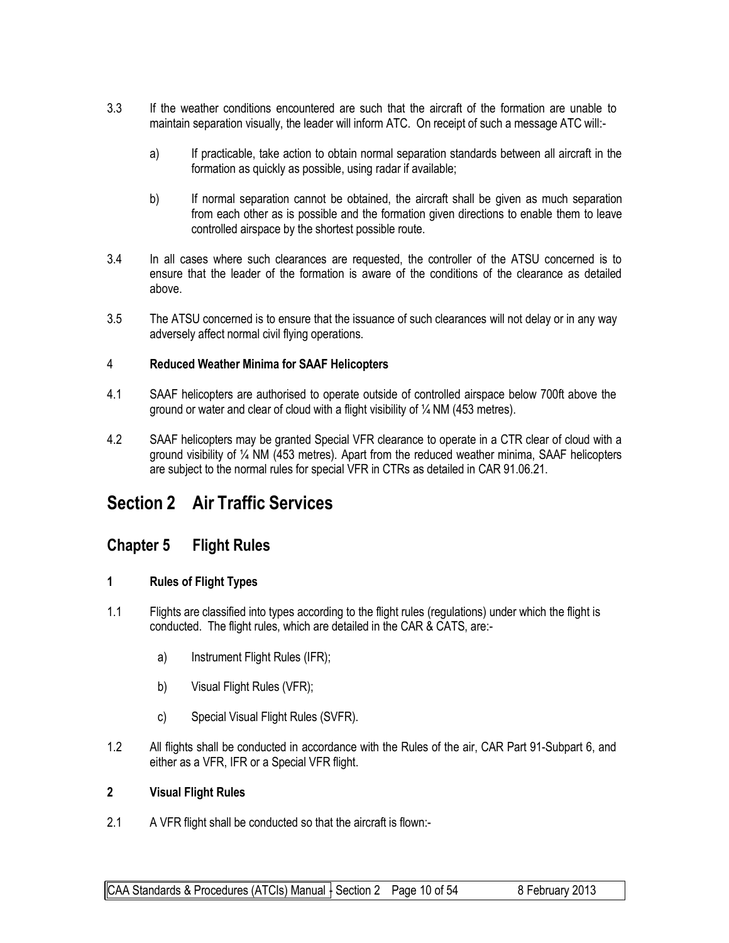- 3.3 If the weather conditions encountered are such that the aircraft of the formation are unable to maintain separation visually, the leader will inform ATC. On receipt of such a message ATC will:
	- a) If practicable, take action to obtain normal separation standards between all aircraft in the formation as quickly as possible, using radar if available;
	- b) If normal separation cannot be obtained, the aircraft shall be given as much separation from each other as is possible and the formation given directions to enable them to leave controlled airspace by the shortest possible route.
- 3.4 In all cases where such clearances are requested, the controller of the ATSU concerned is to ensure that the leader of the formation is aware of the conditions of the clearance as detailed above.
- 3.5 The ATSU concerned is to ensure that the issuance of such clearances will not delay or in any way adversely affect normal civil flying operations.

#### 4 **Reduced Weather Minima for SAAF Helicopters**

- 4.1 SAAF helicopters are authorised to operate outside of controlled airspace below 700ft above the ground or water and clear of cloud with a flight visibility of  $\frac{1}{4}$  NM (453 metres).
- 4.2 SAAF helicopters may be granted Special VFR clearance to operate in a CTR clear of cloud with a ground visibility of ¼ NM (453 metres). Apart from the reduced weather minima, SAAF helicopters are subject to the normal rules for special VFR in CTRs as detailed in CAR 91.06.21.

# **Section 2 Air Traffic Services**

### **Chapter 5 Flight Rules**

#### **1 Rules of Flight Types**

- 1.1 Flights are classified into types according to the flight rules (regulations) under which the flight is conducted. The flight rules, which are detailed in the CAR & CATS, are:
	- a) Instrument Flight Rules (IFR);
	- b) Visual Flight Rules (VFR);
	- c) Special Visual Flight Rules (SVFR).
- 1.2 All flights shall be conducted in accordance with the Rules of the air, CAR Part 91-Subpart 6, and either as a VFR, IFR or a Special VFR flight.

#### **2 Visual Flight Rules**

2.1 A VFR flight shall be conducted so that the aircraft is flown:-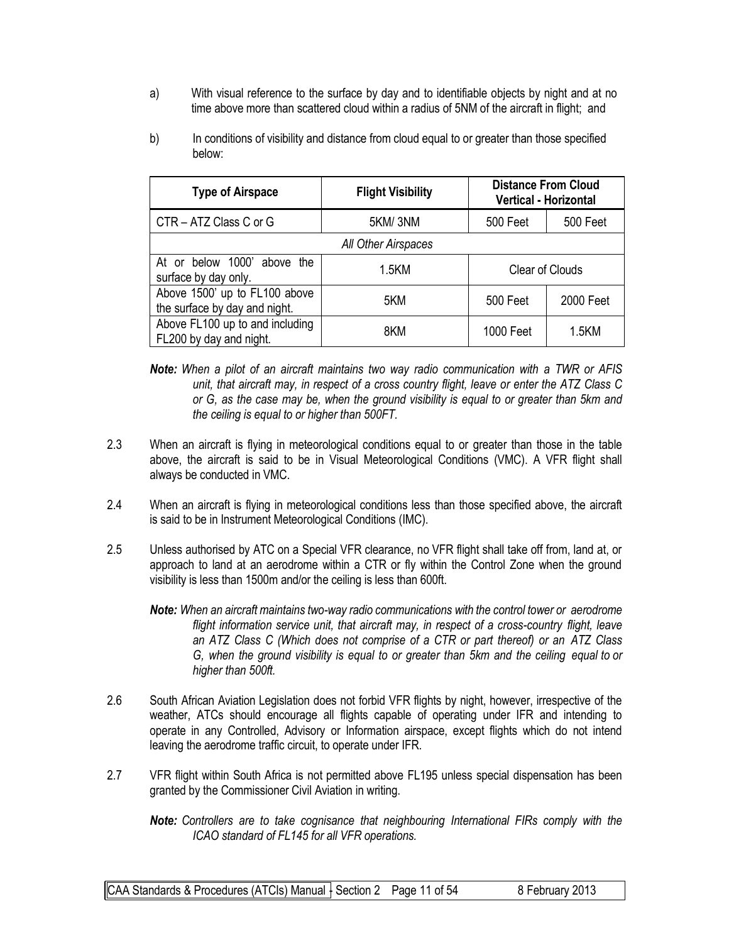- a) With visual reference to the surface by day and to identifiable objects by night and at no time above more than scattered cloud within a radius of 5NM of the aircraft in flight; and
- b) In conditions of visibility and distance from cloud equal to or greater than those specified below:

| <b>Distance From Cloud</b><br><b>Flight Visibility</b><br><b>Type of Airspace</b><br><b>Vertical - Horizontal</b> |         |                                    |           |  |
|-------------------------------------------------------------------------------------------------------------------|---------|------------------------------------|-----------|--|
| CTR - ATZ Class C or G                                                                                            | 5KM/3NM | <b>500 Feet</b><br><b>500 Feet</b> |           |  |
| All Other Airspaces                                                                                               |         |                                    |           |  |
| At or below 1000' above the<br>surface by day only.                                                               | 1.5KM   | Clear of Clouds                    |           |  |
| Above 1500' up to FL100 above<br>the surface by day and night.                                                    | 5KM     | 500 Feet                           | 2000 Feet |  |
| Above FL100 up to and including<br>FL200 by day and night.                                                        | 8KM     | 1000 Feet                          | 1.5KM     |  |

*Note: When a pilot of an aircraft maintains two way radio communication with a TWR or AFIS unit, that aircraft may, in respect of a cross country flight, leave or enter the ATZ Class C or G, as the case may be, when the ground visibility is equal to or greater than 5km and the ceiling is equal to or higher than 500FT.*

- 2.3 When an aircraft is flying in meteorological conditions equal to or greater than those in the table above, the aircraft is said to be in Visual Meteorological Conditions (VMC). A VFR flight shall always be conducted in VMC.
- 2.4 When an aircraft is flying in meteorological conditions less than those specified above, the aircraft is said to be in Instrument Meteorological Conditions (IMC).
- 2.5 Unless authorised by ATC on a Special VFR clearance, no VFR flight shall take off from, land at, or approach to land at an aerodrome within a CTR or fly within the Control Zone when the ground visibility is less than 1500m and/or the ceiling is less than 600ft.

*Note: When an aircraft maintains two-way radio communications with the control tower or aerodrome flight information service unit, that aircraft may, in respect of a cross-country flight, leave an ATZ Class C (Which does not comprise of a CTR or part thereof) or an ATZ Class G, when the ground visibility is equal to or greater than 5km and the ceiling equal to or higher than 500ft.*

- 2.6 South African Aviation Legislation does not forbid VFR flights by night, however, irrespective of the weather, ATCs should encourage all flights capable of operating under IFR and intending to operate in any Controlled, Advisory or Information airspace, except flights which do not intend leaving the aerodrome traffic circuit, to operate under IFR.
- 2.7 VFR flight within South Africa is not permitted above FL195 unless special dispensation has been granted by the Commissioner Civil Aviation in writing.

*Note: Controllers are to take cognisance that neighbouring International FIRs comply with the ICAO standard of FL145 for all VFR operations.*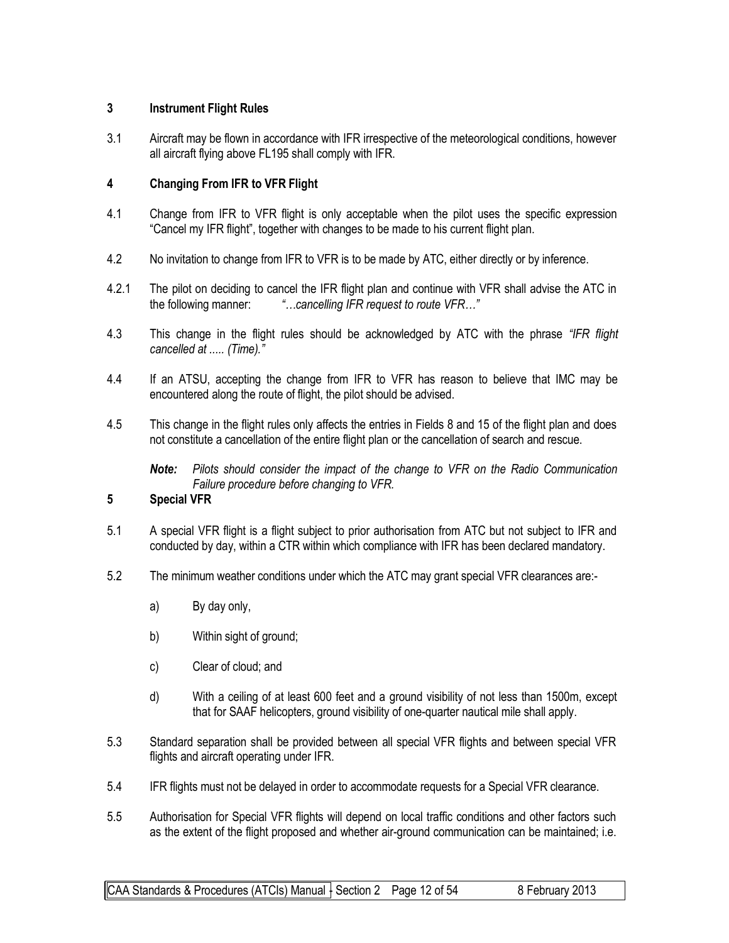#### **3 Instrument Flight Rules**

3.1 Aircraft may be flown in accordance with IFR irrespective of the meteorological conditions, however all aircraft flying above FL195 shall comply with IFR.

#### **4 Changing From IFR to VFR Flight**

- 4.1 Change from IFR to VFR flight is only acceptable when the pilot uses the specific expression "Cancel my IFR flight", together with changes to be made to his current flight plan.
- 4.2 No invitation to change from IFR to VFR is to be made by ATC, either directly or by inference.
- 4.2.1 The pilot on deciding to cancel the IFR flight plan and continue with VFR shall advise the ATC in the following manner: *"…cancelling IFR request to route VFR…"*
- 4.3 This change in the flight rules should be acknowledged by ATC with the phrase *"IFR flight cancelled at ..... (Time)."*
- 4.4 If an ATSU, accepting the change from IFR to VFR has reason to believe that IMC may be encountered along the route of flight, the pilot should be advised.
- 4.5 This change in the flight rules only affects the entries in Fields 8 and 15 of the flight plan and does not constitute a cancellation of the entire flight plan or the cancellation of search and rescue.

*Note: Pilots should consider the impact of the change to VFR on the Radio Communication Failure procedure before changing to VFR.*

#### **5 Special VFR**

- 5.1 A special VFR flight is a flight subject to prior authorisation from ATC but not subject to IFR and conducted by day, within a CTR within which compliance with IFR has been declared mandatory.
- 5.2 The minimum weather conditions under which the ATC may grant special VFR clearances are:
	- a) By day only,
	- b) Within sight of ground;
	- c) Clear of cloud; and
	- d) With a ceiling of at least 600 feet and a ground visibility of not less than 1500m, except that for SAAF helicopters, ground visibility of one-quarter nautical mile shall apply.
- 5.3 Standard separation shall be provided between all special VFR flights and between special VFR flights and aircraft operating under IFR.
- 5.4 IFR flights must not be delayed in order to accommodate requests for a Special VFR clearance.
- 5.5 Authorisation for Special VFR flights will depend on local traffic conditions and other factors such as the extent of the flight proposed and whether air-ground communication can be maintained; i.e.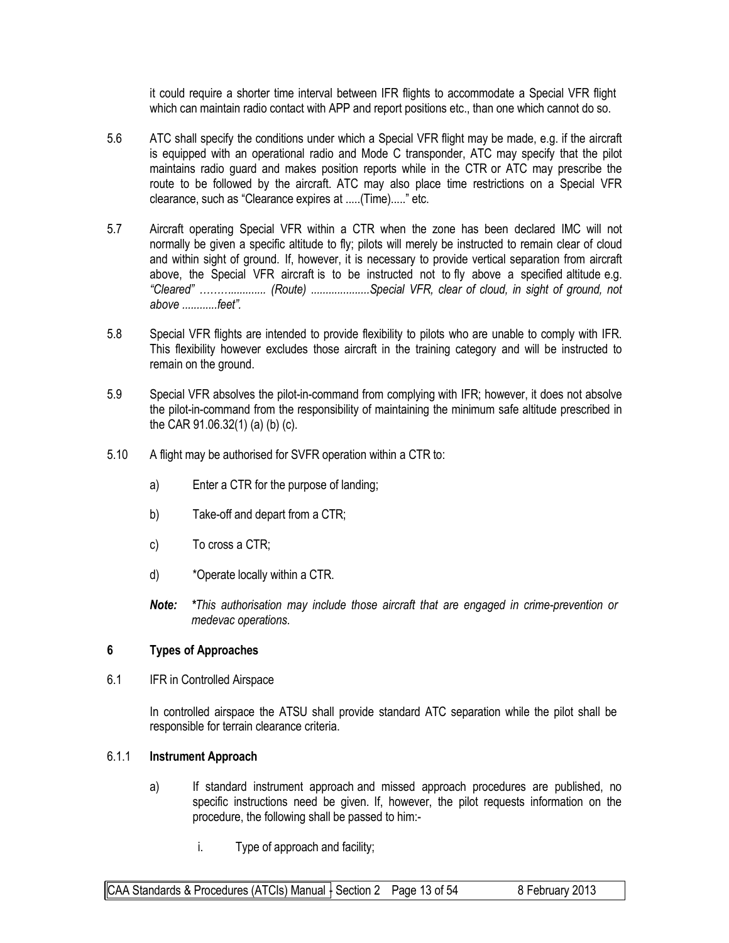it could require a shorter time interval between IFR flights to accommodate a Special VFR flight which can maintain radio contact with APP and report positions etc., than one which cannot do so.

- 5.6 ATC shall specify the conditions under which a Special VFR flight may be made, e.g. if the aircraft is equipped with an operational radio and Mode C transponder, ATC may specify that the pilot maintains radio guard and makes position reports while in the CTR or ATC may prescribe the route to be followed by the aircraft. ATC may also place time restrictions on a Special VFR clearance, such as "Clearance expires at .....(Time)....." etc.
- 5.7 Aircraft operating Special VFR within a CTR when the zone has been declared IMC will not normally be given a specific altitude to fly; pilots will merely be instructed to remain clear of cloud and within sight of ground. If, however, it is necessary to provide vertical separation from aircraft above, the Special VFR aircraft is to be instructed not to fly above a specified altitude e.g. *"Cleared" ………............ (Route) ....................Special VFR, clear of cloud, in sight of ground, not above ............feet".*
- 5.8 Special VFR flights are intended to provide flexibility to pilots who are unable to comply with IFR. This flexibility however excludes those aircraft in the training category and will be instructed to remain on the ground.
- 5.9 Special VFR absolves the pilot-in-command from complying with IFR; however, it does not absolve the pilot-in-command from the responsibility of maintaining the minimum safe altitude prescribed in the CAR 91.06.32(1) (a) (b) (c).
- 5.10 A flight may be authorised for SVFR operation within a CTR to:
	- a) Enter a CTR for the purpose of landing;
	- b) Take-off and depart from a CTR;
	- c) To cross a CTR;
	- d) \*Operate locally within a CTR.
	- *Note: \*This authorisation may include those aircraft that are engaged in crime-prevention or medevac operations.*

#### **6 Types of Approaches**

6.1 IFR in Controlled Airspace

In controlled airspace the ATSU shall provide standard ATC separation while the pilot shall be responsible for terrain clearance criteria.

#### 6.1.1 **Instrument Approach**

- a) If standard instrument approach and missed approach procedures are published, no specific instructions need be given. If, however, the pilot requests information on the procedure, the following shall be passed to him:
	- i. Type of approach and facility;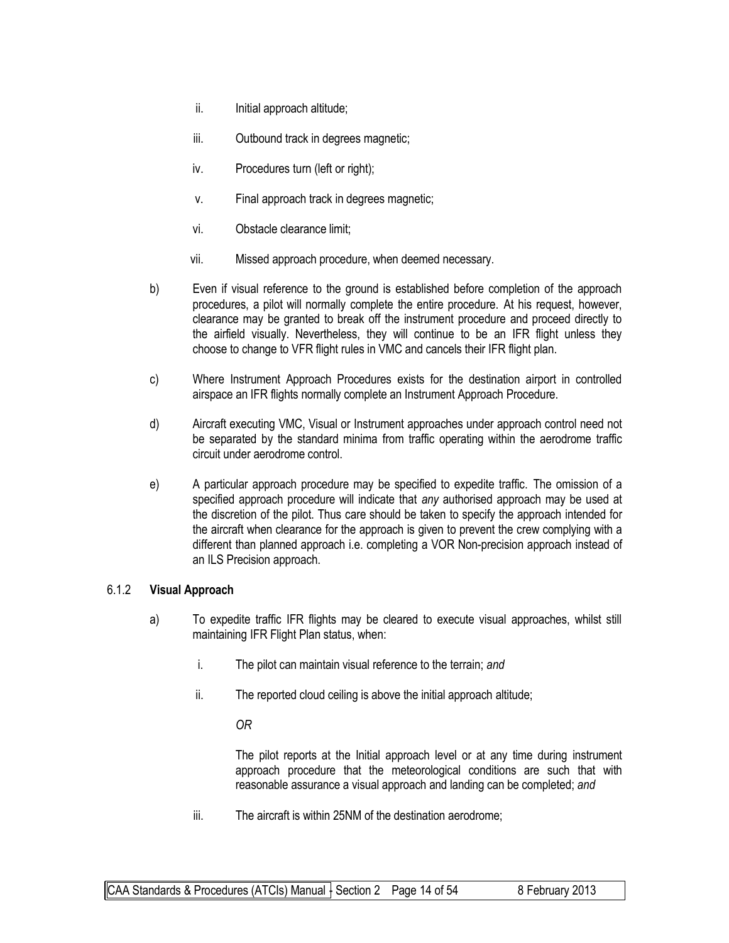- ii. Initial approach altitude;
- iii. Outbound track in degrees magnetic;
- iv. Procedures turn (left or right);
- v. Final approach track in degrees magnetic;
- vi. Obstacle clearance limit;
- vii. Missed approach procedure, when deemed necessary.
- b) Even if visual reference to the ground is established before completion of the approach procedures, a pilot will normally complete the entire procedure. At his request, however, clearance may be granted to break off the instrument procedure and proceed directly to the airfield visually. Nevertheless, they will continue to be an IFR flight unless they choose to change to VFR flight rules in VMC and cancels their IFR flight plan.
- c) Where Instrument Approach Procedures exists for the destination airport in controlled airspace an IFR flights normally complete an Instrument Approach Procedure.
- d) Aircraft executing VMC, Visual or Instrument approaches under approach control need not be separated by the standard minima from traffic operating within the aerodrome traffic circuit under aerodrome control.
- e) A particular approach procedure may be specified to expedite traffic. The omission of a specified approach procedure will indicate that *any* authorised approach may be used at the discretion of the pilot. Thus care should be taken to specify the approach intended for the aircraft when clearance for the approach is given to prevent the crew complying with a different than planned approach i.e. completing a VOR Non-precision approach instead of an ILS Precision approach.

#### 6.1.2 **Visual Approach**

- a) To expedite traffic IFR flights may be cleared to execute visual approaches, whilst still maintaining IFR Flight Plan status, when:
	- i. The pilot can maintain visual reference to the terrain; *and*
	- ii. The reported cloud ceiling is above the initial approach altitude;
		- *OR*

The pilot reports at the Initial approach level or at any time during instrument approach procedure that the meteorological conditions are such that with reasonable assurance a visual approach and landing can be completed; *and*

iii. The aircraft is within 25NM of the destination aerodrome;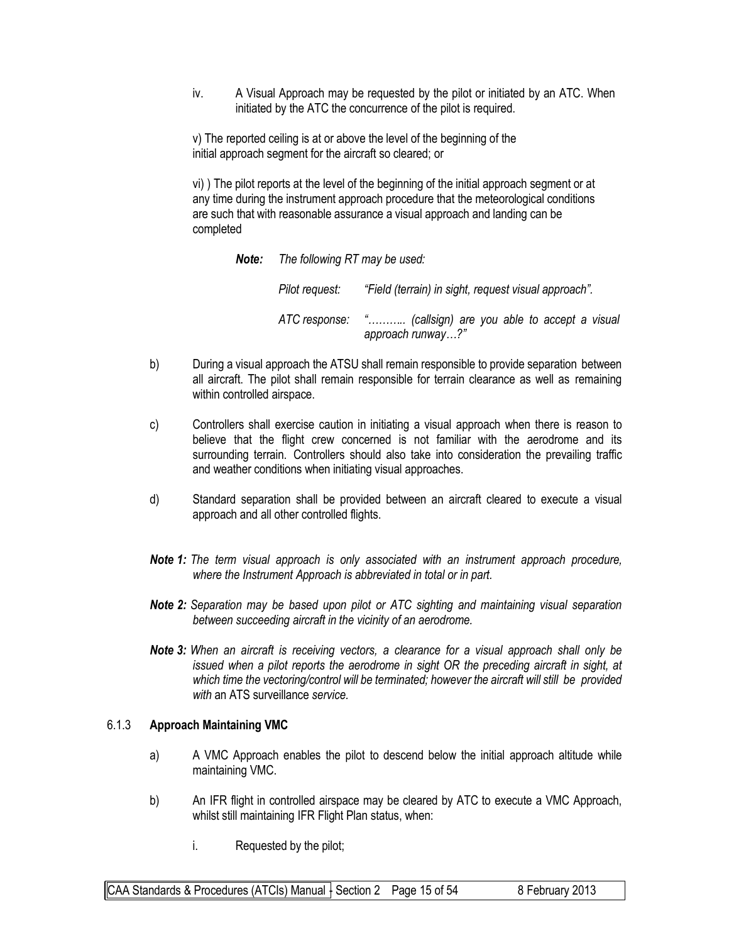iv. A Visual Approach may be requested by the pilot or initiated by an ATC. When initiated by the ATC the concurrence of the pilot is required.

v) The reported ceiling is at or above the level of the beginning of the initial approach segment for the aircraft so cleared; or

vi) ) The pilot reports at the level of the beginning of the initial approach segment or at any time during the instrument approach procedure that the meteorological conditions are such that with reasonable assurance a visual approach and landing can be completed

*Note: The following RT may be used:*

*Pilot request: "Field (terrain) in sight, request visual approach". ATC response: "……….. (callsign) are you able to accept a visual approach runway…?"*

- b) During a visual approach the ATSU shall remain responsible to provide separation between all aircraft. The pilot shall remain responsible for terrain clearance as well as remaining within controlled airspace.
- c) Controllers shall exercise caution in initiating a visual approach when there is reason to believe that the flight crew concerned is not familiar with the aerodrome and its surrounding terrain. Controllers should also take into consideration the prevailing traffic and weather conditions when initiating visual approaches.
- d) Standard separation shall be provided between an aircraft cleared to execute a visual approach and all other controlled flights.
- *Note 1: The term visual approach is only associated with an instrument approach procedure, where the Instrument Approach is abbreviated in total or in part.*
- *Note 2: Separation may be based upon pilot or ATC sighting and maintaining visual separation between succeeding aircraft in the vicinity of an aerodrome.*
- *Note 3: When an aircraft is receiving vectors, a clearance for a visual approach shall only be issued when a pilot reports the aerodrome in sight OR the preceding aircraft in sight, at which time the vectoring/control will be terminated; however the aircraft will still be provided with* an ATS surveillance *service.*

#### 6.1.3 **Approach Maintaining VMC**

- a) A VMC Approach enables the pilot to descend below the initial approach altitude while maintaining VMC.
- b) An IFR flight in controlled airspace may be cleared by ATC to execute a VMC Approach, whilst still maintaining IFR Flight Plan status, when:
	- i. Requested by the pilot;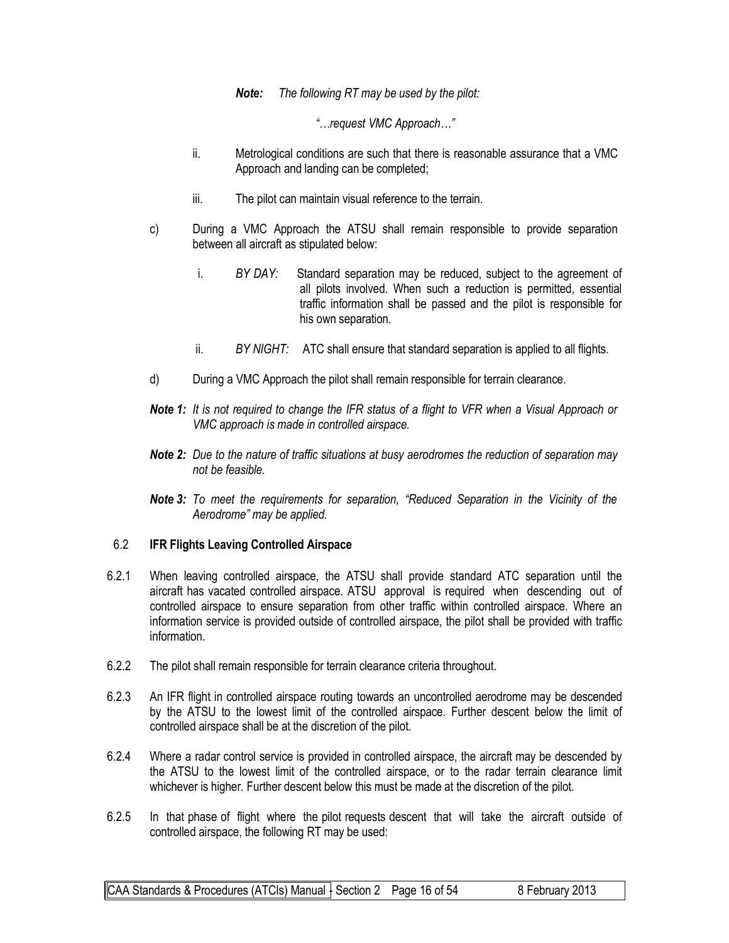*Note: The following RT may be used by the pilot:*

*"…request VMC Approach…"*

- ii. Metrological conditions are such that there is reasonable assurance that a VMC Approach and landing can be completed;
- iii. The pilot can maintain visual reference to the terrain.
- c) During a VMC Approach the ATSU shall remain responsible to provide separation between all aircraft as stipulated below:
	- i. *BY DAY:* Standard separation may be reduced, subject to the agreement of all pilots involved. When such a reduction is permitted, essential traffic information shall be passed and the pilot is responsible for his own separation.
	- ii. *BY NIGHT:* ATC shall ensure that standard separation is applied to all flights.
- d) During a VMC Approach the pilot shall remain responsible for terrain clearance.
- **Note 1:** It is not required to change the IFR status of a flight to VFR when a Visual Approach or *VMC approach is made in controlled airspace.*
- *Note 2: Due to the nature of traffic situations at busy aerodromes the reduction of separation may not be feasible.*
- *Note 3: To meet the requirements for separation, "Reduced Separation in the Vicinity of the Aerodrome" may be applied.*

#### 6.2 **IFR Flights Leaving Controlled Airspace**

- 6.2.1 When leaving controlled airspace, the ATSU shall provide standard ATC separation until the aircraft has vacated controlled airspace. ATSU approval is required when descending out of controlled airspace to ensure separation from other traffic within controlled airspace. Where an information service is provided outside of controlled airspace, the pilot shall be provided with traffic information.
- 6.2.2 The pilot shall remain responsible for terrain clearance criteria throughout.
- 6.2.3 An IFR flight in controlled airspace routing towards an uncontrolled aerodrome may be descended by the ATSU to the lowest limit of the controlled airspace. Further descent below the limit of controlled airspace shall be at the discretion of the pilot.
- 6.2.4 Where a radar control service is provided in controlled airspace, the aircraft may be descended by the ATSU to the lowest limit of the controlled airspace, or to the radar terrain clearance limit whichever is higher. Further descent below this must be made at the discretion of the pilot.
- 6.2.5 In that phase of flight where the pilot requests descent that will take the aircraft outside of controlled airspace, the following RT may be used: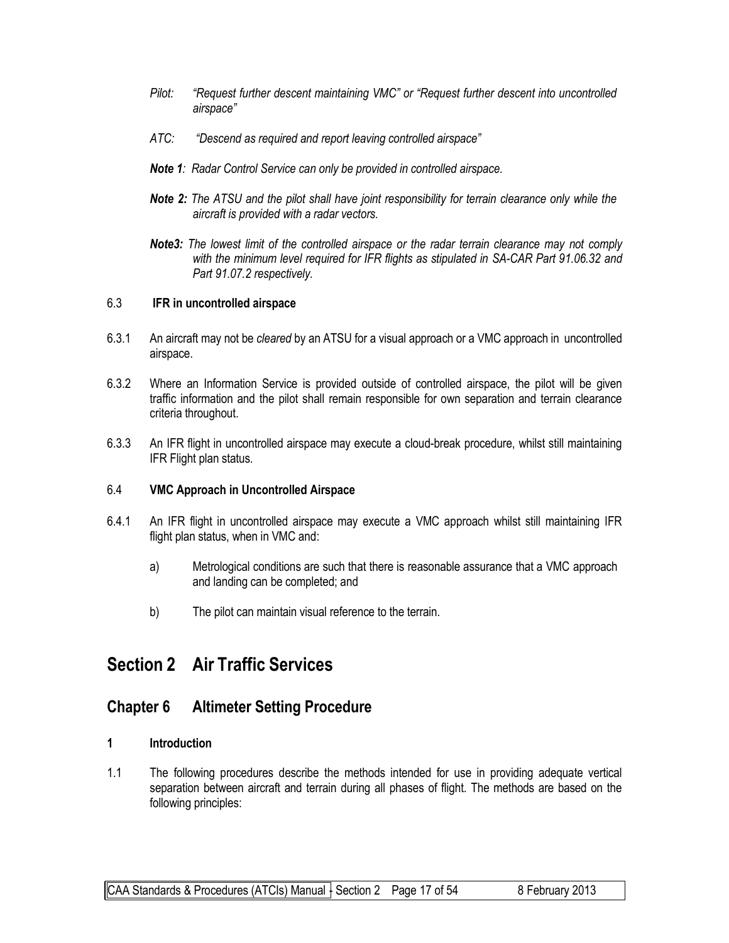- *Pilot: "Request further descent maintaining VMC" or "Request further descent into uncontrolled airspace"*
- *ATC: "Descend as required and report leaving controlled airspace"*
- *Note 1: Radar Control Service can only be provided in controlled airspace.*
- *Note 2: The ATSU and the pilot shall have joint responsibility for terrain clearance only while the aircraft is provided with a radar vectors.*
- *Note3: The lowest limit of the controlled airspace or the radar terrain clearance may not comply with the minimum level required for IFR flights as stipulated in SA-CAR Part 91.06.32 and Part 91.07.2 respectively.*

#### 6.3 **IFR in uncontrolled airspace**

- 6.3.1 An aircraft may not be *cleared* by an ATSU for a visual approach or a VMC approach in uncontrolled airspace.
- 6.3.2 Where an Information Service is provided outside of controlled airspace, the pilot will be given traffic information and the pilot shall remain responsible for own separation and terrain clearance criteria throughout.
- 6.3.3 An IFR flight in uncontrolled airspace may execute a cloud-break procedure, whilst still maintaining IFR Flight plan status.

#### 6.4 **VMC Approach in Uncontrolled Airspace**

- 6.4.1 An IFR flight in uncontrolled airspace may execute a VMC approach whilst still maintaining IFR flight plan status, when in VMC and:
	- a) Metrological conditions are such that there is reasonable assurance that a VMC approach and landing can be completed; and
	- b) The pilot can maintain visual reference to the terrain.

## **Section 2 Air Traffic Services**

### **Chapter 6 Altimeter Setting Procedure**

#### **1 Introduction**

1.1 The following procedures describe the methods intended for use in providing adequate vertical separation between aircraft and terrain during all phases of flight. The methods are based on the following principles: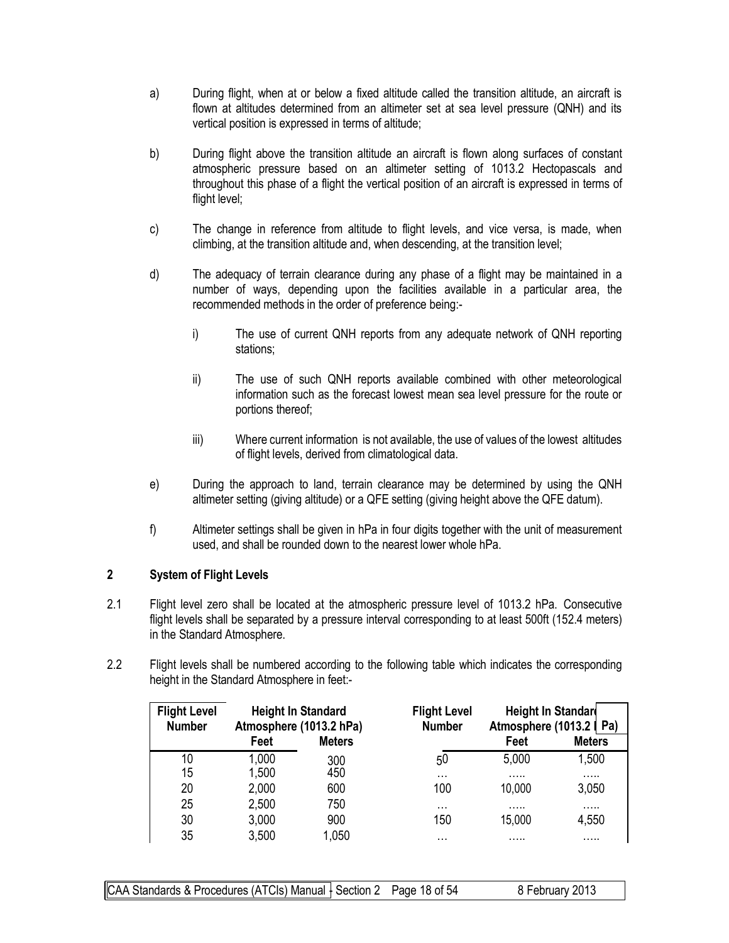- a) During flight, when at or below a fixed altitude called the transition altitude, an aircraft is flown at altitudes determined from an altimeter set at sea level pressure (QNH) and its vertical position is expressed in terms of altitude;
- b) During flight above the transition altitude an aircraft is flown along surfaces of constant atmospheric pressure based on an altimeter setting of 1013.2 Hectopascals and throughout this phase of a flight the vertical position of an aircraft is expressed in terms of flight level;
- c) The change in reference from altitude to flight levels, and vice versa, is made, when climbing, at the transition altitude and, when descending, at the transition level;
- d) The adequacy of terrain clearance during any phase of a flight may be maintained in a number of ways, depending upon the facilities available in a particular area, the recommended methods in the order of preference being:
	- i) The use of current QNH reports from any adequate network of QNH reporting stations;
	- ii) The use of such QNH reports available combined with other meteorological information such as the forecast lowest mean sea level pressure for the route or portions thereof;
	- iii) Where current information is not available, the use of values of the lowest altitudes of flight levels, derived from climatological data.
- e) During the approach to land, terrain clearance may be determined by using the QNH altimeter setting (giving altitude) or a QFE setting (giving height above the QFE datum).
- f) Altimeter settings shall be given in hPa in four digits together with the unit of measurement used, and shall be rounded down to the nearest lower whole hPa.

#### **2 System of Flight Levels**

- 2.1 Flight level zero shall be located at the atmospheric pressure level of 1013.2 hPa. Consecutive flight levels shall be separated by a pressure interval corresponding to at least 500ft (152.4 meters) in the Standard Atmosphere.
- 2.2 Flight levels shall be numbered according to the following table which indicates the corresponding height in the Standard Atmosphere in feet:-

| <b>Flight Level</b><br><b>Number</b> | <b>Height In Standard</b><br>Atmosphere (1013.2 hPa) |               | <b>Flight Level</b><br><b>Number</b> | Height In Standar | Atmosphere (1013.2   Pa) |
|--------------------------------------|------------------------------------------------------|---------------|--------------------------------------|-------------------|--------------------------|
|                                      | Feet                                                 | <b>Meters</b> |                                      | Feet              | <b>Meters</b>            |
| 10                                   | 1,000                                                | 300           | 50                                   | 5,000             | 1,500                    |
| 15                                   | 1,500                                                | 450           | $\cdots$                             | .                 | .                        |
| 20                                   | 2,000                                                | 600           | 100                                  | 10,000            | 3,050                    |
| 25                                   | 2,500                                                | 750           | $\cdots$                             | .                 | .                        |
| 30                                   | 3,000                                                | 900           | 150                                  | 15,000            | 4,550                    |
| 35                                   | 3,500                                                | 1,050         | .                                    | .                 | .                        |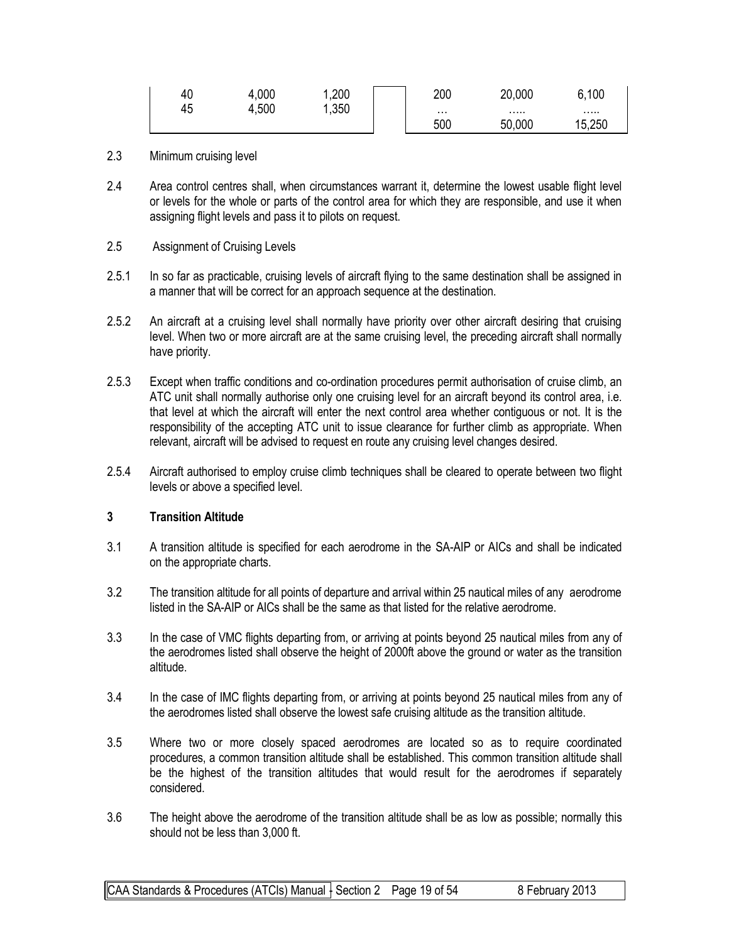| 40 | 4,000 | ,200 | 200      | 20,000 | 6,100  |
|----|-------|------|----------|--------|--------|
| 45 | 4,500 | ,350 | $\cdots$ |        |        |
|    |       |      | 500      | 50,000 | 15,250 |

- 2.3 Minimum cruising level
- 2.4 Area control centres shall, when circumstances warrant it, determine the lowest usable flight level or levels for the whole or parts of the control area for which they are responsible, and use it when assigning flight levels and pass it to pilots on request.
- 2.5 Assignment of Cruising Levels
- 2.5.1 In so far as practicable, cruising levels of aircraft flying to the same destination shall be assigned in a manner that will be correct for an approach sequence at the destination.
- 2.5.2 An aircraft at a cruising level shall normally have priority over other aircraft desiring that cruising level. When two or more aircraft are at the same cruising level, the preceding aircraft shall normally have priority.
- 2.5.3 Except when traffic conditions and co-ordination procedures permit authorisation of cruise climb, an ATC unit shall normally authorise only one cruising level for an aircraft beyond its control area, i.e. that level at which the aircraft will enter the next control area whether contiguous or not. It is the responsibility of the accepting ATC unit to issue clearance for further climb as appropriate. When relevant, aircraft will be advised to request en route any cruising level changes desired.
- 2.5.4 Aircraft authorised to employ cruise climb techniques shall be cleared to operate between two flight levels or above a specified level.

#### **3 Transition Altitude**

- 3.1 A transition altitude is specified for each aerodrome in the SA-AIP or AICs and shall be indicated on the appropriate charts.
- 3.2 The transition altitude for all points of departure and arrival within 25 nautical miles of any aerodrome listed in the SA-AIP or AICs shall be the same as that listed for the relative aerodrome.
- 3.3 In the case of VMC flights departing from, or arriving at points beyond 25 nautical miles from any of the aerodromes listed shall observe the height of 2000ft above the ground or water as the transition altitude.
- 3.4 In the case of IMC flights departing from, or arriving at points beyond 25 nautical miles from any of the aerodromes listed shall observe the lowest safe cruising altitude as the transition altitude.
- 3.5 Where two or more closely spaced aerodromes are located so as to require coordinated procedures, a common transition altitude shall be established. This common transition altitude shall be the highest of the transition altitudes that would result for the aerodromes if separately considered.
- 3.6 The height above the aerodrome of the transition altitude shall be as low as possible; normally this should not be less than 3,000 ft.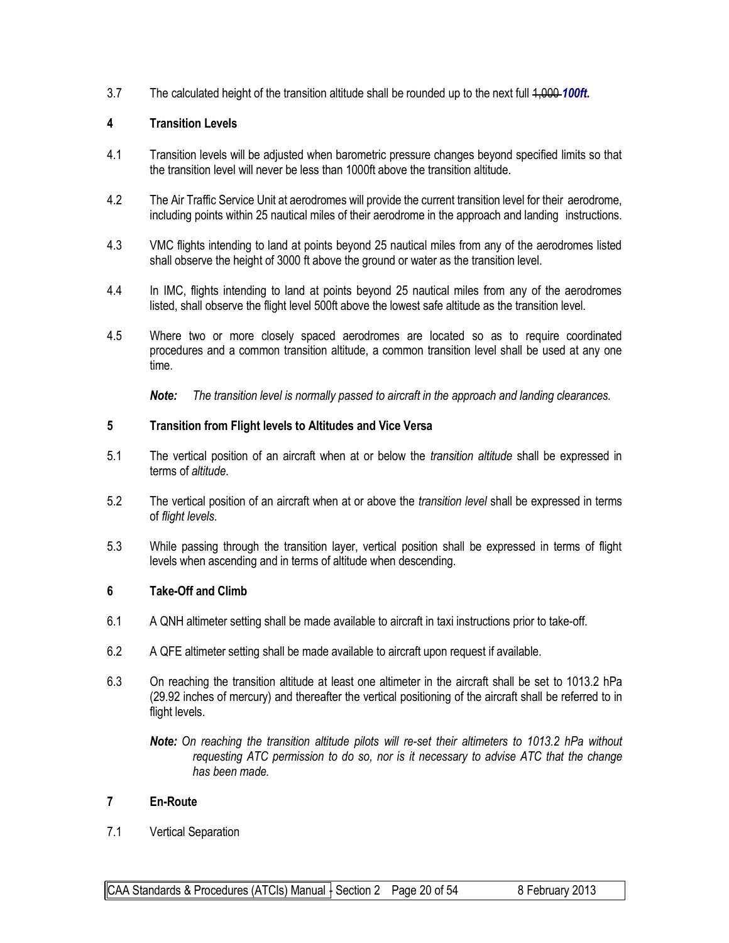3.7 The calculated height of the transition altitude shall be rounded up to the next full 1,000 *100ft.*

#### **4 Transition Levels**

- 4.1 Transition levels will be adjusted when barometric pressure changes beyond specified limits so that the transition level will never be less than 1000ft above the transition altitude.
- 4.2 The Air Traffic Service Unit at aerodromes will provide the current transition level for their aerodrome, including points within 25 nautical miles of their aerodrome in the approach and landing instructions.
- 4.3 VMC flights intending to land at points beyond 25 nautical miles from any of the aerodromes listed shall observe the height of 3000 ft above the ground or water as the transition level.
- 4.4 In IMC, flights intending to land at points beyond 25 nautical miles from any of the aerodromes listed, shall observe the flight level 500ft above the lowest safe altitude as the transition level.
- 4.5 Where two or more closely spaced aerodromes are located so as to require coordinated procedures and a common transition altitude, a common transition level shall be used at any one time.

*Note: The transition level is normally passed to aircraft in the approach and landing clearances.*

#### **5 Transition from Flight levels to Altitudes and Vice Versa**

- 5.1 The vertical position of an aircraft when at or below the *transition altitude* shall be expressed in terms of *altitude*.
- 5.2 The vertical position of an aircraft when at or above the *transition level* shall be expressed in terms of *flight levels*.
- 5.3 While passing through the transition layer, vertical position shall be expressed in terms of flight levels when ascending and in terms of altitude when descending.

#### **6 Take-Off and Climb**

- 6.1 A QNH altimeter setting shall be made available to aircraft in taxi instructions prior to take-off.
- 6.2 A QFE altimeter setting shall be made available to aircraft upon request if available.
- 6.3 On reaching the transition altitude at least one altimeter in the aircraft shall be set to 1013.2 hPa (29.92 inches of mercury) and thereafter the vertical positioning of the aircraft shall be referred to in flight levels.

*Note: On reaching the transition altitude pilots will re-set their altimeters to 1013.2 hPa without requesting ATC permission to do so, nor is it necessary to advise ATC that the change has been made.*

#### **7 En-Route**

7.1 Vertical Separation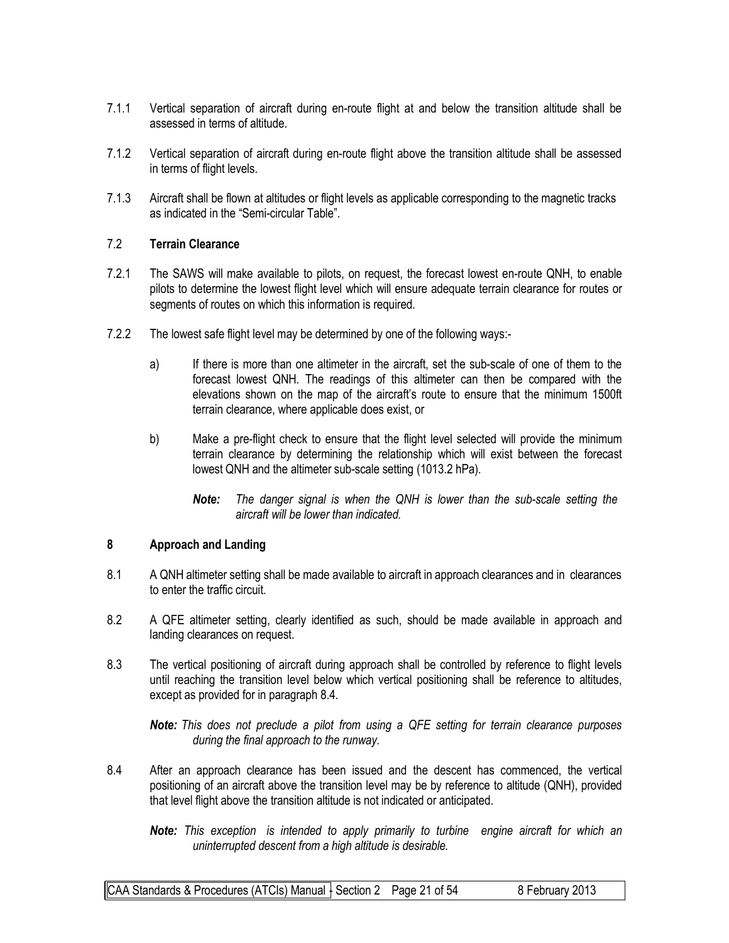- 7.1.1 Vertical separation of aircraft during en-route flight at and below the transition altitude shall be assessed in terms of altitude.
- 7.1.2 Vertical separation of aircraft during en-route flight above the transition altitude shall be assessed in terms of flight levels.
- 7.1.3 Aircraft shall be flown at altitudes or flight levels as applicable corresponding to the magnetic tracks as indicated in the "Semi-circular Table".

#### 7.2 **Terrain Clearance**

- 7.2.1 The SAWS will make available to pilots, on request, the forecast lowest en-route QNH, to enable pilots to determine the lowest flight level which will ensure adequate terrain clearance for routes or segments of routes on which this information is required.
- 7.2.2 The lowest safe flight level may be determined by one of the following ways:
	- a) If there is more than one altimeter in the aircraft, set the sub-scale of one of them to the forecast lowest QNH. The readings of this altimeter can then be compared with the elevations shown on the map of the aircraft's route to ensure that the minimum 1500ft terrain clearance, where applicable does exist, or
	- b) Make a pre-flight check to ensure that the flight level selected will provide the minimum terrain clearance by determining the relationship which will exist between the forecast lowest QNH and the altimeter sub-scale setting (1013.2 hPa).
		- *Note: The danger signal is when the QNH is lower than the sub-scale setting the aircraft will be lower than indicated.*

#### **8 Approach and Landing**

- 8.1 A QNH altimeter setting shall be made available to aircraft in approach clearances and in clearances to enter the traffic circuit.
- 8.2 A QFE altimeter setting, clearly identified as such, should be made available in approach and landing clearances on request.
- 8.3 The vertical positioning of aircraft during approach shall be controlled by reference to flight levels until reaching the transition level below which vertical positioning shall be reference to altitudes, except as provided for in paragraph 8.4.

*Note: This does not preclude a pilot from using a QFE setting for terrain clearance purposes during the final approach to the runway.*

8.4 After an approach clearance has been issued and the descent has commenced, the vertical positioning of an aircraft above the transition level may be by reference to altitude (QNH), provided that level flight above the transition altitude is not indicated or anticipated.

*Note: This exception is intended to apply primarily to turbine engine aircraft for which an uninterrupted descent from a high altitude is desirable.*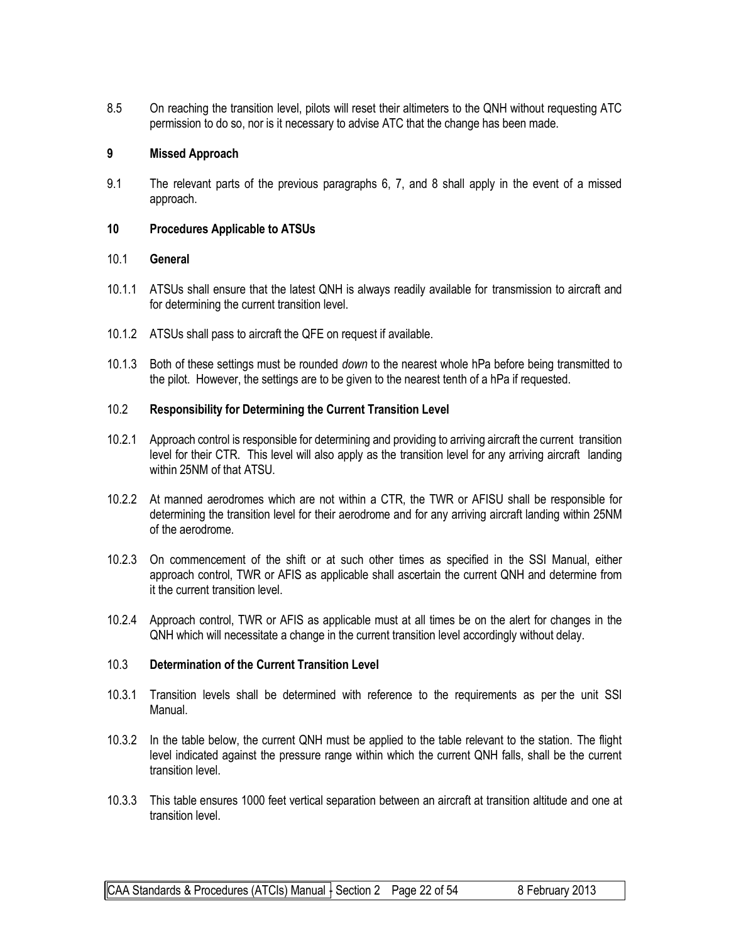8.5 On reaching the transition level, pilots will reset their altimeters to the QNH without requesting ATC permission to do so, nor is it necessary to advise ATC that the change has been made.

#### **9 Missed Approach**

9.1 The relevant parts of the previous paragraphs 6, 7, and 8 shall apply in the event of a missed approach.

#### **10 Procedures Applicable to ATSUs**

#### 10.1 **General**

- 10.1.1 ATSUs shall ensure that the latest QNH is always readily available for transmission to aircraft and for determining the current transition level.
- 10.1.2 ATSUs shall pass to aircraft the QFE on request if available.
- 10.1.3 Both of these settings must be rounded *down* to the nearest whole hPa before being transmitted to the pilot. However, the settings are to be given to the nearest tenth of a hPa if requested.

#### 10.2 **Responsibility for Determining the Current Transition Level**

- 10.2.1 Approach control is responsible for determining and providing to arriving aircraft the current transition level for their CTR. This level will also apply as the transition level for any arriving aircraft landing within 25NM of that ATSU.
- 10.2.2 At manned aerodromes which are not within a CTR, the TWR or AFISU shall be responsible for determining the transition level for their aerodrome and for any arriving aircraft landing within 25NM of the aerodrome.
- 10.2.3 On commencement of the shift or at such other times as specified in the SSI Manual, either approach control, TWR or AFIS as applicable shall ascertain the current QNH and determine from it the current transition level.
- 10.2.4 Approach control, TWR or AFIS as applicable must at all times be on the alert for changes in the QNH which will necessitate a change in the current transition level accordingly without delay.

#### 10.3 **Determination of the Current Transition Level**

- 10.3.1 Transition levels shall be determined with reference to the requirements as per the unit SSI Manual.
- 10.3.2 In the table below, the current QNH must be applied to the table relevant to the station. The flight level indicated against the pressure range within which the current QNH falls, shall be the current transition level.
- 10.3.3 This table ensures 1000 feet vertical separation between an aircraft at transition altitude and one at transition level.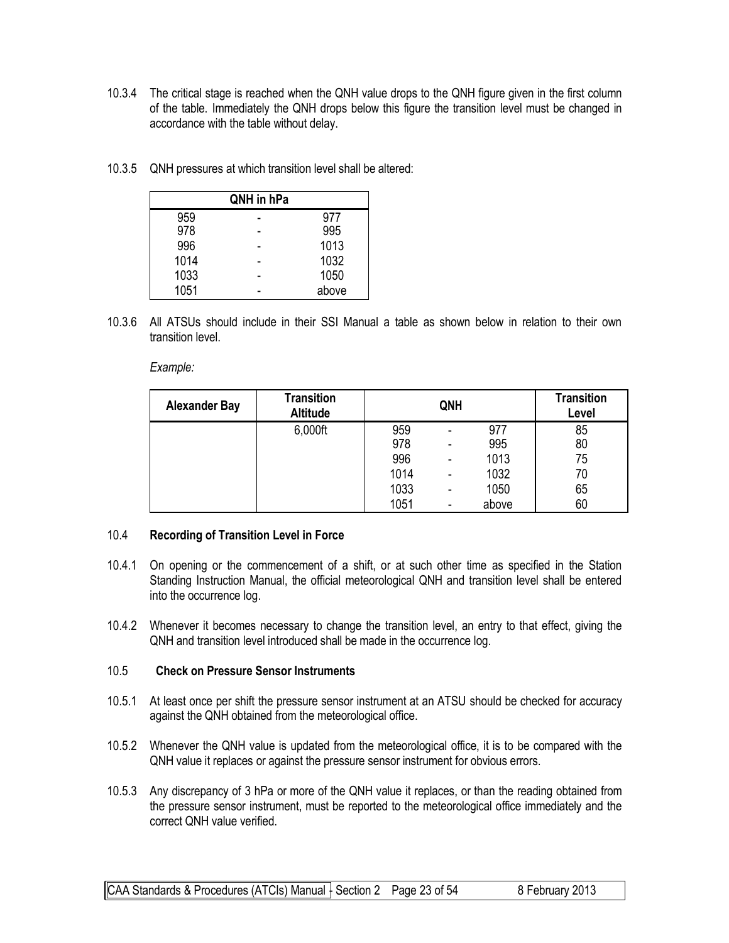- 10.3.4 The critical stage is reached when the QNH value drops to the QNH figure given in the first column of the table. Immediately the QNH drops below this figure the transition level must be changed in accordance with the table without delay.
- 10.3.5 QNH pressures at which transition level shall be altered:

|      | QNH in hPa |       |
|------|------------|-------|
| 959  |            | 977   |
| 978  |            | 995   |
| 996  |            | 1013  |
| 1014 |            | 1032  |
| 1033 |            | 1050  |
| 1051 |            | above |

10.3.6 All ATSUs should include in their SSI Manual a table as shown below in relation to their own transition level.

*Example:*

| <b>Alexander Bay</b> | <b>Transition</b><br><b>Altitude</b> | QNH  |                          |       | <b>Transition</b><br>Level |
|----------------------|--------------------------------------|------|--------------------------|-------|----------------------------|
|                      | 6,000ft                              | 959  |                          | 977   | 85                         |
|                      |                                      | 978  | $\overline{\phantom{0}}$ | 995   | 80                         |
|                      |                                      | 996  | $\blacksquare$           | 1013  | 75                         |
|                      |                                      | 1014 | $\overline{\phantom{0}}$ | 1032  | 70                         |
|                      |                                      | 1033 | $\blacksquare$           | 1050  | 65                         |
|                      |                                      | 1051 | $\overline{\phantom{0}}$ | above | 60                         |

#### 10.4 **Recording of Transition Level in Force**

- 10.4.1 On opening or the commencement of a shift, or at such other time as specified in the Station Standing Instruction Manual, the official meteorological QNH and transition level shall be entered into the occurrence log.
- 10.4.2 Whenever it becomes necessary to change the transition level, an entry to that effect, giving the QNH and transition level introduced shall be made in the occurrence log.

#### 10.5 **Check on Pressure Sensor Instruments**

- 10.5.1 At least once per shift the pressure sensor instrument at an ATSU should be checked for accuracy against the QNH obtained from the meteorological office.
- 10.5.2 Whenever the QNH value is updated from the meteorological office, it is to be compared with the QNH value it replaces or against the pressure sensor instrument for obvious errors.
- 10.5.3 Any discrepancy of 3 hPa or more of the QNH value it replaces, or than the reading obtained from the pressure sensor instrument, must be reported to the meteorological office immediately and the correct QNH value verified.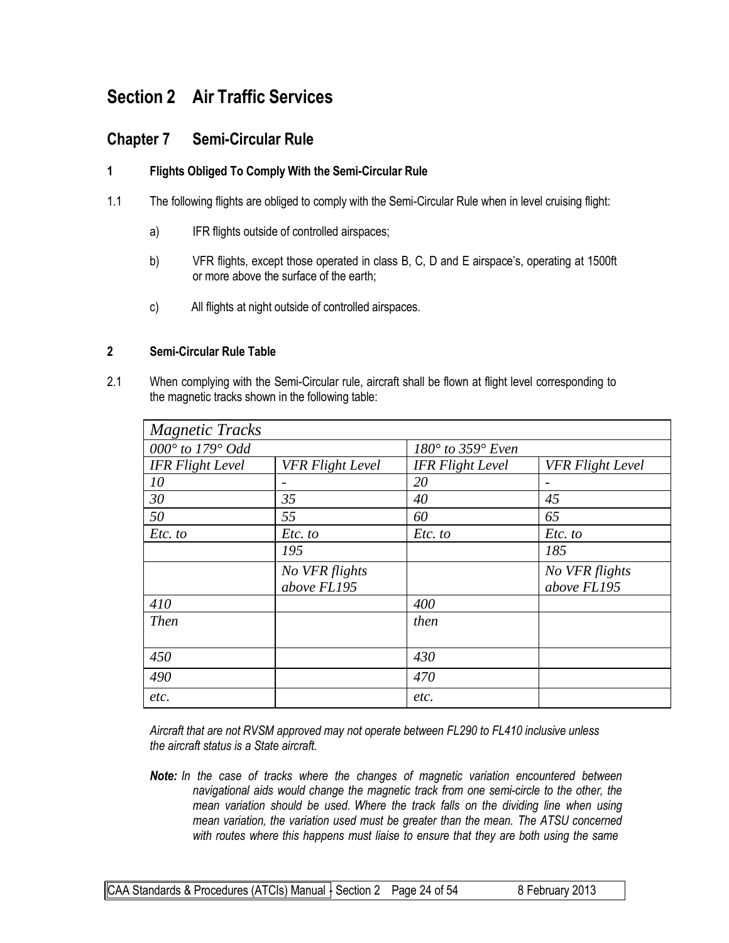# **Section 2 Air Traffic Services**

## **Chapter 7 Semi-Circular Rule**

#### **1 Flights Obliged To Comply With the Semi-Circular Rule**

- 1.1 The following flights are obliged to comply with the Semi-Circular Rule when in level cruising flight:
	- a) IFR flights outside of controlled airspaces;
	- b) VFR flights, except those operated in class B, C, D and E airspace's, operating at 1500ft or more above the surface of the earth;
	- c) All flights at night outside of controlled airspaces.

#### **2 Semi-Circular Rule Table**

2.1 When complying with the Semi-Circular rule, aircraft shall be flown at flight level corresponding to the magnetic tracks shown in the following table:

| <b>Magnetic Tracks</b>  |                         |                                  |                         |  |
|-------------------------|-------------------------|----------------------------------|-------------------------|--|
| 000° to 179° Odd        |                         | $180^\circ$ to 359 $^\circ$ Even |                         |  |
| <b>IFR</b> Flight Level | <b>VFR Flight Level</b> | <b>IFR Flight Level</b>          | <b>VFR Flight Level</b> |  |
| 10                      |                         | 20                               |                         |  |
| 30                      | 35                      | 40                               | 45                      |  |
| 50                      | 55                      | 60                               | 65                      |  |
| Etc. to                 | Etc. to                 | Etc. to                          | Etc. to                 |  |
|                         | 195                     |                                  | 185                     |  |
|                         | No VFR flights          |                                  | No VFR flights          |  |
|                         | above FL195             |                                  | above FL195             |  |
| 410                     |                         | 400                              |                         |  |
| <b>Then</b>             |                         | then                             |                         |  |
|                         |                         |                                  |                         |  |
| 450                     |                         | 430                              |                         |  |
| 490                     |                         | 470                              |                         |  |
| etc.                    |                         | etc.                             |                         |  |

*Aircraft that are not RVSM approved may not operate between FL290 to FL410 inclusive unless the aircraft status is a State aircraft.*

*Note: In the case of tracks where the changes of magnetic variation encountered between navigational aids would change the magnetic track from one semi-circle to the other, the mean variation should be used. Where the track falls on the dividing line when using mean variation, the variation used must be greater than the mean. The ATSU concerned with routes where this happens must liaise to ensure that they are both using the same*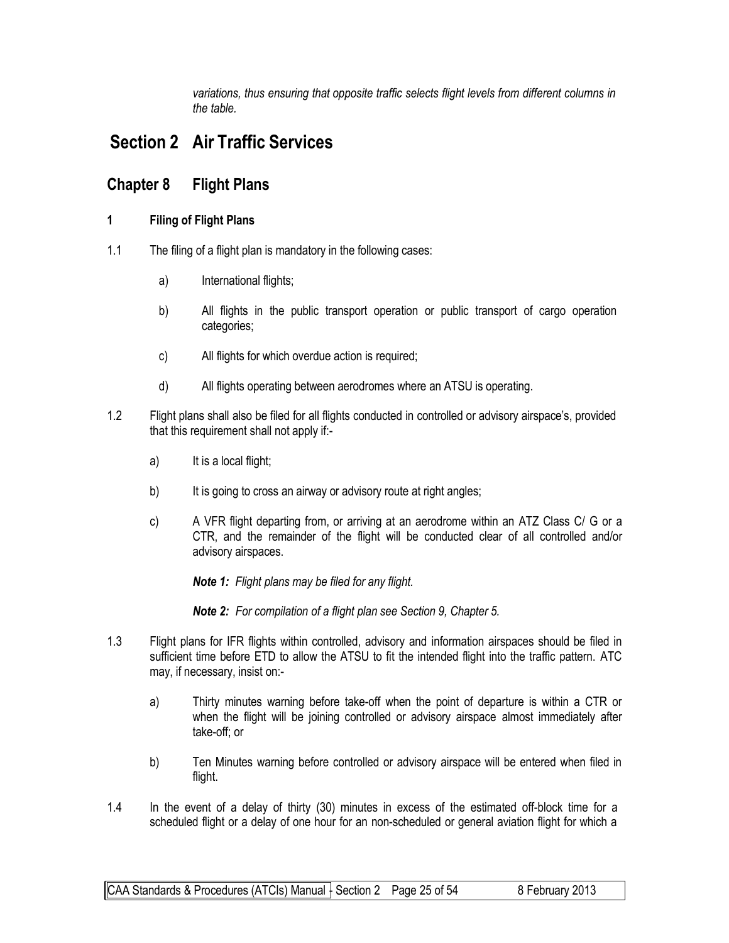*variations, thus ensuring that opposite traffic selects flight levels from different columns in the table.*

# **Section 2 Air Traffic Services**

## **Chapter 8 Flight Plans**

#### **1 Filing of Flight Plans**

- 1.1 The filing of a flight plan is mandatory in the following cases:
	- a) International flights;
	- b) All flights in the public transport operation or public transport of cargo operation categories;
	- c) All flights for which overdue action is required;
	- d) All flights operating between aerodromes where an ATSU is operating.
- 1.2 Flight plans shall also be filed for all flights conducted in controlled or advisory airspace's, provided that this requirement shall not apply if:
	- a) It is a local flight;
	- b) It is going to cross an airway or advisory route at right angles;
	- c) A VFR flight departing from, or arriving at an aerodrome within an ATZ Class C/ G or a CTR, and the remainder of the flight will be conducted clear of all controlled and/or advisory airspaces.

*Note 1: Flight plans may be filed for any flight.*

*Note 2: For compilation of a flight plan see Section 9, Chapter 5.*

- 1.3 Flight plans for IFR flights within controlled, advisory and information airspaces should be filed in sufficient time before ETD to allow the ATSU to fit the intended flight into the traffic pattern. ATC may, if necessary, insist on:
	- a) Thirty minutes warning before take-off when the point of departure is within a CTR or when the flight will be joining controlled or advisory airspace almost immediately after take-off; or
	- b) Ten Minutes warning before controlled or advisory airspace will be entered when filed in flight.
- 1.4 In the event of a delay of thirty (30) minutes in excess of the estimated off-block time for a scheduled flight or a delay of one hour for an non-scheduled or general aviation flight for which a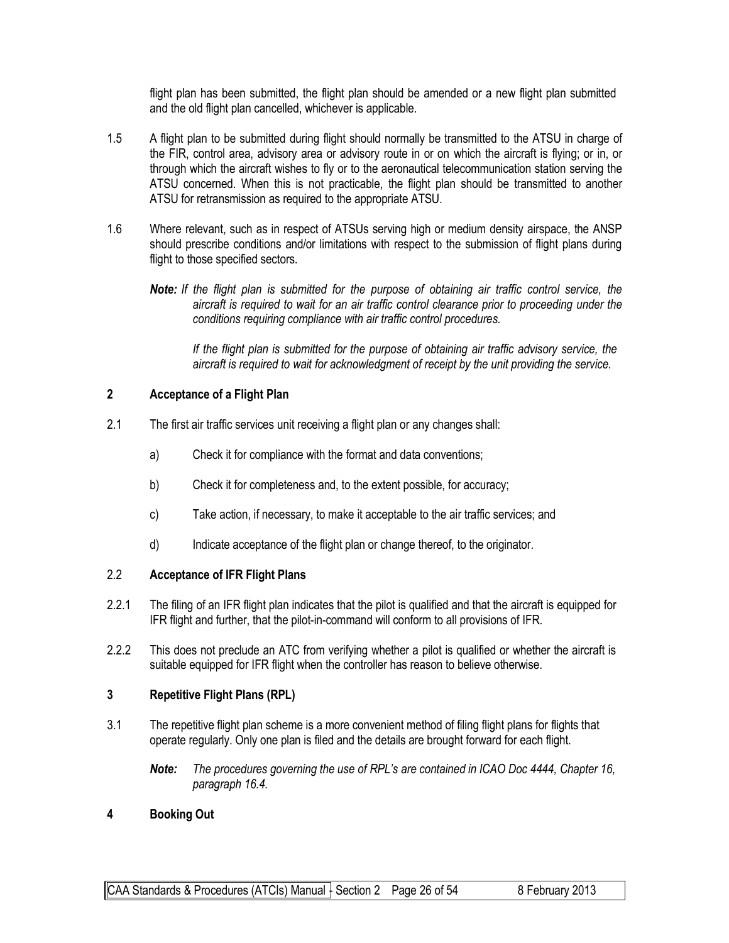flight plan has been submitted, the flight plan should be amended or a new flight plan submitted and the old flight plan cancelled, whichever is applicable.

- 1.5 A flight plan to be submitted during flight should normally be transmitted to the ATSU in charge of the FIR, control area, advisory area or advisory route in or on which the aircraft is flying; or in, or through which the aircraft wishes to fly or to the aeronautical telecommunication station serving the ATSU concerned. When this is not practicable, the flight plan should be transmitted to another ATSU for retransmission as required to the appropriate ATSU.
- 1.6 Where relevant, such as in respect of ATSUs serving high or medium density airspace, the ANSP should prescribe conditions and/or limitations with respect to the submission of flight plans during flight to those specified sectors.
	- *Note: If the flight plan is submitted for the purpose of obtaining air traffic control service, the aircraft is required to wait for an air traffic control clearance prior to proceeding under the conditions requiring compliance with air traffic control procedures.*

*If the flight plan is submitted for the purpose of obtaining air traffic advisory service, the aircraft is required to wait for acknowledgment of receipt by the unit providing the service.*

#### **2 Acceptance of a Flight Plan**

- 2.1 The first air traffic services unit receiving a flight plan or any changes shall:
	- a) Check it for compliance with the format and data conventions;
	- b) Check it for completeness and, to the extent possible, for accuracy;
	- c) Take action, if necessary, to make it acceptable to the air traffic services; and
	- d) Indicate acceptance of the flight plan or change thereof, to the originator.

#### 2.2 **Acceptance of IFR Flight Plans**

- 2.2.1 The filing of an IFR flight plan indicates that the pilot is qualified and that the aircraft is equipped for IFR flight and further, that the pilot-in-command will conform to all provisions of IFR.
- 2.2.2 This does not preclude an ATC from verifying whether a pilot is qualified or whether the aircraft is suitable equipped for IFR flight when the controller has reason to believe otherwise.

#### **3 Repetitive Flight Plans (RPL)**

- 3.1 The repetitive flight plan scheme is a more convenient method of filing flight plans for flights that operate regularly. Only one plan is filed and the details are brought forward for each flight.
	- *Note: The procedures governing the use of RPL's are contained in ICAO Doc 4444, Chapter 16, paragraph 16.4.*

#### **4 Booking Out**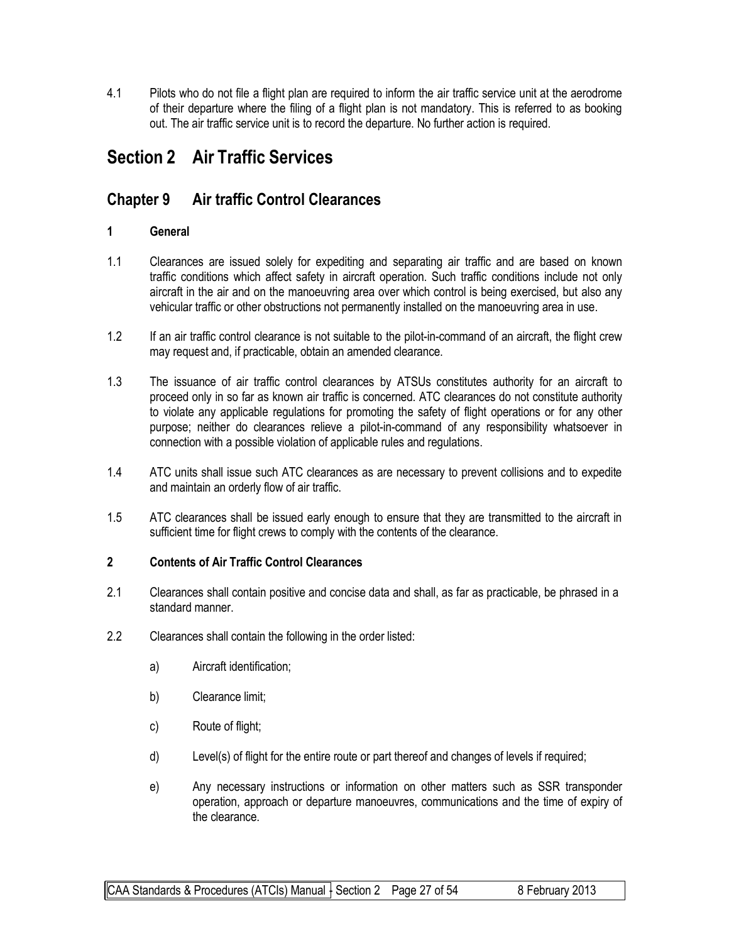4.1 Pilots who do not file a flight plan are required to inform the air traffic service unit at the aerodrome of their departure where the filing of a flight plan is not mandatory. This is referred to as booking out. The air traffic service unit is to record the departure. No further action is required.

# **Section 2 Air Traffic Services**

## **Chapter 9 Air traffic Control Clearances**

#### **1 General**

- 1.1 Clearances are issued solely for expediting and separating air traffic and are based on known traffic conditions which affect safety in aircraft operation. Such traffic conditions include not only aircraft in the air and on the manoeuvring area over which control is being exercised, but also any vehicular traffic or other obstructions not permanently installed on the manoeuvring area in use.
- 1.2 If an air traffic control clearance is not suitable to the pilot-in-command of an aircraft, the flight crew may request and, if practicable, obtain an amended clearance.
- 1.3 The issuance of air traffic control clearances by ATSUs constitutes authority for an aircraft to proceed only in so far as known air traffic is concerned. ATC clearances do not constitute authority to violate any applicable regulations for promoting the safety of flight operations or for any other purpose; neither do clearances relieve a pilot-in-command of any responsibility whatsoever in connection with a possible violation of applicable rules and regulations.
- 1.4 ATC units shall issue such ATC clearances as are necessary to prevent collisions and to expedite and maintain an orderly flow of air traffic.
- 1.5 ATC clearances shall be issued early enough to ensure that they are transmitted to the aircraft in sufficient time for flight crews to comply with the contents of the clearance.

#### **2 Contents of Air Traffic Control Clearances**

- 2.1 Clearances shall contain positive and concise data and shall, as far as practicable, be phrased in a standard manner.
- 2.2 Clearances shall contain the following in the order listed:
	- a) Aircraft identification;
	- b) Clearance limit;
	- c) Route of flight;
	- d) Level(s) of flight for the entire route or part thereof and changes of levels if required;
	- e) Any necessary instructions or information on other matters such as SSR transponder operation, approach or departure manoeuvres, communications and the time of expiry of the clearance.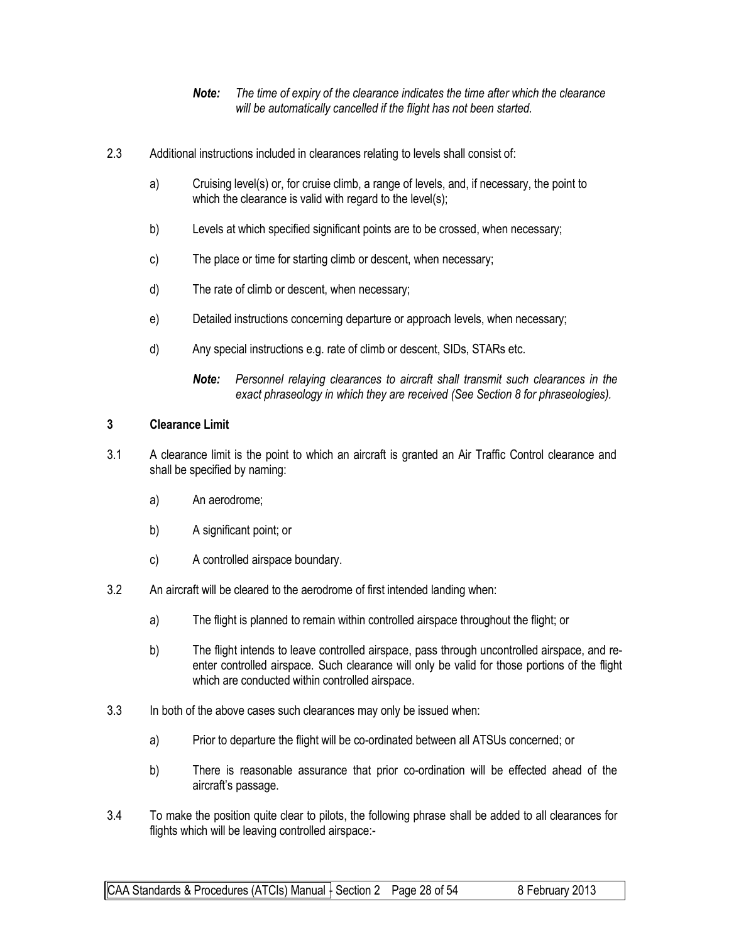- *Note: The time of expiry of the clearance indicates the time after which the clearance will be automatically cancelled if the flight has not been started.*
- 2.3 Additional instructions included in clearances relating to levels shall consist of:
	- a) Cruising level(s) or, for cruise climb, a range of levels, and, if necessary, the point to which the clearance is valid with regard to the level(s);
	- b) Levels at which specified significant points are to be crossed, when necessary;
	- c) The place or time for starting climb or descent, when necessary;
	- d) The rate of climb or descent, when necessary;
	- e) Detailed instructions concerning departure or approach levels, when necessary;
	- d) Any special instructions e.g. rate of climb or descent, SIDs, STARs etc.
		- *Note: Personnel relaying clearances to aircraft shall transmit such clearances in the exact phraseology in which they are received (See Section 8 for phraseologies).*

#### **3 Clearance Limit**

- 3.1 A clearance limit is the point to which an aircraft is granted an Air Traffic Control clearance and shall be specified by naming:
	- a) An aerodrome;
	- b) A significant point; or
	- c) A controlled airspace boundary.
- 3.2 An aircraft will be cleared to the aerodrome of first intended landing when:
	- a) The flight is planned to remain within controlled airspace throughout the flight; or
	- b) The flight intends to leave controlled airspace, pass through uncontrolled airspace, and reenter controlled airspace. Such clearance will only be valid for those portions of the flight which are conducted within controlled airspace.
- 3.3 In both of the above cases such clearances may only be issued when:
	- a) Prior to departure the flight will be co-ordinated between all ATSUs concerned; or
	- b) There is reasonable assurance that prior co-ordination will be effected ahead of the aircraft's passage.
- 3.4 To make the position quite clear to pilots, the following phrase shall be added to all clearances for flights which will be leaving controlled airspace:-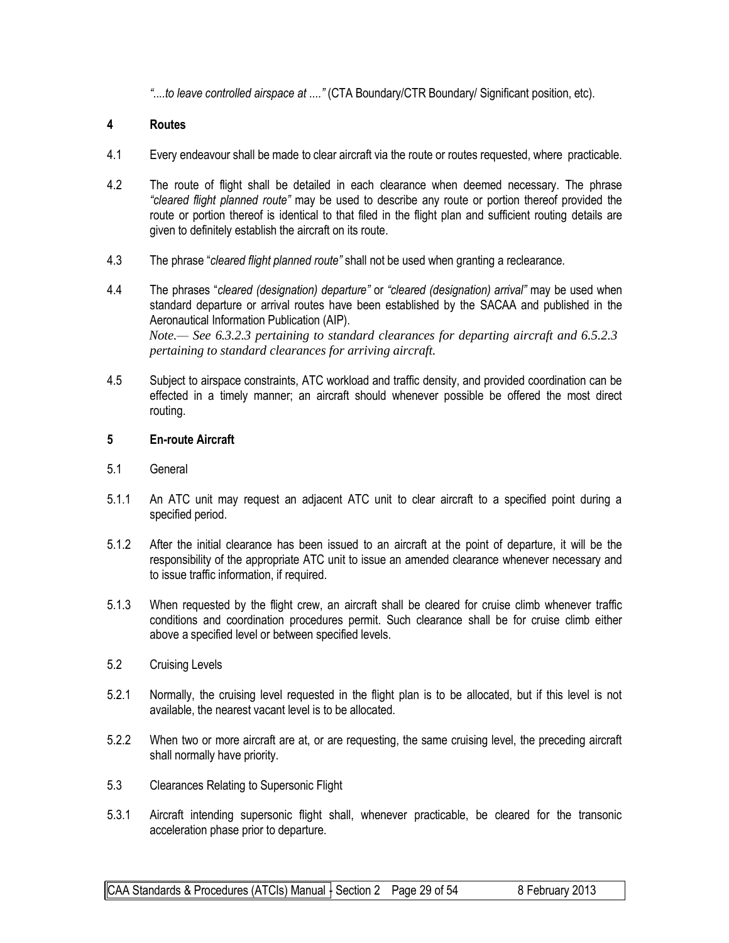*"....to leave controlled airspace at ...."* (CTA Boundary/CTR Boundary/ Significant position, etc).

#### **4 Routes**

- 4.1 Every endeavour shall be made to clear aircraft via the route or routes requested, where practicable.
- 4.2 The route of flight shall be detailed in each clearance when deemed necessary. The phrase *"cleared flight planned route"* may be used to describe any route or portion thereof provided the route or portion thereof is identical to that filed in the flight plan and sufficient routing details are given to definitely establish the aircraft on its route.
- 4.3 The phrase "*cleared flight planned route"* shall not be used when granting a reclearance.
- 4.4 The phrases "*cleared (designation) departure"* or *"cleared (designation) arrival"* may be used when standard departure or arrival routes have been established by the SACAA and published in the Aeronautical Information Publication (AIP). *Note.— See 6.3.2.3 pertaining to standard clearances for departing aircraft and 6.5.2.3 pertaining to standard clearances for arriving aircraft.*
- 4.5 Subject to airspace constraints, ATC workload and traffic density, and provided coordination can be effected in a timely manner; an aircraft should whenever possible be offered the most direct routing.

#### **5 En-route Aircraft**

- 5.1 General
- 5.1.1 An ATC unit may request an adjacent ATC unit to clear aircraft to a specified point during a specified period.
- 5.1.2 After the initial clearance has been issued to an aircraft at the point of departure, it will be the responsibility of the appropriate ATC unit to issue an amended clearance whenever necessary and to issue traffic information, if required.
- 5.1.3 When requested by the flight crew, an aircraft shall be cleared for cruise climb whenever traffic conditions and coordination procedures permit. Such clearance shall be for cruise climb either above a specified level or between specified levels.
- 5.2 Cruising Levels
- 5.2.1 Normally, the cruising level requested in the flight plan is to be allocated, but if this level is not available, the nearest vacant level is to be allocated.
- 5.2.2 When two or more aircraft are at, or are requesting, the same cruising level, the preceding aircraft shall normally have priority.
- 5.3 Clearances Relating to Supersonic Flight
- 5.3.1 Aircraft intending supersonic flight shall, whenever practicable, be cleared for the transonic acceleration phase prior to departure.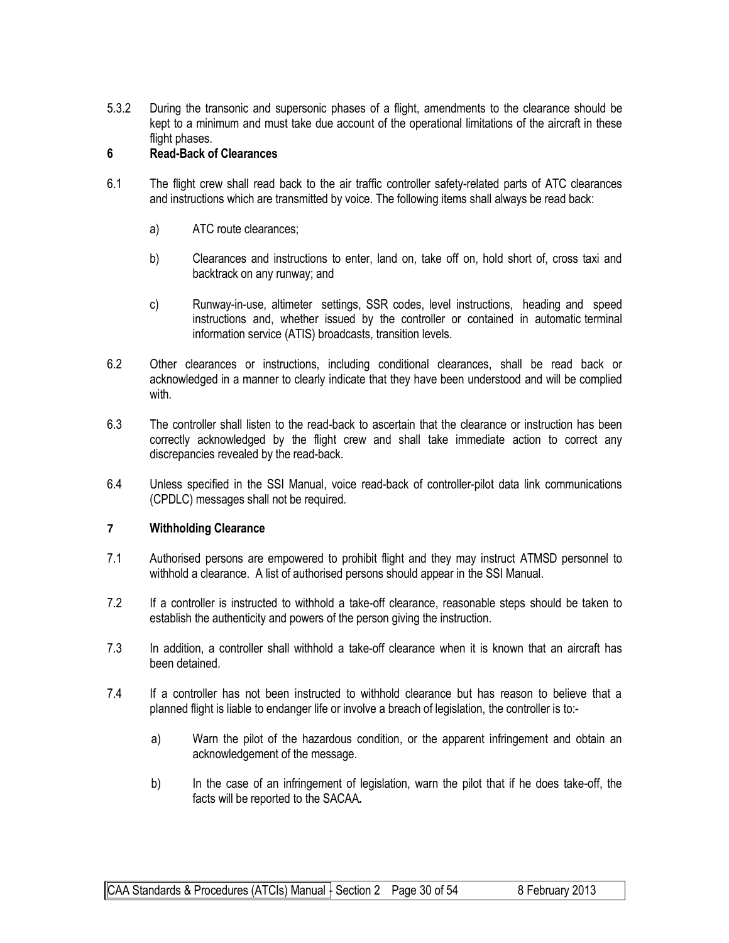5.3.2 During the transonic and supersonic phases of a flight, amendments to the clearance should be kept to a minimum and must take due account of the operational limitations of the aircraft in these flight phases.

#### **6 Read-Back of Clearances**

- 6.1 The flight crew shall read back to the air traffic controller safety-related parts of ATC clearances and instructions which are transmitted by voice. The following items shall always be read back:
	- a) ATC route clearances;
	- b) Clearances and instructions to enter, land on, take off on, hold short of, cross taxi and backtrack on any runway; and
	- c) Runway-in-use, altimeter settings, SSR codes, level instructions, heading and speed instructions and, whether issued by the controller or contained in automatic terminal information service (ATIS) broadcasts, transition levels.
- 6.2 Other clearances or instructions, including conditional clearances, shall be read back or acknowledged in a manner to clearly indicate that they have been understood and will be complied with.
- 6.3 The controller shall listen to the read-back to ascertain that the clearance or instruction has been correctly acknowledged by the flight crew and shall take immediate action to correct any discrepancies revealed by the read-back.
- 6.4 Unless specified in the SSI Manual, voice read-back of controller-pilot data link communications (CPDLC) messages shall not be required.

#### **7 Withholding Clearance**

- 7.1 Authorised persons are empowered to prohibit flight and they may instruct ATMSD personnel to withhold a clearance. A list of authorised persons should appear in the SSI Manual.
- 7.2 If a controller is instructed to withhold a take-off clearance, reasonable steps should be taken to establish the authenticity and powers of the person giving the instruction.
- 7.3 In addition, a controller shall withhold a take-off clearance when it is known that an aircraft has been detained.
- 7.4 If a controller has not been instructed to withhold clearance but has reason to believe that a planned flight is liable to endanger life or involve a breach of legislation, the controller is to:
	- a) Warn the pilot of the hazardous condition, or the apparent infringement and obtain an acknowledgement of the message.
	- b) In the case of an infringement of legislation, warn the pilot that if he does take-off, the facts will be reported to the SACAA*.*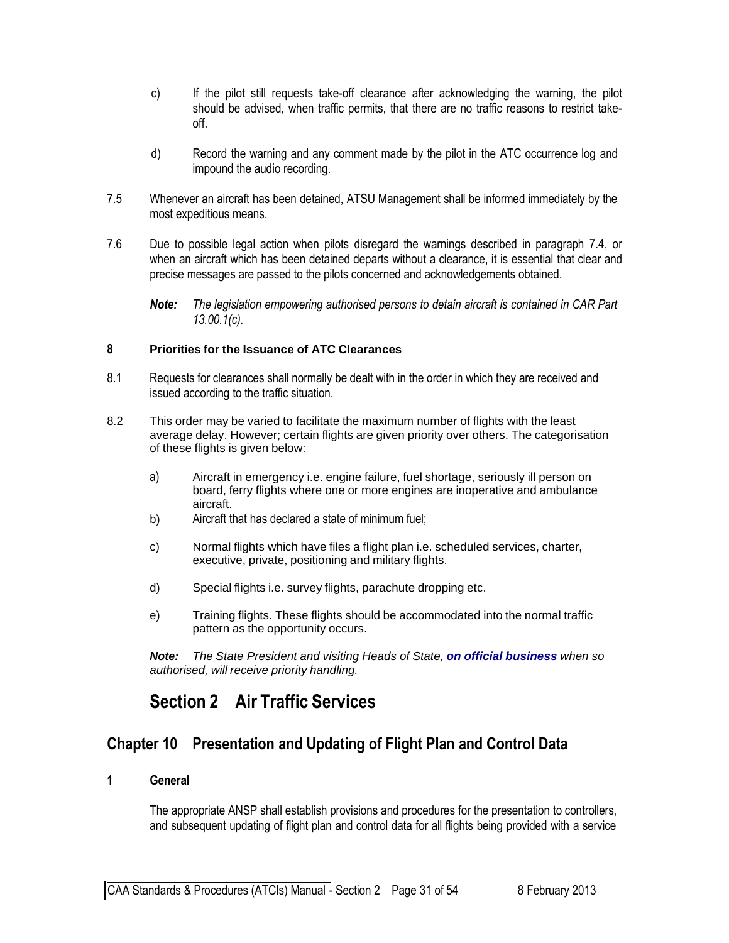- c) If the pilot still requests take-off clearance after acknowledging the warning, the pilot should be advised, when traffic permits, that there are no traffic reasons to restrict takeoff.
- d) Record the warning and any comment made by the pilot in the ATC occurrence log and impound the audio recording.
- 7.5 Whenever an aircraft has been detained, ATSU Management shall be informed immediately by the most expeditious means.
- 7.6 Due to possible legal action when pilots disregard the warnings described in paragraph 7.4, or when an aircraft which has been detained departs without a clearance, it is essential that clear and precise messages are passed to the pilots concerned and acknowledgements obtained.
	- *Note: The legislation empowering authorised persons to detain aircraft is contained in CAR Part 13.00.1(c).*

#### **8 Priorities for the Issuance of ATC Clearances**

- 8.1 Requests for clearances shall normally be dealt with in the order in which they are received and issued according to the traffic situation.
- 8.2 This order may be varied to facilitate the maximum number of flights with the least average delay. However; certain flights are given priority over others. The categorisation of these flights is given below:
	- a) Aircraft in emergency i.e. engine failure, fuel shortage, seriously ill person on board, ferry flights where one or more engines are inoperative and ambulance aircraft.
	- b) Aircraft that has declared a state of minimum fuel;
	- c) Normal flights which have files a flight plan i.e. scheduled services, charter, executive, private, positioning and military flights.
	- d) Special flights i.e. survey flights, parachute dropping etc.
	- e) Training flights. These flights should be accommodated into the normal traffic pattern as the opportunity occurs.

*Note: The State President and visiting Heads of State, on official business when so authorised, will receive priority handling.*

# **Section 2 Air Traffic Services**

## **Chapter 10 Presentation and Updating of Flight Plan and Control Data**

**1 General**

The appropriate ANSP shall establish provisions and procedures for the presentation to controllers, and subsequent updating of flight plan and control data for all flights being provided with a service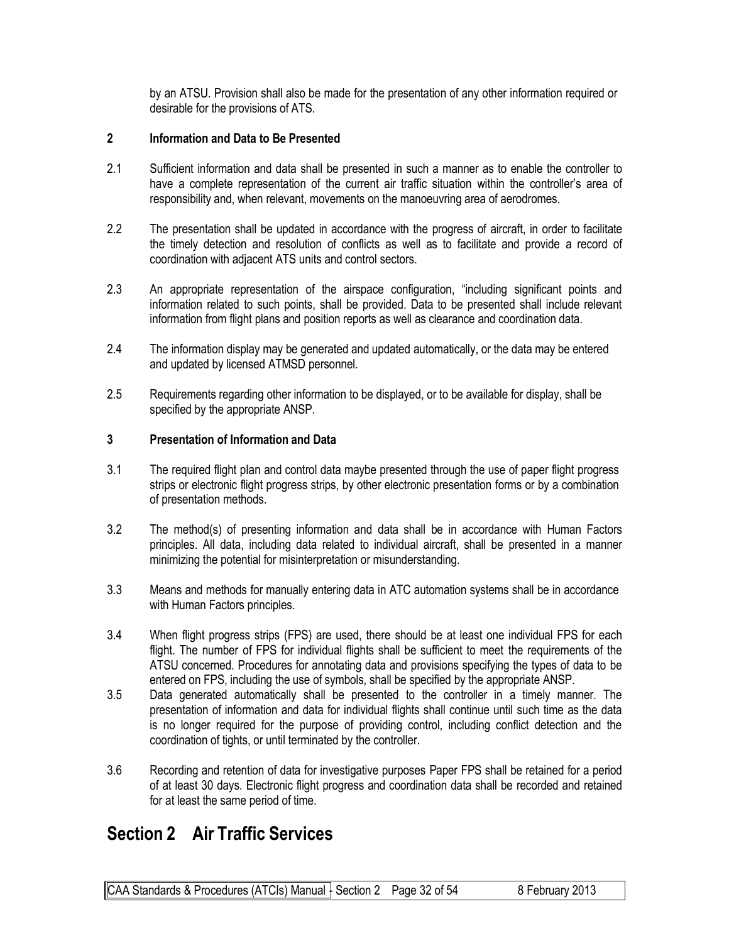by an ATSU. Provision shall also be made for the presentation of any other information required or desirable for the provisions of ATS.

#### **2 Information and Data to Be Presented**

- 2.1 Sufficient information and data shall be presented in such a manner as to enable the controller to have a complete representation of the current air traffic situation within the controller's area of responsibility and, when relevant, movements on the manoeuvring area of aerodromes.
- 2.2 The presentation shall be updated in accordance with the progress of aircraft, in order to facilitate the timely detection and resolution of conflicts as well as to facilitate and provide a record of coordination with adjacent ATS units and control sectors.
- 2.3 An appropriate representation of the airspace configuration, "including significant points and information related to such points, shall be provided. Data to be presented shall include relevant information from flight plans and position reports as well as clearance and coordination data.
- 2.4 The information display may be generated and updated automatically, or the data may be entered and updated by licensed ATMSD personnel.
- 2.5 Requirements regarding other information to be displayed, or to be available for display, shall be specified by the appropriate ANSP.

#### **3 Presentation of Information and Data**

- 3.1 The required flight pIan and control data maybe presented through the use of paper flight progress strips or electronic flight progress strips, by other electronic presentation forms or by a combination of presentation methods.
- 3.2 The method(s) of presenting information and data shall be in accordance with Human Factors principles. All data, including data related to individual aircraft, shall be presented in a manner minimizing the potential for misinterpretation or misunderstanding.
- 3.3 Means and methods for manually entering data in ATC automation systems shall be in accordance with Human Factors principles.
- 3.4 When flight progress strips (FPS) are used, there should be at least one individual FPS for each flight. The number of FPS for individual flights shall be sufficient to meet the requirements of the ATSU concerned. Procedures for annotating data and provisions specifying the types of data to be entered on FPS, including the use of symbols, shall be specified by the appropriate ANSP.
- 3.5 Data generated automatically shall be presented to the controller in a timely manner. The presentation of information and data for individual flights shall continue until such time as the data is no longer required for the purpose of providing control, including conflict detection and the coordination of tights, or until terminated by the controller.
- 3.6 Recording and retention of data for investigative purposes Paper FPS shall be retained for a period of at least 30 days. Electronic flight progress and coordination data shall be recorded and retained for at least the same period of time.

# **Section 2 Air Traffic Services**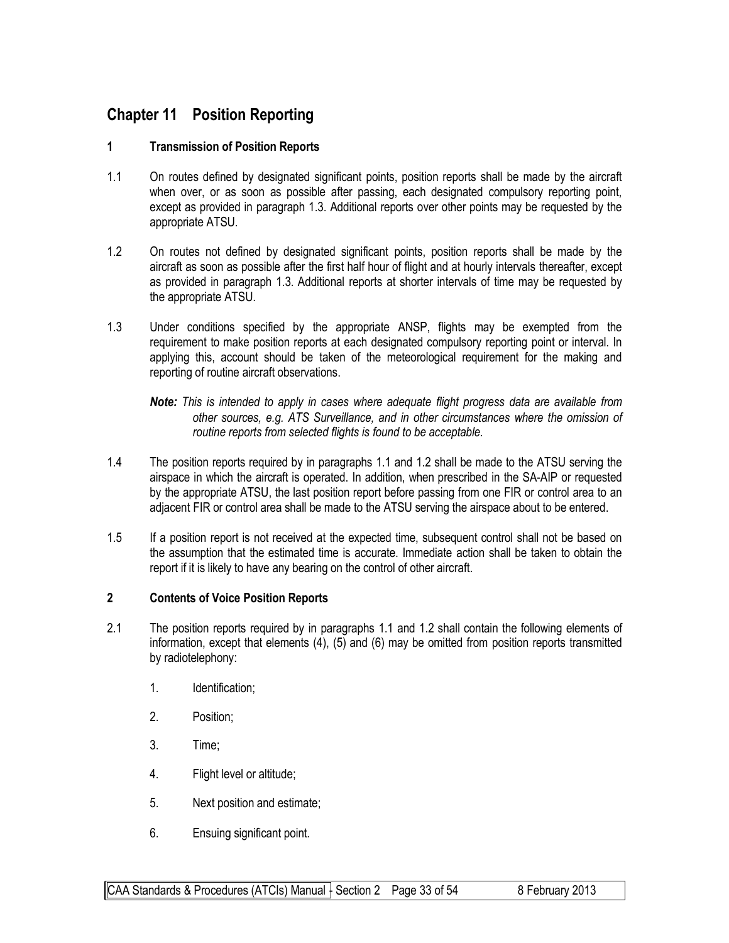## **Chapter 11 Position Reporting**

#### **1 Transmission of Position Reports**

- 1.1 On routes defined by designated significant points, position reports shall be made by the aircraft when over, or as soon as possible after passing, each designated compulsory reporting point, except as provided in paragraph 1.3. Additional reports over other points may be requested by the appropriate ATSU.
- 1.2 On routes not defined by designated significant points, position reports shall be made by the aircraft as soon as possible after the first half hour of flight and at hourly intervals thereafter, except as provided in paragraph 1.3. Additional reports at shorter intervals of time may be requested by the appropriate ATSU.
- 1.3 Under conditions specified by the appropriate ANSP, flights may be exempted from the requirement to make position reports at each designated compulsory reporting point or interval. In applying this, account should be taken of the meteorological requirement for the making and reporting of routine aircraft observations.
	- *Note: This is intended to apply in cases where adequate flight progress data are available from other sources, e.g. ATS Surveillance, and in other circumstances where the omission of routine reports from selected flights is found to be acceptable.*
- 1.4 The position reports required by in paragraphs 1.1 and 1.2 shall be made to the ATSU serving the airspace in which the aircraft is operated. In addition, when prescribed in the SA-AIP or requested by the appropriate ATSU, the last position report before passing from one FIR or control area to an adjacent FIR or control area shall be made to the ATSU serving the airspace about to be entered.
- 1.5 If a position report is not received at the expected time, subsequent control shall not be based on the assumption that the estimated time is accurate. Immediate action shall be taken to obtain the report if it is likely to have any bearing on the control of other aircraft.

#### **2 Contents of Voice Position Reports**

- 2.1 The position reports required by in paragraphs 1.1 and 1.2 shall contain the following elements of information, except that elements (4), (5) and (6) may be omitted from position reports transmitted by radiotelephony:
	- 1. Identification;
	- 2. Position;
	- 3. Time;
	- 4. Flight level or altitude;
	- 5. Next position and estimate;
	- 6. Ensuing significant point.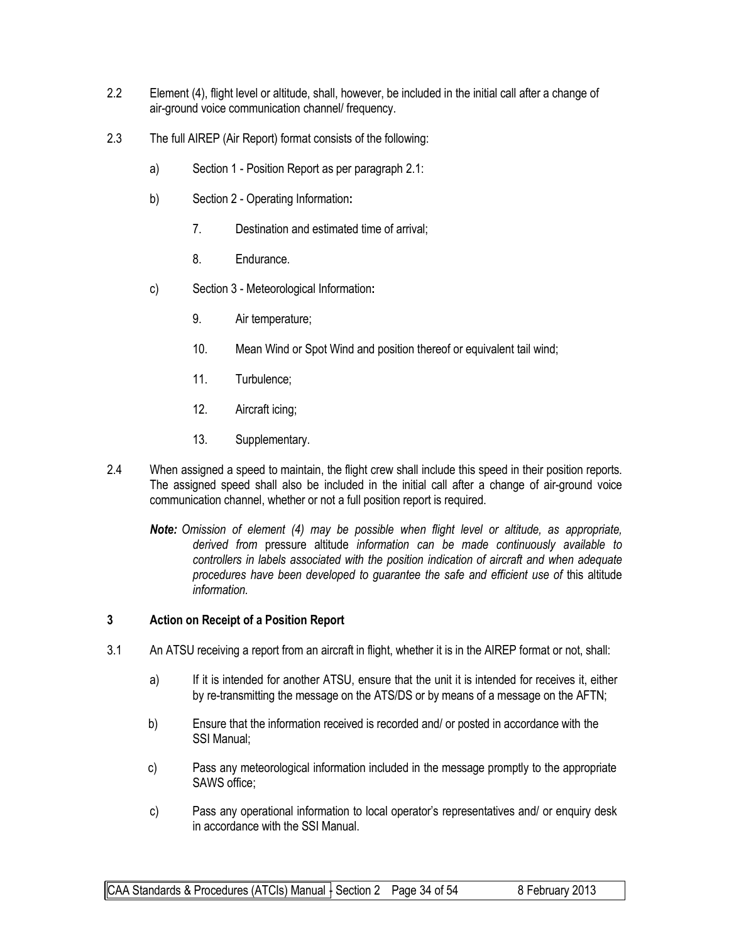- 2.2 Element (4), flight level or altitude, shall, however, be included in the initial call after a change of air-ground voice communication channel/ frequency.
- 2.3 The full AIREP (Air Report) format consists of the following:
	- a) Section 1 Position Report as per paragraph 2.1:
	- b) Section 2 Operating Information**:**
		- 7. Destination and estimated time of arrival;
		- 8. Endurance.
	- c) Section 3 Meteorological Information**:**
		- 9. Air temperature;
		- 10. Mean Wind or Spot Wind and position thereof or equivalent tail wind;
		- 11. Turbulence;
		- 12. Aircraft icing;
		- 13. Supplementary.
- 2.4 When assigned a speed to maintain, the flight crew shall include this speed in their position reports. The assigned speed shall also be included in the initial call after a change of air-ground voice communication channel, whether or not a full position report is required.
	- *Note: Omission of element (4) may be possible when flight level or altitude, as appropriate, derived from* pressure altitude *information can be made continuously available to controllers in labels associated with the position indication of aircraft and when adequate procedures have been developed to guarantee the safe and efficient use of* this altitude *information.*

#### **3 Action on Receipt of a Position Report**

- 3.1 An ATSU receiving a report from an aircraft in flight, whether it is in the AIREP format or not, shall:
	- a) If it is intended for another ATSU, ensure that the unit it is intended for receives it, either by re-transmitting the message on the ATS/DS or by means of a message on the AFTN;
	- b) Ensure that the information received is recorded and/ or posted in accordance with the SSI Manual;
	- c) Pass any meteorological information included in the message promptly to the appropriate SAWS office;
	- c) Pass any operational information to local operator's representatives and/ or enquiry desk in accordance with the SSI Manual.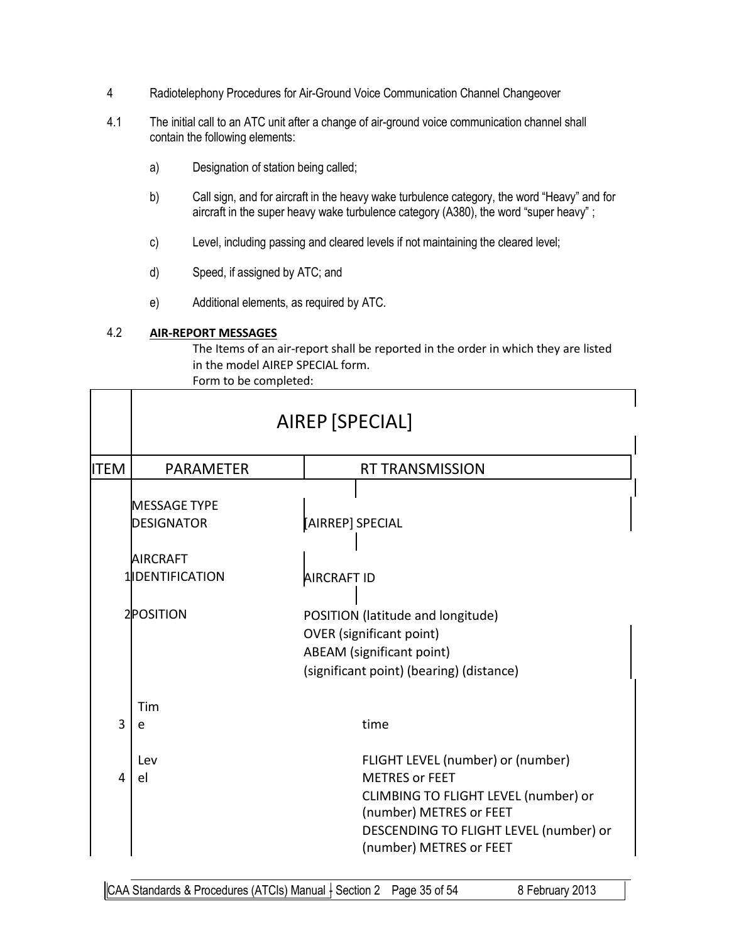- 4 Radiotelephony Procedures for Air-Ground Voice Communication Channel Changeover
- 4.1 The initial call to an ATC unit after a change of air-ground voice communication channel shall contain the following elements:
	- a) Designation of station being called;
	- b) Call sign, and for aircraft in the heavy wake turbulence category, the word "Heavy" and for aircraft in the super heavy wake turbulence category (A380), the word "super heavy" ;
	- c) Level, including passing and cleared levels if not maintaining the cleared level;
	- d) Speed, if assigned by ATC; and
	- e) Additional elements, as required by ATC.

#### 4.2 **AIR-REPORT MESSAGES**

The Items of an air-report shall be reported in the order in which they are listed in the model AIREP SPECIAL form. Form to be completed:

|             | AIREP [SPECIAL]                          |                                                                                                                                                      |  |  |
|-------------|------------------------------------------|------------------------------------------------------------------------------------------------------------------------------------------------------|--|--|
| <b>ITEM</b> | <b>PARAMETER</b>                         | <b>RT TRANSMISSION</b>                                                                                                                               |  |  |
|             | <b>MESSAGE TYPE</b><br><b>DESIGNATOR</b> | [AIRREP] SPECIAL                                                                                                                                     |  |  |
|             | <b>AIRCRAFT</b>                          |                                                                                                                                                      |  |  |
|             | 1 <b>IDENTIFICATION</b>                  | AIRCRAFT ID                                                                                                                                          |  |  |
|             | 2POSITION                                | POSITION (latitude and longitude)<br><b>OVER</b> (significant point)<br><b>ABEAM</b> (significant point)<br>(significant point) (bearing) (distance) |  |  |
|             | Tim                                      |                                                                                                                                                      |  |  |
| 3           | e                                        | time                                                                                                                                                 |  |  |
| 4           | Lev<br>e <sub>l</sub>                    | FLIGHT LEVEL (number) or (number)<br><b>METRES or FEET</b><br>CLIMBING TO FLIGHT LEVEL (number) or<br>(number) METRES or FEET                        |  |  |
|             |                                          | DESCENDING TO FLIGHT LEVEL (number) or<br>(number) METRES or FEET                                                                                    |  |  |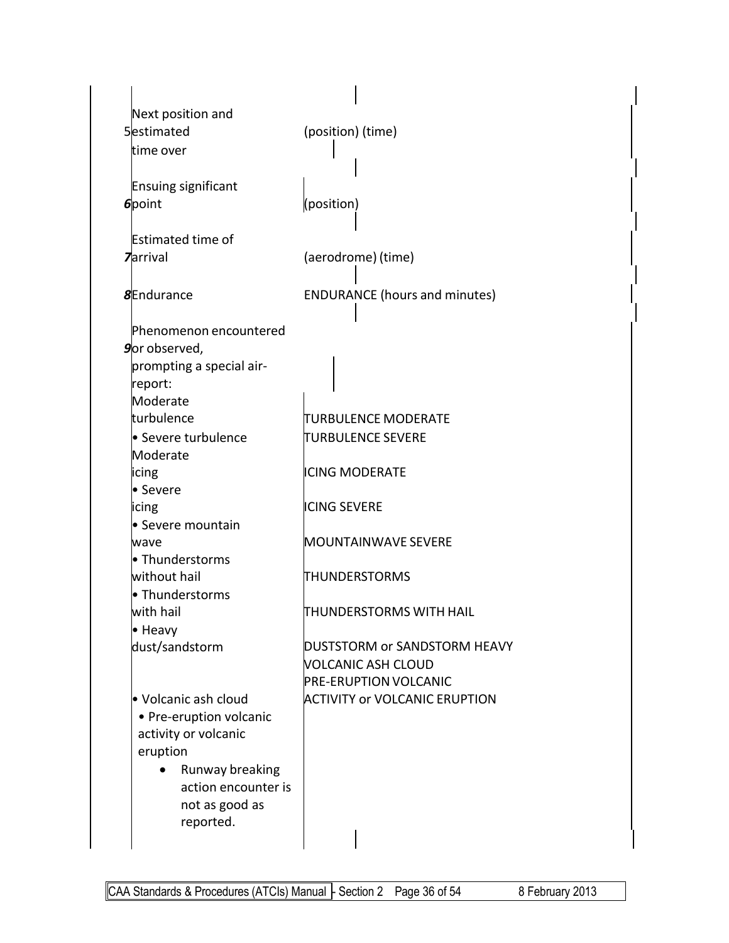| Next position and<br>5estimated<br>time over                                                                                                                                                                                                                      | (position) (time)                                                                                                                       |
|-------------------------------------------------------------------------------------------------------------------------------------------------------------------------------------------------------------------------------------------------------------------|-----------------------------------------------------------------------------------------------------------------------------------------|
| <b>Ensuing significant</b><br>6point                                                                                                                                                                                                                              | (position)                                                                                                                              |
| <b>Estimated time of</b><br><b>Zarrival</b>                                                                                                                                                                                                                       | (aerodrome) (time)                                                                                                                      |
| <b>8Endurance</b>                                                                                                                                                                                                                                                 | <b>ENDURANCE</b> (hours and minutes)                                                                                                    |
| Phenomenon encountered<br><b>9</b> observed,<br>prompting a special air-<br>report:<br>Moderate<br>turbulence<br>· Severe turbulence<br>Moderate<br>icing<br>• Severe<br>icing<br>• Severe mountain<br>wave<br>• Thunderstorms<br>without hail<br>· Thunderstorms | TURBULENCE MODERATE<br>TURBULENCE SEVERE<br><b>ICING MODERATE</b><br><b>ICING SEVERE</b><br><b>MOUNTAINWAVE SEVERE</b><br>THUNDERSTORMS |
| with hail<br>• Heavy                                                                                                                                                                                                                                              | THUNDERSTORMS WITH HAIL                                                                                                                 |
| dust/sandstorm                                                                                                                                                                                                                                                    | DUSTSTORM or SANDSTORM HEAVY<br>VOLCANIC ASH CLOUD<br><b>PRE-ERUPTION VOLCANIC</b>                                                      |
| • Volcanic ash cloud<br>• Pre-eruption volcanic<br>activity or volcanic<br>eruption<br>Runway breaking<br>action encounter is<br>not as good as<br>reported.                                                                                                      | <b>ACTIVITY or VOLCANIC ERUPTION</b>                                                                                                    |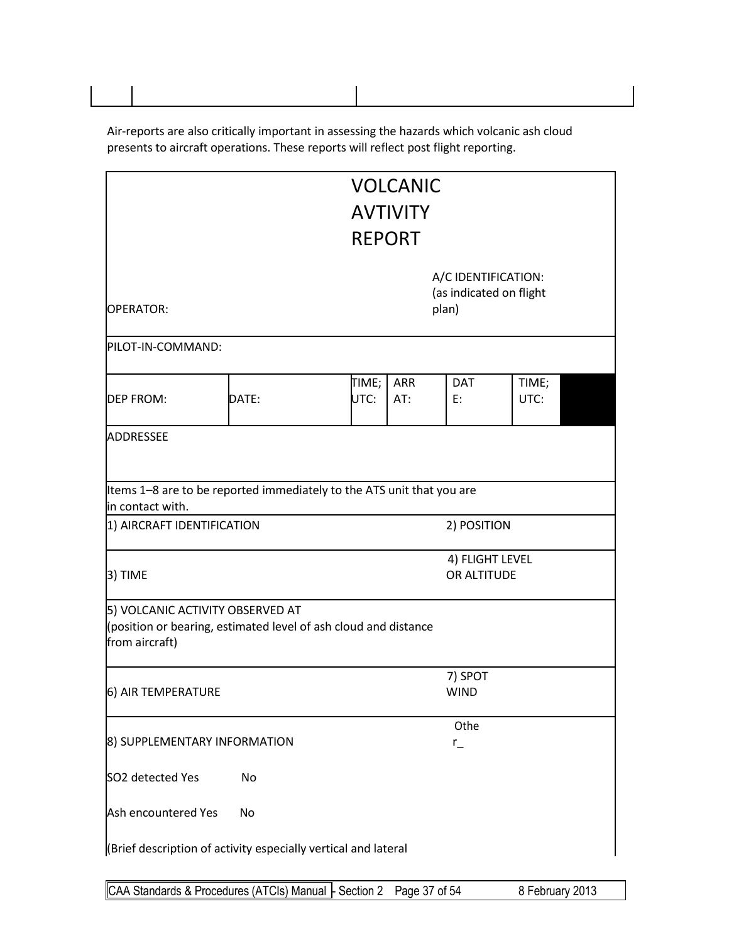Air-reports are also critically important in assessing the hazards which volcanic ash cloud presents to aircraft operations. These reports will reflect post flight reporting.

|                                                                                                                       |                                                                                                                    |               | <b>VOLCANIC</b><br><b>AVTIVITY</b> |                                                |               |  |
|-----------------------------------------------------------------------------------------------------------------------|--------------------------------------------------------------------------------------------------------------------|---------------|------------------------------------|------------------------------------------------|---------------|--|
|                                                                                                                       |                                                                                                                    | <b>REPORT</b> |                                    |                                                |               |  |
| <b>OPERATOR:</b>                                                                                                      |                                                                                                                    |               | plan)                              | A/C IDENTIFICATION:<br>(as indicated on flight |               |  |
| PILOT-IN-COMMAND:                                                                                                     |                                                                                                                    |               |                                    |                                                |               |  |
| <b>DEP FROM:</b>                                                                                                      | DATE:                                                                                                              | TIME;<br>UTC: | <b>ARR</b><br>AT:                  | <b>DAT</b><br>E:                               | TIME;<br>UTC: |  |
| ADDRESSEE                                                                                                             |                                                                                                                    |               |                                    |                                                |               |  |
| in contact with.                                                                                                      | Items 1-8 are to be reported immediately to the ATS unit that you are<br>2) POSITION<br>1) AIRCRAFT IDENTIFICATION |               |                                    |                                                |               |  |
| 3) TIME                                                                                                               |                                                                                                                    |               |                                    | 4) FLIGHT LEVEL<br>OR ALTITUDE                 |               |  |
| 5) VOLCANIC ACTIVITY OBSERVED AT<br>(position or bearing, estimated level of ash cloud and distance<br>from aircraft) |                                                                                                                    |               |                                    |                                                |               |  |
| 6) AIR TEMPERATURE                                                                                                    |                                                                                                                    |               |                                    | 7) SPOT<br><b>WIND</b>                         |               |  |
| 8) SUPPLEMENTARY INFORMATION                                                                                          |                                                                                                                    |               |                                    | Othe<br>$r_{-}$                                |               |  |
| SO2 detected Yes                                                                                                      | No                                                                                                                 |               |                                    |                                                |               |  |
| Ash encountered Yes                                                                                                   | No                                                                                                                 |               |                                    |                                                |               |  |
| (Brief description of activity especially vertical and lateral                                                        |                                                                                                                    |               |                                    |                                                |               |  |

CAA Standards & Procedures (ATCIs) Manual - Section 2 Page 37 of 54 8 February 2013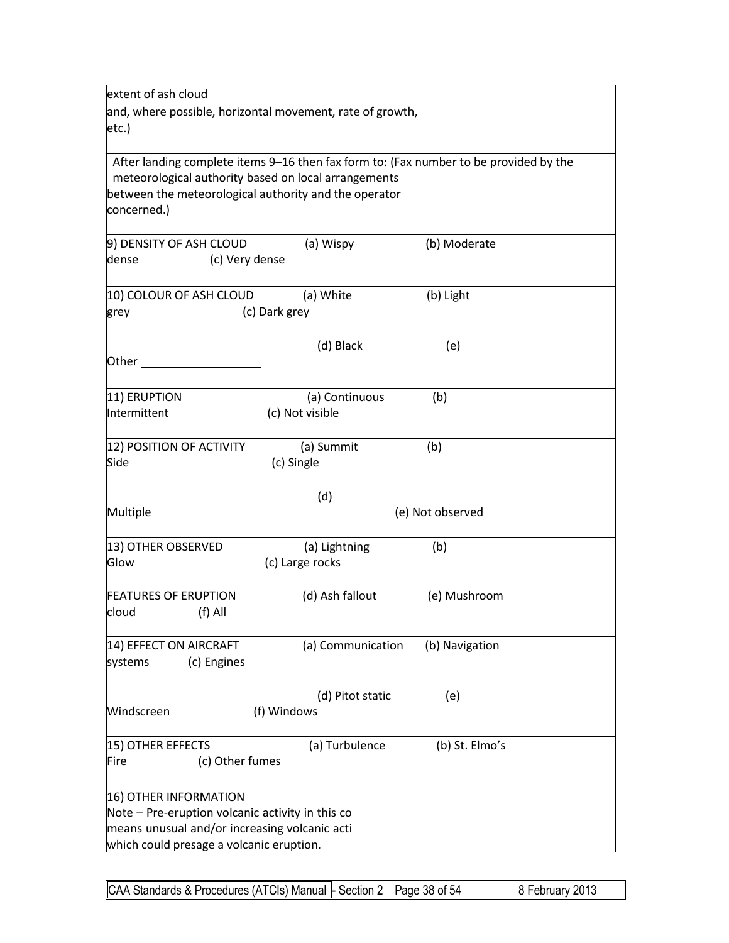| extent of ash cloud                                                                                           |                                                           |                                                                                       |  |  |  |  |
|---------------------------------------------------------------------------------------------------------------|-----------------------------------------------------------|---------------------------------------------------------------------------------------|--|--|--|--|
|                                                                                                               | and, where possible, horizontal movement, rate of growth, |                                                                                       |  |  |  |  |
| etc.)                                                                                                         |                                                           |                                                                                       |  |  |  |  |
|                                                                                                               |                                                           |                                                                                       |  |  |  |  |
|                                                                                                               |                                                           | After landing complete items 9-16 then fax form to: (Fax number to be provided by the |  |  |  |  |
| meteorological authority based on local arrangements<br>between the meteorological authority and the operator |                                                           |                                                                                       |  |  |  |  |
| concerned.)                                                                                                   |                                                           |                                                                                       |  |  |  |  |
|                                                                                                               |                                                           |                                                                                       |  |  |  |  |
| 9) DENSITY OF ASH CLOUD                                                                                       | (a) Wispy                                                 | (b) Moderate                                                                          |  |  |  |  |
| dense<br>(c) Very dense                                                                                       |                                                           |                                                                                       |  |  |  |  |
|                                                                                                               |                                                           |                                                                                       |  |  |  |  |
| 10) COLOUR OF ASH CLOUD                                                                                       | (a) White                                                 | (b) Light                                                                             |  |  |  |  |
| grey                                                                                                          | (c) Dark grey                                             |                                                                                       |  |  |  |  |
|                                                                                                               |                                                           |                                                                                       |  |  |  |  |
|                                                                                                               | (d) Black                                                 | (e)                                                                                   |  |  |  |  |
| Other                                                                                                         |                                                           |                                                                                       |  |  |  |  |
|                                                                                                               |                                                           |                                                                                       |  |  |  |  |
| 11) ERUPTION                                                                                                  | (a) Continuous                                            | (b)                                                                                   |  |  |  |  |
| Intermittent                                                                                                  | (c) Not visible                                           |                                                                                       |  |  |  |  |
|                                                                                                               |                                                           |                                                                                       |  |  |  |  |
| 12) POSITION OF ACTIVITY                                                                                      | (a) Summit                                                | (b)                                                                                   |  |  |  |  |
| Side                                                                                                          | (c) Single                                                |                                                                                       |  |  |  |  |
|                                                                                                               |                                                           |                                                                                       |  |  |  |  |
|                                                                                                               | (d)                                                       |                                                                                       |  |  |  |  |
| Multiple                                                                                                      |                                                           | (e) Not observed                                                                      |  |  |  |  |
| 13) OTHER OBSERVED                                                                                            | (a) Lightning                                             | (b)                                                                                   |  |  |  |  |
| Glow                                                                                                          | (c) Large rocks                                           |                                                                                       |  |  |  |  |
|                                                                                                               |                                                           |                                                                                       |  |  |  |  |
| <b>FEATURES OF ERUPTION</b>                                                                                   | (d) Ash fallout                                           | (e) Mushroom                                                                          |  |  |  |  |
| cloud<br>$(f)$ All                                                                                            |                                                           |                                                                                       |  |  |  |  |
|                                                                                                               |                                                           |                                                                                       |  |  |  |  |
| 14) EFFECT ON AIRCRAFT                                                                                        | (a) Communication                                         | (b) Navigation                                                                        |  |  |  |  |
| (c) Engines<br>systems                                                                                        |                                                           |                                                                                       |  |  |  |  |
|                                                                                                               |                                                           |                                                                                       |  |  |  |  |
|                                                                                                               | (d) Pitot static                                          | (e)                                                                                   |  |  |  |  |
| Windscreen                                                                                                    | (f) Windows                                               |                                                                                       |  |  |  |  |
|                                                                                                               |                                                           |                                                                                       |  |  |  |  |
| 15) OTHER EFFECTS<br>(c) Other fumes<br>Fire                                                                  | (a) Turbulence                                            | (b) St. Elmo's                                                                        |  |  |  |  |
|                                                                                                               |                                                           |                                                                                       |  |  |  |  |
| 16) OTHER INFORMATION                                                                                         |                                                           |                                                                                       |  |  |  |  |
| Note - Pre-eruption volcanic activity in this co                                                              |                                                           |                                                                                       |  |  |  |  |
| means unusual and/or increasing volcanic acti                                                                 |                                                           |                                                                                       |  |  |  |  |
| which could presage a volcanic eruption.                                                                      |                                                           |                                                                                       |  |  |  |  |

CAA Standards & Procedures (ATCIs) Manual - Section 2 Page 38 of 54 8 February 2013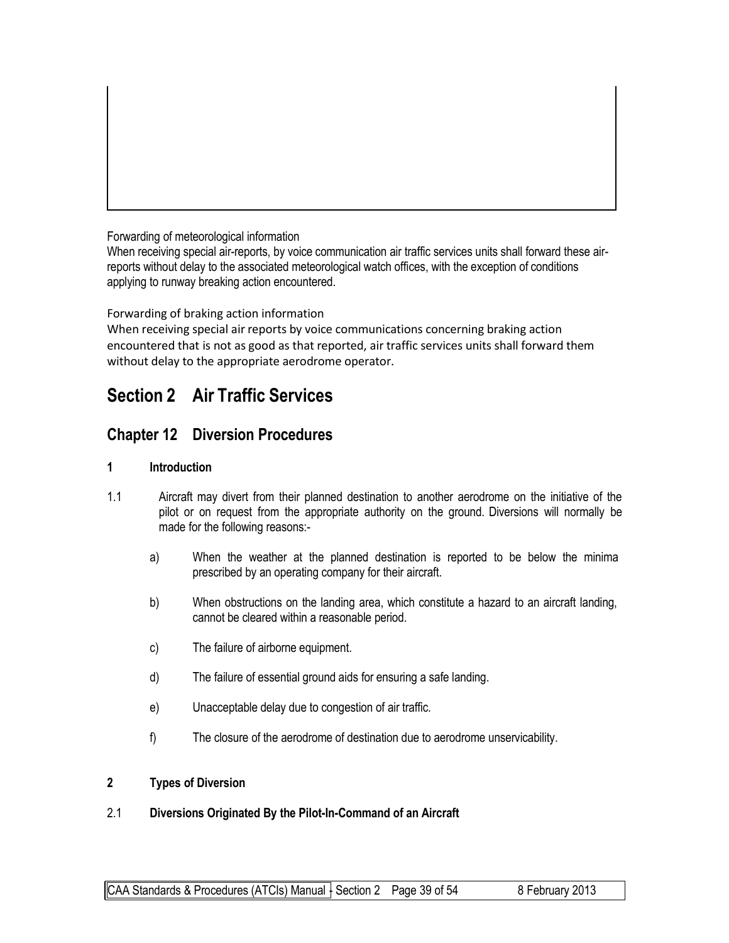Forwarding of meteorological information

When receiving special air-reports, by voice communication air traffic services units shall forward these airreports without delay to the associated meteorological watch offices, with the exception of conditions applying to runway breaking action encountered.

Forwarding of braking action information

When receiving special air reports by voice communications concerning braking action encountered that is not as good as that reported, air traffic services units shall forward them without delay to the appropriate aerodrome operator.

## **Section 2 Air Traffic Services**

### **Chapter 12 Diversion Procedures**

#### **1 Introduction**

- 1.1 Aircraft may divert from their planned destination to another aerodrome on the initiative of the pilot or on request from the appropriate authority on the ground. Diversions will normally be made for the following reasons:
	- a) When the weather at the planned destination is reported to be below the minima prescribed by an operating company for their aircraft.
	- b) When obstructions on the landing area, which constitute a hazard to an aircraft landing, cannot be cleared within a reasonable period.
	- c) The failure of airborne equipment.
	- d) The failure of essential ground aids for ensuring a safe landing.
	- e) Unacceptable delay due to congestion of air traffic.
	- f) The closure of the aerodrome of destination due to aerodrome unservicability.

#### **2 Types of Diversion**

#### 2.1 **Diversions Originated By the Pilot-In-Command of an Aircraft**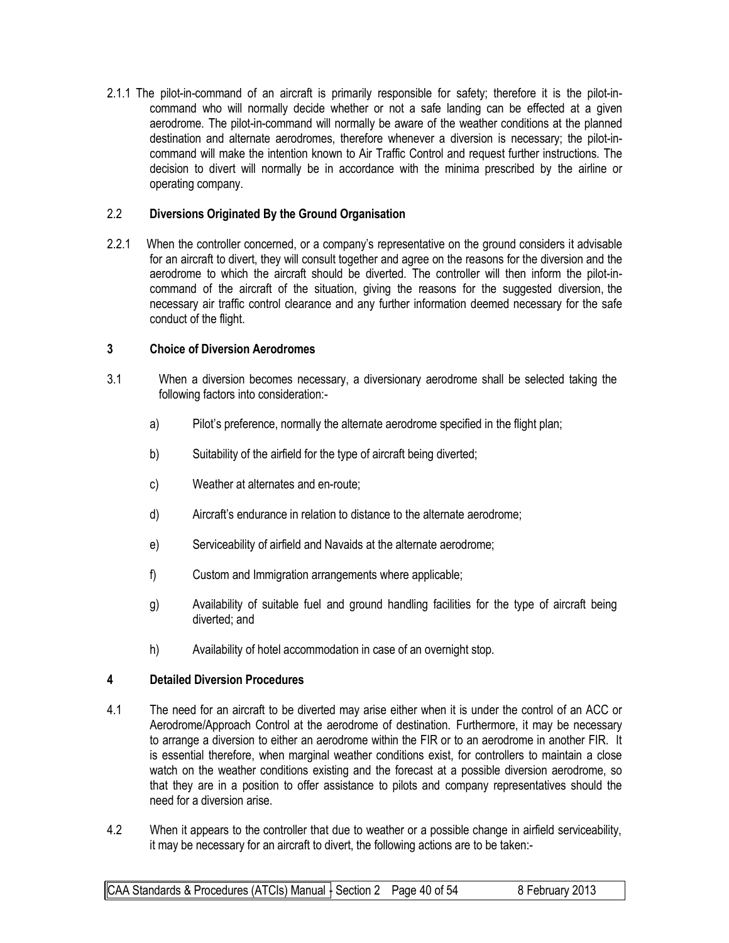2.1.1 The pilot-in-command of an aircraft is primarily responsible for safety; therefore it is the pilot-incommand who will normally decide whether or not a safe landing can be effected at a given aerodrome. The pilot-in-command will normally be aware of the weather conditions at the planned destination and alternate aerodromes, therefore whenever a diversion is necessary; the pilot-incommand will make the intention known to Air Traffic Control and request further instructions. The decision to divert will normally be in accordance with the minima prescribed by the airline or operating company.

#### 2.2 **Diversions Originated By the Ground Organisation**

2.2.1 When the controller concerned, or a company's representative on the ground considers it advisable for an aircraft to divert, they will consult together and agree on the reasons for the diversion and the aerodrome to which the aircraft should be diverted. The controller will then inform the pilot-incommand of the aircraft of the situation, giving the reasons for the suggested diversion, the necessary air traffic control clearance and any further information deemed necessary for the safe conduct of the flight.

#### **3 Choice of Diversion Aerodromes**

- 3.1 When a diversion becomes necessary, a diversionary aerodrome shall be selected taking the following factors into consideration:
	- a) Pilot's preference, normally the alternate aerodrome specified in the flight plan;
	- b) Suitability of the airfield for the type of aircraft being diverted;
	- c) Weather at alternates and en-route;
	- d) Aircraft's endurance in relation to distance to the alternate aerodrome;
	- e) Serviceability of airfield and Navaids at the alternate aerodrome;
	- f) Custom and Immigration arrangements where applicable;
	- g) Availability of suitable fuel and ground handling facilities for the type of aircraft being diverted; and
	- h) Availability of hotel accommodation in case of an overnight stop.

#### **4 Detailed Diversion Procedures**

- 4.1 The need for an aircraft to be diverted may arise either when it is under the control of an ACC or Aerodrome/Approach Control at the aerodrome of destination. Furthermore, it may be necessary to arrange a diversion to either an aerodrome within the FIR or to an aerodrome in another FIR. It is essential therefore, when marginal weather conditions exist, for controllers to maintain a close watch on the weather conditions existing and the forecast at a possible diversion aerodrome, so that they are in a position to offer assistance to pilots and company representatives should the need for a diversion arise.
- 4.2 When it appears to the controller that due to weather or a possible change in airfield serviceability, it may be necessary for an aircraft to divert, the following actions are to be taken:-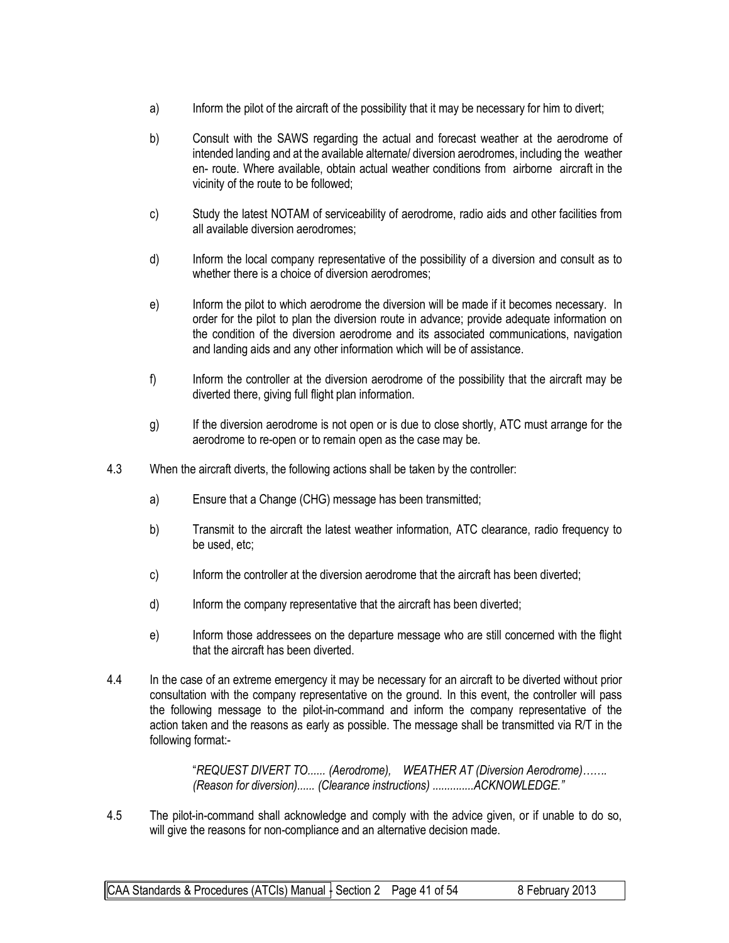- a) Inform the pilot of the aircraft of the possibility that it may be necessary for him to divert;
- b) Consult with the SAWS regarding the actual and forecast weather at the aerodrome of intended landing and at the available alternate/ diversion aerodromes, including the weather en- route. Where available, obtain actual weather conditions from airborne aircraft in the vicinity of the route to be followed;
- c) Study the latest NOTAM of serviceability of aerodrome, radio aids and other facilities from all available diversion aerodromes;
- d) Inform the local company representative of the possibility of a diversion and consult as to whether there is a choice of diversion aerodromes;
- e) Inform the pilot to which aerodrome the diversion will be made if it becomes necessary. In order for the pilot to plan the diversion route in advance; provide adequate information on the condition of the diversion aerodrome and its associated communications, navigation and landing aids and any other information which will be of assistance.
- f) Inform the controller at the diversion aerodrome of the possibility that the aircraft may be diverted there, giving full flight plan information.
- g) If the diversion aerodrome is not open or is due to close shortly, ATC must arrange for the aerodrome to re-open or to remain open as the case may be.
- 4.3 When the aircraft diverts, the following actions shall be taken by the controller:
	- a) Ensure that a Change (CHG) message has been transmitted;
	- b) Transmit to the aircraft the latest weather information, ATC clearance, radio frequency to be used, etc;
	- c) Inform the controller at the diversion aerodrome that the aircraft has been diverted;
	- d) Inform the company representative that the aircraft has been diverted;
	- e) Inform those addressees on the departure message who are still concerned with the flight that the aircraft has been diverted.
- 4.4 In the case of an extreme emergency it may be necessary for an aircraft to be diverted without prior consultation with the company representative on the ground. In this event, the controller will pass the following message to the pilot-in-command and inform the company representative of the action taken and the reasons as early as possible. The message shall be transmitted via R/T in the following format:-

"*REQUEST DIVERT TO...... (Aerodrome), WEATHER AT (Diversion Aerodrome)……. (Reason for diversion)...... (Clearance instructions) ..............ACKNOWLEDGE."*

4.5 The pilot-in-command shall acknowledge and comply with the advice given, or if unable to do so, will give the reasons for non-compliance and an alternative decision made.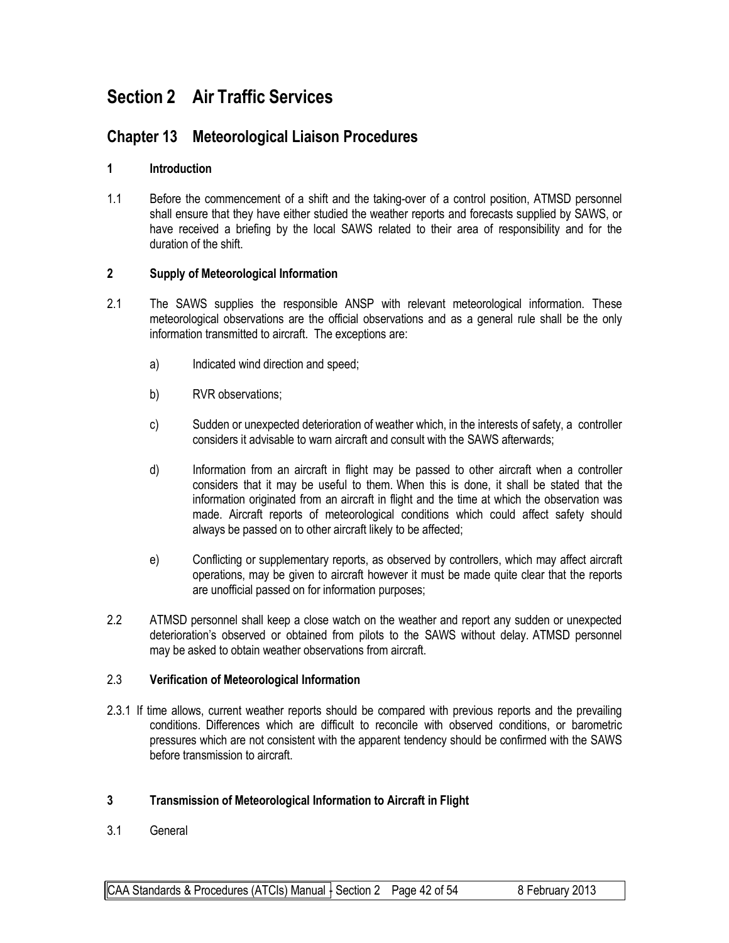# **Section 2 Air Traffic Services**

## **Chapter 13 Meteorological Liaison Procedures**

#### **1 Introduction**

1.1 Before the commencement of a shift and the taking-over of a control position, ATMSD personnel shall ensure that they have either studied the weather reports and forecasts supplied by SAWS, or have received a briefing by the local SAWS related to their area of responsibility and for the duration of the shift.

#### **2 Supply of Meteorological Information**

- 2.1 The SAWS supplies the responsible ANSP with relevant meteorological information. These meteorological observations are the official observations and as a general rule shall be the only information transmitted to aircraft. The exceptions are:
	- a) Indicated wind direction and speed;
	- b) RVR observations;
	- c) Sudden or unexpected deterioration of weather which, in the interests of safety, a controller considers it advisable to warn aircraft and consult with the SAWS afterwards;
	- d) Information from an aircraft in flight may be passed to other aircraft when a controller considers that it may be useful to them. When this is done, it shall be stated that the information originated from an aircraft in flight and the time at which the observation was made. Aircraft reports of meteorological conditions which could affect safety should always be passed on to other aircraft likely to be affected;
	- e) Conflicting or supplementary reports, as observed by controllers, which may affect aircraft operations, may be given to aircraft however it must be made quite clear that the reports are unofficial passed on for information purposes;
- 2.2 ATMSD personnel shall keep a close watch on the weather and report any sudden or unexpected deterioration's observed or obtained from pilots to the SAWS without delay. ATMSD personnel may be asked to obtain weather observations from aircraft.

#### 2.3 **Verification of Meteorological Information**

2.3.1 If time allows, current weather reports should be compared with previous reports and the prevailing conditions. Differences which are difficult to reconcile with observed conditions, or barometric pressures which are not consistent with the apparent tendency should be confirmed with the SAWS before transmission to aircraft.

#### **3 Transmission of Meteorological Information to Aircraft in Flight**

3.1 General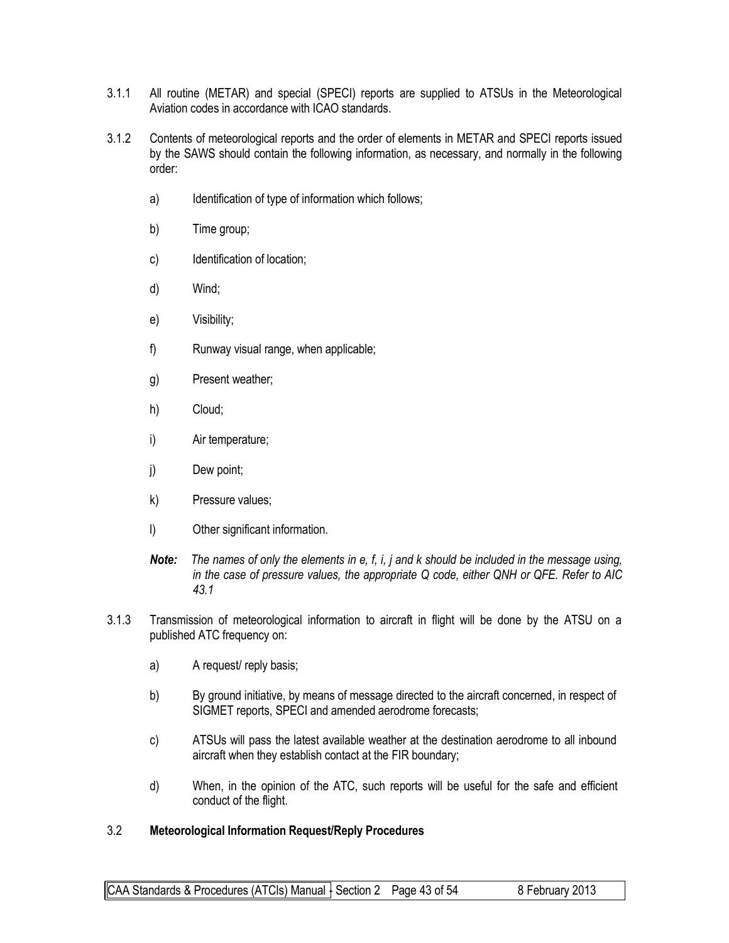- 3.1.1 All routine (METAR) and special (SPECI) reports are supplied to ATSUs in the Meteorological Aviation codes in accordance with ICAO standards.
- 3.1.2 Contents of meteorological reports and the order of elements in METAR and SPECI reports issued by the SAWS should contain the following information, as necessary, and normally in the following order:
	- a) Identification of type of information which follows;
	- b) Time group;
	- c) Identification of location;
	- d) Wind;
	- e) Visibility;
	- f) Runway visual range, when applicable;
	- g) Present weather;
	- h) Cloud;
	- i) Air temperature;
	- j) Dew point;
	- k) Pressure values;
	- l) Other significant information.
	- *Note: The names of only the elements in e, f, i, j and k should be included in the message using, in the case of pressure values, the appropriate Q code, either QNH or QFE. Refer to AIC 43.1*
- 3.1.3 Transmission of meteorological information to aircraft in flight will be done by the ATSU on a published ATC frequency on:
	- a) A request/ reply basis;
	- b) By ground initiative, by means of message directed to the aircraft concerned, in respect of SIGMET reports, SPECI and amended aerodrome forecasts;
	- c) ATSUs will pass the latest available weather at the destination aerodrome to all inbound aircraft when they establish contact at the FIR boundary;
	- d) When, in the opinion of the ATC, such reports will be useful for the safe and efficient conduct of the flight.

#### 3.2 **Meteorological Information Request/Reply Procedures**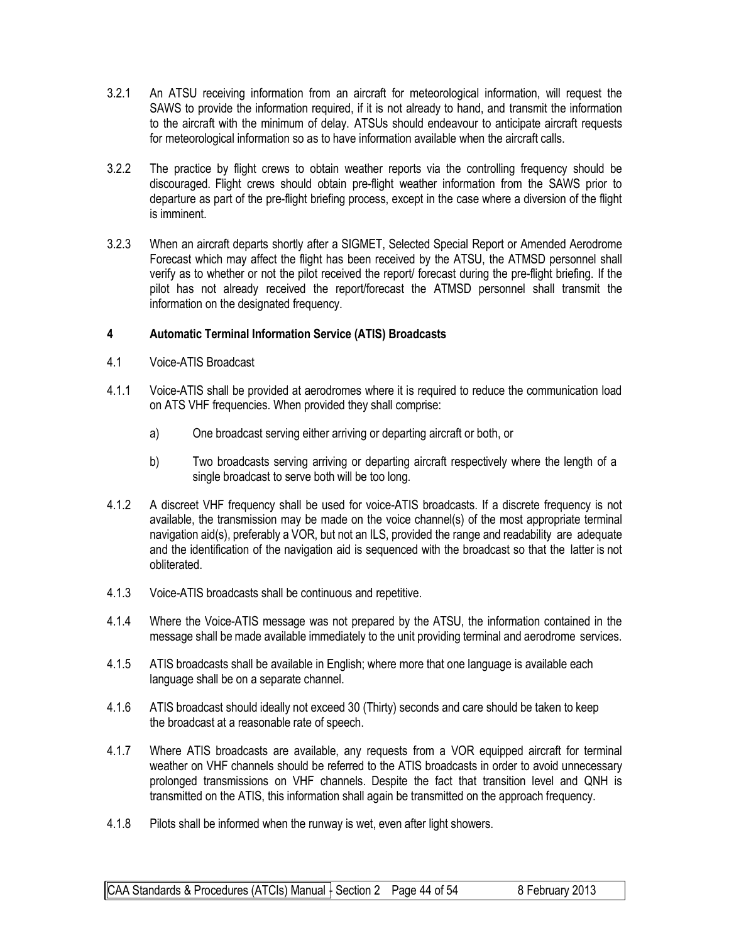- 3.2.1 An ATSU receiving information from an aircraft for meteorological information, will request the SAWS to provide the information required, if it is not already to hand, and transmit the information to the aircraft with the minimum of delay. ATSUs should endeavour to anticipate aircraft requests for meteorological information so as to have information available when the aircraft calls.
- 3.2.2 The practice by flight crews to obtain weather reports via the controlling frequency should be discouraged. Flight crews should obtain pre-flight weather information from the SAWS prior to departure as part of the pre-flight briefing process, except in the case where a diversion of the flight is imminent.
- 3.2.3 When an aircraft departs shortly after a SIGMET, Selected Special Report or Amended Aerodrome Forecast which may affect the flight has been received by the ATSU, the ATMSD personnel shall verify as to whether or not the pilot received the report/ forecast during the pre-flight briefing. If the pilot has not already received the report/forecast the ATMSD personnel shall transmit the information on the designated frequency.

#### **4 Automatic Terminal Information Service (ATIS) Broadcasts**

- 4.1 Voice-ATIS Broadcast
- 4.1.1 Voice-ATIS shall be provided at aerodromes where it is required to reduce the communication load on ATS VHF frequencies. When provided they shall comprise:
	- a) One broadcast serving either arriving or departing aircraft or both, or
	- b) Two broadcasts serving arriving or departing aircraft respectively where the length of a single broadcast to serve both will be too long.
- 4.1.2 A discreet VHF frequency shall be used for voice-ATIS broadcasts. If a discrete frequency is not available, the transmission may be made on the voice channel(s) of the most appropriate terminal navigation aid(s), preferably a VOR, but not an ILS, provided the range and readability are adequate and the identification of the navigation aid is sequenced with the broadcast so that the latter is not obliterated.
- 4.1.3 Voice-ATIS broadcasts shall be continuous and repetitive.
- 4.1.4 Where the Voice-ATIS message was not prepared by the ATSU, the information contained in the message shall be made available immediately to the unit providing terminal and aerodrome services.
- 4.1.5 ATIS broadcasts shall be available in English; where more that one language is available each language shall be on a separate channel.
- 4.1.6 ATIS broadcast should ideally not exceed 30 (Thirty) seconds and care should be taken to keep the broadcast at a reasonable rate of speech.
- 4.1.7 Where ATIS broadcasts are available, any requests from a VOR equipped aircraft for terminal weather on VHF channels should be referred to the ATIS broadcasts in order to avoid unnecessary prolonged transmissions on VHF channels. Despite the fact that transition level and QNH is transmitted on the ATIS, this information shall again be transmitted on the approach frequency.
- 4.1.8 Pilots shall be informed when the runway is wet, even after light showers.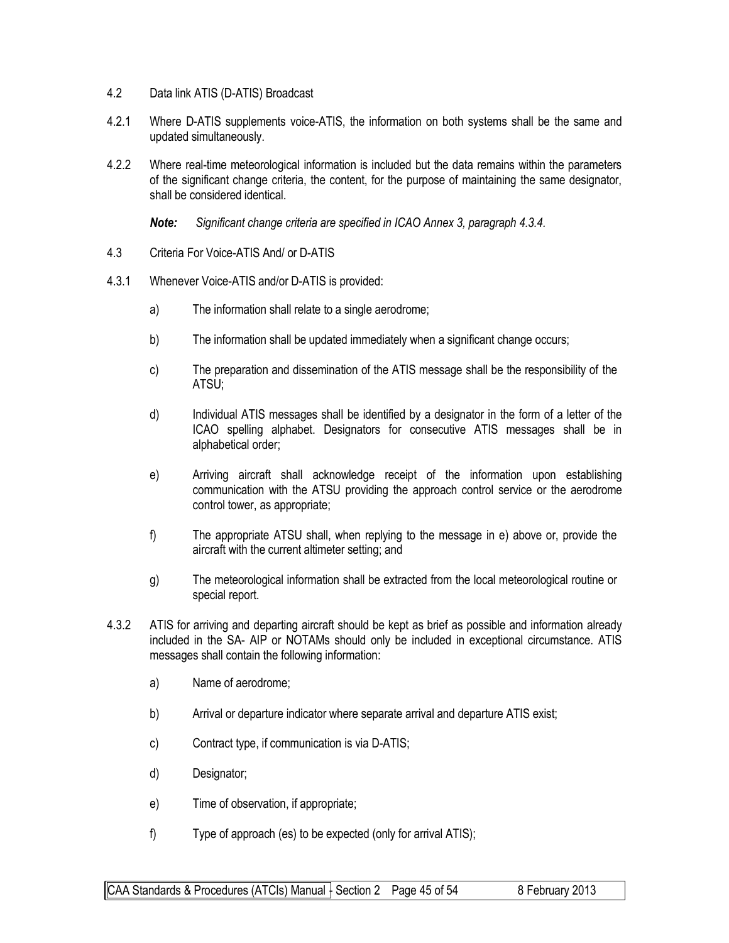- 4.2 Data link ATIS (D-ATIS) Broadcast
- 4.2.1 Where D-ATIS supplements voice-ATIS, the information on both systems shall be the same and updated simultaneously.
- 4.2.2 Where real-time meteorological information is included but the data remains within the parameters of the significant change criteria, the content, for the purpose of maintaining the same designator, shall be considered identical.

*Note: Significant change criteria are specified in ICAO Annex 3, paragraph 4.3.4.*

- 4.3 Criteria For Voice-ATIS And/ or D-ATIS
- 4.3.1 Whenever Voice-ATIS and/or D-ATIS is provided:
	- a) The information shall relate to a single aerodrome;
	- b) The information shall be updated immediately when a significant change occurs;
	- c) The preparation and dissemination of the ATIS message shall be the responsibility of the ATSU;
	- d) Individual ATIS messages shall be identified by a designator in the form of a letter of the ICAO spelling alphabet. Designators for consecutive ATIS messages shall be in alphabetical order;
	- e) Arriving aircraft shall acknowledge receipt of the information upon establishing communication with the ATSU providing the approach control service or the aerodrome control tower, as appropriate;
	- f) The appropriate ATSU shall, when replying to the message in e) above or, provide the aircraft with the current altimeter setting; and
	- g) The meteorological information shall be extracted from the local meteorological routine or special report.
- 4.3.2 ATIS for arriving and departing aircraft should be kept as brief as possible and information already included in the SA- AIP or NOTAMs should only be included in exceptional circumstance. ATIS messages shall contain the following information:
	- a) Name of aerodrome;
	- b) Arrival or departure indicator where separate arrival and departure ATIS exist;
	- c) Contract type, if communication is via D-ATIS;
	- d) Designator;
	- e) Time of observation, if appropriate;
	- f) Type of approach (es) to be expected (only for arrival ATIS);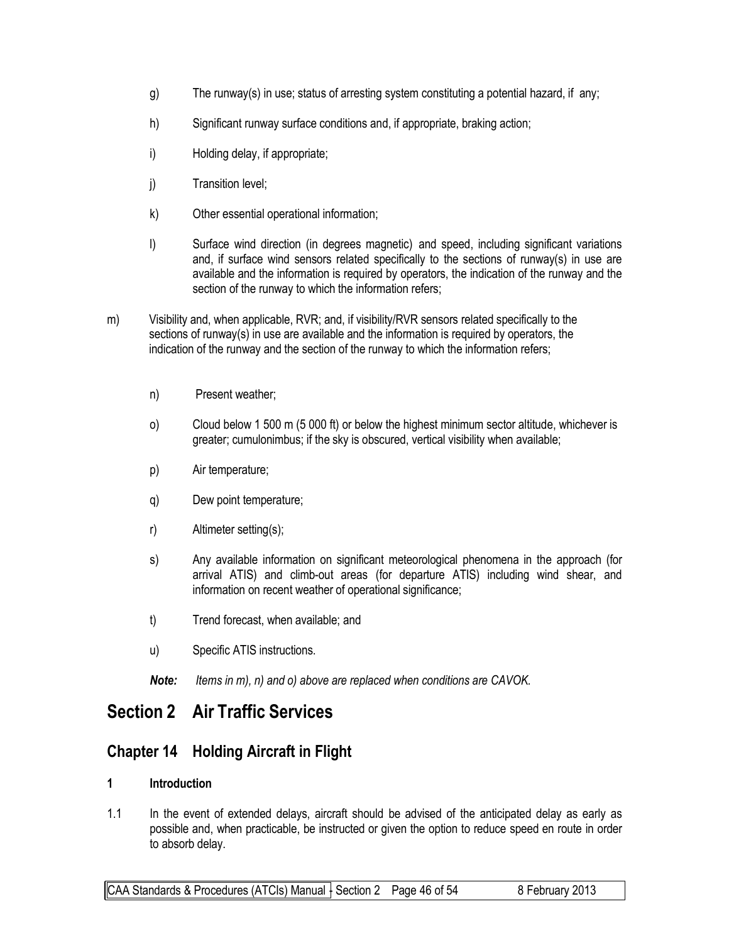- g) The runway(s) in use; status of arresting system constituting a potential hazard, if any;
- h) Significant runway surface conditions and, if appropriate, braking action;
- i) Holding delay, if appropriate;
- j) Transition level;
- k) Other essential operational information;
- l) Surface wind direction (in degrees magnetic) and speed, including significant variations and, if surface wind sensors related specifically to the sections of runway(s) in use are available and the information is required by operators, the indication of the runway and the section of the runway to which the information refers;
- m) Visibility and, when applicable, RVR; and, if visibility/RVR sensors related specifically to the sections of runway(s) in use are available and the information is required by operators, the indication of the runway and the section of the runway to which the information refers;
	- n) Present weather;
	- o) Cloud below 1 500 m (5 000 ft) or below the highest minimum sector altitude, whichever is greater; cumulonimbus; if the sky is obscured, vertical visibility when available;
	- p) Air temperature;
	- q) Dew point temperature;
	- r) Altimeter setting(s);
	- s) Any available information on significant meteorological phenomena in the approach (for arrival ATIS) and climb-out areas (for departure ATIS) including wind shear, and information on recent weather of operational significance;
	- t) Trend forecast, when available; and
	- u) Specific ATIS instructions.
	- *Note: Items in m), n) and o) above are replaced when conditions are CAVOK.*

## **Section 2 Air Traffic Services**

## **Chapter 14 Holding Aircraft in Flight**

#### **1 Introduction**

1.1 In the event of extended delays, aircraft should be advised of the anticipated delay as early as possible and, when practicable, be instructed or given the option to reduce speed en route in order to absorb delay.

CAA Standards & Procedures (ATCIs) Manual  $\frac{1}{2}$  Section 2 Page 46 of 54 8 February 2013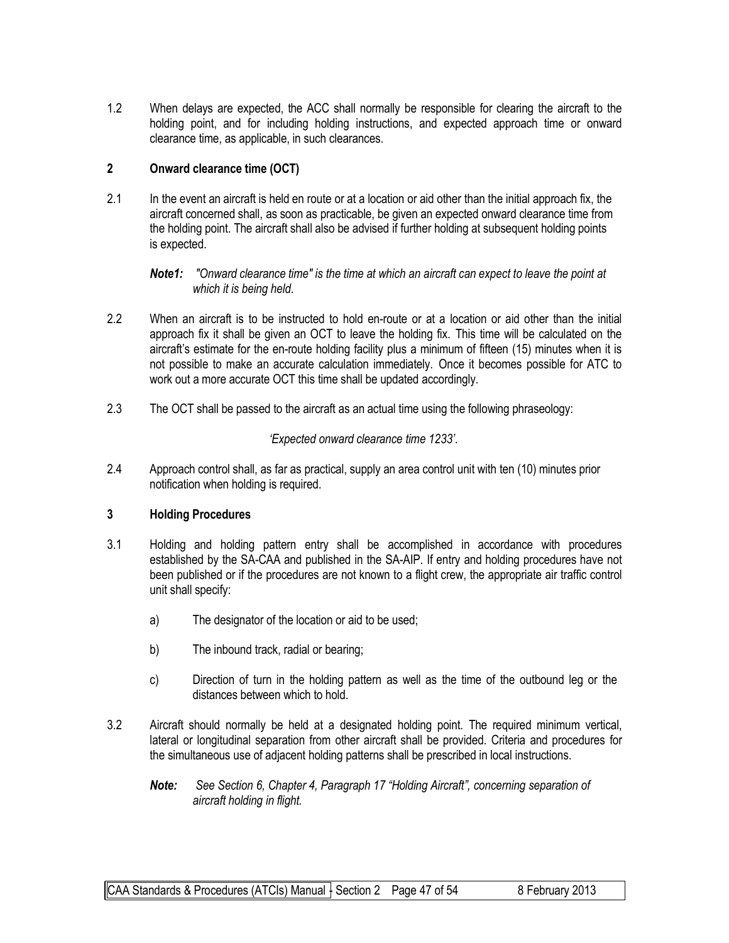1.2 When delays are expected, the ACC shall normally be responsible for clearing the aircraft to the holding point, and for including holding instructions, and expected approach time or onward clearance time, as applicable, in such clearances.

#### **2 Onward clearance time (OCT)**

2.1 In the event an aircraft is held en route or at a location or aid other than the initial approach fix, the aircraft concerned shall, as soon as practicable, be given an expected onward clearance time from the holding point. The aircraft shall also be advised if further holding at subsequent holding points is expected.

*Note1: "Onward clearance time" is the time at which an aircraft can expect to leave the point at which it is being held.*

- 2.2 When an aircraft is to be instructed to hold en-route or at a location or aid other than the initial approach fix it shall be given an OCT to leave the holding fix. This time will be calculated on the aircraft's estimate for the en-route holding facility plus a minimum of fifteen (15) minutes when it is not possible to make an accurate calculation immediately. Once it becomes possible for ATC to work out a more accurate OCT this time shall be updated accordingly.
- 2.3 The OCT shall be passed to the aircraft as an actual time using the following phraseology:

#### *'Expected onward clearance time 1233'*.

2.4 Approach control shall, as far as practical, supply an area control unit with ten (10) minutes prior notification when holding is required.

#### **3 Holding Procedures**

- 3.1 Holding and holding pattern entry shall be accomplished in accordance with procedures established by the SA-CAA and published in the SA-AIP. If entry and holding procedures have not been published or if the procedures are not known to a flight crew, the appropriate air traffic control unit shall specify:
	- a) The designator of the location or aid to be used;
	- b) The inbound track, radial or bearing;
	- c) Direction of turn in the holding pattern as well as the time of the outbound leg or the distances between which to hold.
- 3.2 Aircraft should normally be held at a designated holding point. The required minimum vertical, lateral or longitudinal separation from other aircraft shall be provided. Criteria and procedures for the simultaneous use of adjacent holding patterns shall be prescribed in local instructions.
	- *Note: See Section 6, Chapter 4, Paragraph 17 "Holding Aircraft", concerning separation of aircraft holding in flight.*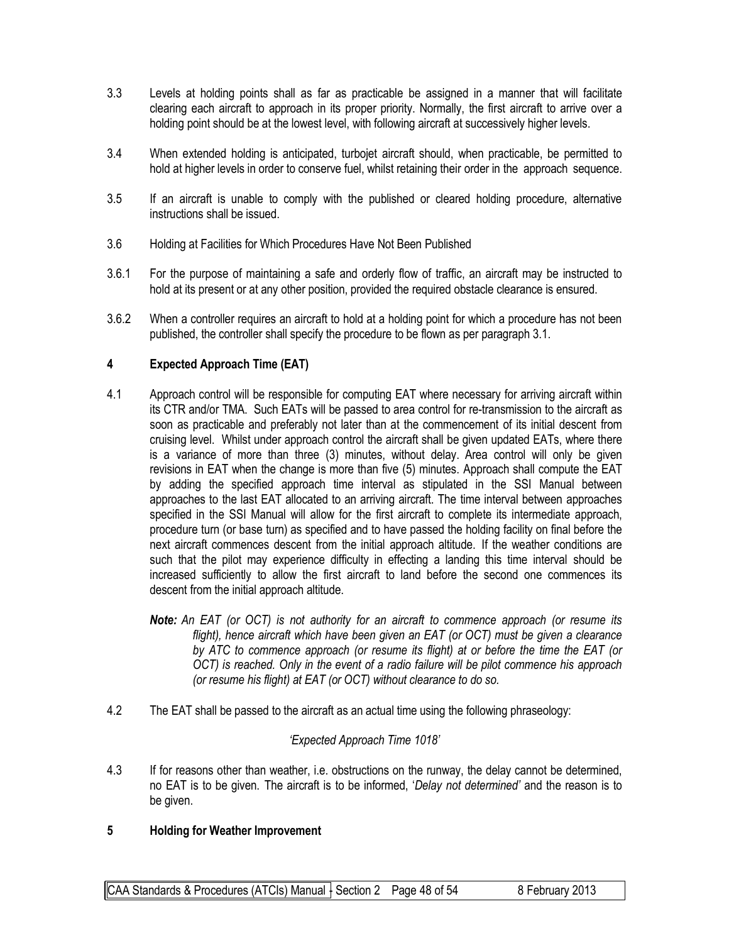- 3.3 Levels at holding points shall as far as practicable be assigned in a manner that will facilitate clearing each aircraft to approach in its proper priority. Normally, the first aircraft to arrive over a holding point should be at the lowest level, with following aircraft at successively higher levels.
- 3.4 When extended holding is anticipated, turbojet aircraft should, when practicable, be permitted to hold at higher levels in order to conserve fuel, whilst retaining their order in the approach sequence.
- 3.5 If an aircraft is unable to comply with the published or cleared holding procedure, alternative instructions shall be issued.
- 3.6 Holding at Facilities for Which Procedures Have Not Been Published
- 3.6.1 For the purpose of maintaining a safe and orderly flow of traffic, an aircraft may be instructed to hold at its present or at any other position, provided the required obstacle clearance is ensured.
- 3.6.2 When a controller requires an aircraft to hold at a holding point for which a procedure has not been published, the controller shall specify the procedure to be flown as per paragraph 3.1.

#### **4 Expected Approach Time (EAT)**

- 4.1 Approach control will be responsible for computing EAT where necessary for arriving aircraft within its CTR and/or TMA. Such EATs will be passed to area control for re-transmission to the aircraft as soon as practicable and preferably not later than at the commencement of its initial descent from cruising level. Whilst under approach control the aircraft shall be given updated EATs, where there is a variance of more than three (3) minutes, without delay. Area control will only be given revisions in EAT when the change is more than five (5) minutes. Approach shall compute the EAT by adding the specified approach time interval as stipulated in the SSI Manual between approaches to the last EAT allocated to an arriving aircraft. The time interval between approaches specified in the SSI Manual will allow for the first aircraft to complete its intermediate approach, procedure turn (or base turn) as specified and to have passed the holding facility on final before the next aircraft commences descent from the initial approach altitude. If the weather conditions are such that the pilot may experience difficulty in effecting a landing this time interval should be increased sufficiently to allow the first aircraft to land before the second one commences its descent from the initial approach altitude.
	- *Note: An EAT (or OCT) is not authority for an aircraft to commence approach (or resume its flight), hence aircraft which have been given an EAT (or OCT) must be given a clearance by ATC to commence approach (or resume its flight) at or before the time the EAT (or OCT) is reached. Only in the event of a radio failure will be pilot commence his approach (or resume his flight) at EAT (or OCT) without clearance to do so.*
- 4.2 The EAT shall be passed to the aircraft as an actual time using the following phraseology:

#### *'Expected Approach Time 1018'*

4.3 If for reasons other than weather, i.e. obstructions on the runway, the delay cannot be determined, no EAT is to be given. The aircraft is to be informed, '*Delay not determined'* and the reason is to be given.

#### **5 Holding for Weather Improvement**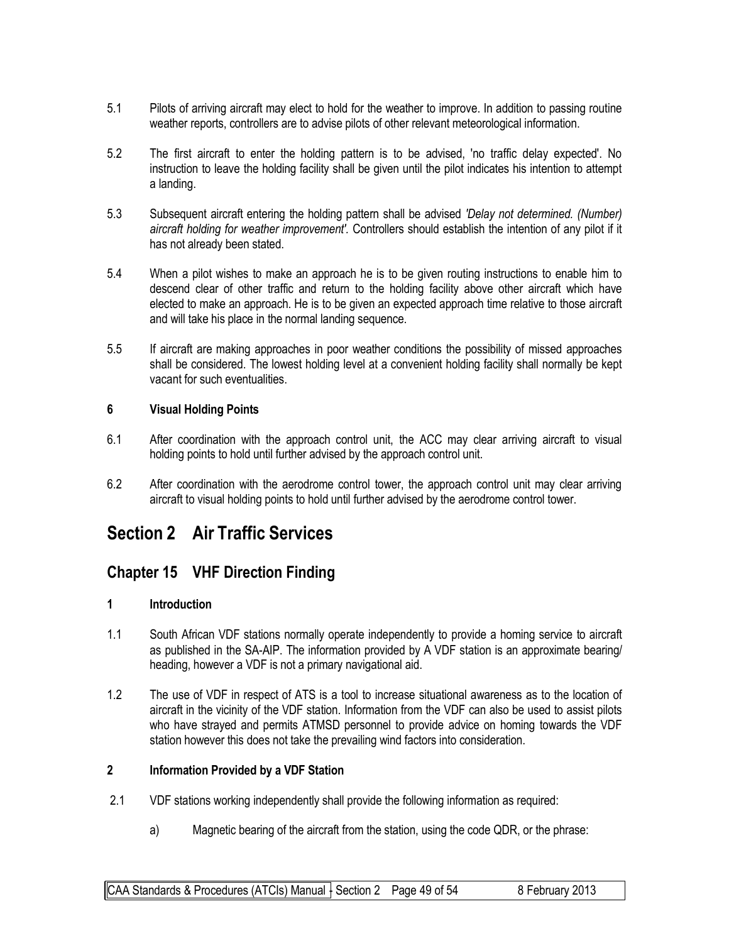- 5.1 Pilots of arriving aircraft may elect to hold for the weather to improve. In addition to passing routine weather reports, controllers are to advise pilots of other relevant meteorological information.
- 5.2 The first aircraft to enter the holding pattern is to be advised, 'no traffic delay expected'. No instruction to leave the holding facility shall be given until the pilot indicates his intention to attempt a landing.
- 5.3 Subsequent aircraft entering the holding pattern shall be advised *'Delay not determined. (Number) aircraft holding for weather improvement'.* Controllers should establish the intention of any pilot if it has not already been stated.
- 5.4 When a pilot wishes to make an approach he is to be given routing instructions to enable him to descend clear of other traffic and return to the holding facility above other aircraft which have elected to make an approach. He is to be given an expected approach time relative to those aircraft and will take his place in the normal landing sequence.
- 5.5 If aircraft are making approaches in poor weather conditions the possibility of missed approaches shall be considered. The lowest holding level at a convenient holding facility shall normally be kept vacant for such eventualities.

#### **6 Visual Holding Points**

- 6.1 After coordination with the approach control unit, the ACC may clear arriving aircraft to visual holding points to hold until further advised by the approach control unit.
- 6.2 After coordination with the aerodrome control tower, the approach control unit may clear arriving aircraft to visual holding points to hold until further advised by the aerodrome control tower.

## **Section 2 Air Traffic Services**

## **Chapter 15 VHF Direction Finding**

#### **1 Introduction**

- 1.1 South African VDF stations normally operate independently to provide a homing service to aircraft as published in the SA-AIP. The information provided by A VDF station is an approximate bearing/ heading, however a VDF is not a primary navigational aid.
- 1.2 The use of VDF in respect of ATS is a tool to increase situational awareness as to the location of aircraft in the vicinity of the VDF station. Information from the VDF can also be used to assist pilots who have strayed and permits ATMSD personnel to provide advice on homing towards the VDF station however this does not take the prevailing wind factors into consideration.

#### **2 Information Provided by a VDF Station**

- 2.1 VDF stations working independently shall provide the following information as required:
	- a) Magnetic bearing of the aircraft from the station, using the code QDR, or the phrase: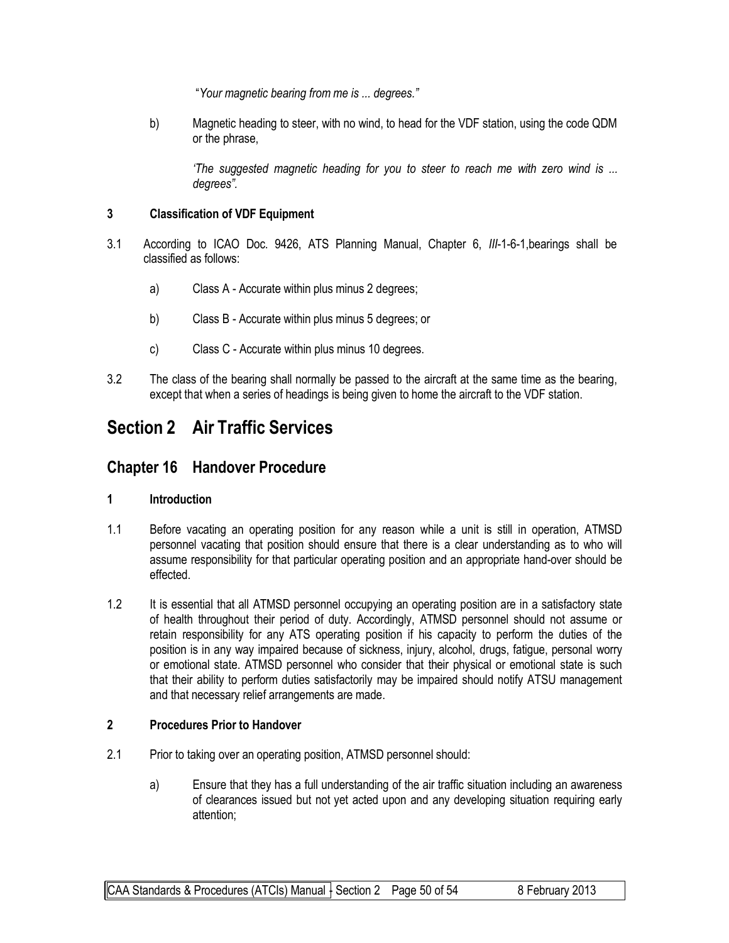"*Your magnetic bearing from me is ... degrees."*

b) Magnetic heading to steer, with no wind, to head for the VDF station, using the code QDM or the phrase,

*'The suggested magnetic heading for you to steer to reach me with zero wind is ... degrees".*

#### **3 Classification of VDF Equipment**

- 3.1 According to ICAO Doc. 9426, ATS Planning Manual, Chapter 6, *III*-1-6-1,bearings shall be classified as follows:
	- a) Class A Accurate within plus minus 2 degrees;
	- b) Class B Accurate within plus minus 5 degrees; or
	- c) Class C Accurate within plus minus 10 degrees.
- 3.2 The class of the bearing shall normally be passed to the aircraft at the same time as the bearing, except that when a series of headings is being given to home the aircraft to the VDF station.

# **Section 2 Air Traffic Services**

### **Chapter 16 Handover Procedure**

#### **1 Introduction**

- 1.1 Before vacating an operating position for any reason while a unit is still in operation, ATMSD personnel vacating that position should ensure that there is a clear understanding as to who will assume responsibility for that particular operating position and an appropriate hand-over should be effected.
- 1.2 It is essential that all ATMSD personnel occupying an operating position are in a satisfactory state of health throughout their period of duty. Accordingly, ATMSD personnel should not assume or retain responsibility for any ATS operating position if his capacity to perform the duties of the position is in any way impaired because of sickness, injury, alcohol, drugs, fatigue, personal worry or emotional state. ATMSD personnel who consider that their physical or emotional state is such that their ability to perform duties satisfactorily may be impaired should notify ATSU management and that necessary relief arrangements are made.

#### **2 Procedures Prior to Handover**

- 2.1 Prior to taking over an operating position, ATMSD personnel should:
	- a) Ensure that they has a full understanding of the air traffic situation including an awareness of clearances issued but not yet acted upon and any developing situation requiring early attention;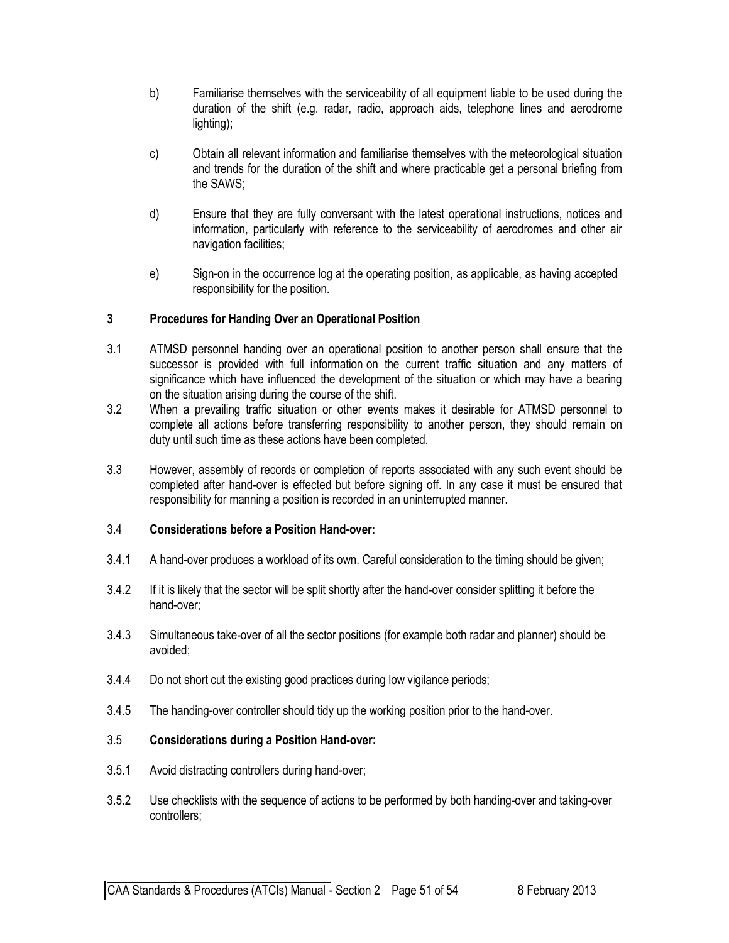- b) Familiarise themselves with the serviceability of all equipment liable to be used during the duration of the shift (e.g. radar, radio, approach aids, telephone lines and aerodrome lighting);
- c) Obtain all relevant information and familiarise themselves with the meteorological situation and trends for the duration of the shift and where practicable get a personal briefing from the SAWS;
- d) Ensure that they are fully conversant with the latest operational instructions, notices and information, particularly with reference to the serviceability of aerodromes and other air navigation facilities;
- e) Sign-on in the occurrence log at the operating position, as applicable, as having accepted responsibility for the position.

#### **3 Procedures for Handing Over an Operational Position**

- 3.1 ATMSD personnel handing over an operational position to another person shall ensure that the successor is provided with full information on the current traffic situation and any matters of significance which have influenced the development of the situation or which may have a bearing on the situation arising during the course of the shift.
- 3.2 When a prevailing traffic situation or other events makes it desirable for ATMSD personnel to complete all actions before transferring responsibility to another person, they should remain on duty until such time as these actions have been completed.
- 3.3 However, assembly of records or completion of reports associated with any such event should be completed after hand-over is effected but before signing off. In any case it must be ensured that responsibility for manning a position is recorded in an uninterrupted manner.

#### 3.4 **Considerations before a Position Hand-over:**

- 3.4.1 A hand-over produces a workload of its own. Careful consideration to the timing should be given;
- 3.4.2 If it is likely that the sector will be split shortly after the hand-over consider splitting it before the hand-over;
- 3.4.3 Simultaneous take-over of all the sector positions (for example both radar and planner) should be avoided;
- 3.4.4 Do not short cut the existing good practices during low vigilance periods;
- 3.4.5 The handing-over controller should tidy up the working position prior to the hand-over.

#### 3.5 **Considerations during a Position Hand-over:**

- 3.5.1 Avoid distracting controllers during hand-over;
- 3.5.2 Use checklists with the sequence of actions to be performed by both handing-over and taking-over controllers;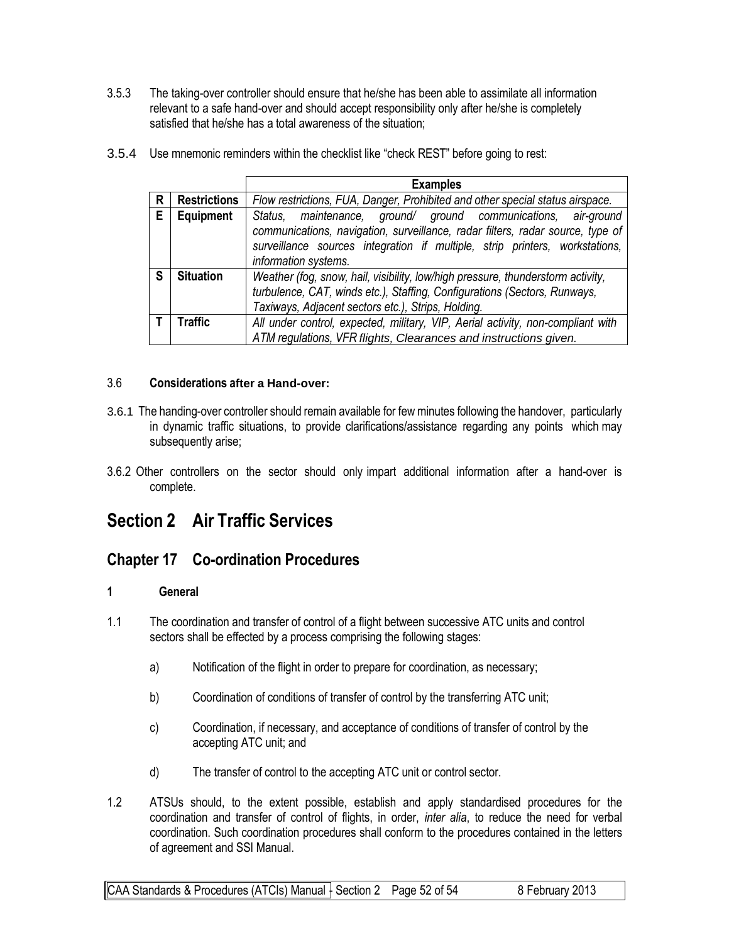3.5.3 The taking-over controller should ensure that he/she has been able to assimilate all information relevant to a safe hand-over and should accept responsibility only after he/she is completely satisfied that he/she has a total awareness of the situation;

|   |                     | <b>Examples</b>                                                                                                                                                                                                                                         |
|---|---------------------|---------------------------------------------------------------------------------------------------------------------------------------------------------------------------------------------------------------------------------------------------------|
| R | <b>Restrictions</b> | Flow restrictions, FUA, Danger, Prohibited and other special status airspace.                                                                                                                                                                           |
| Е | Equipment           | Status, maintenance, ground/ ground communications, air-ground<br>communications, navigation, surveillance, radar filters, radar source, type of<br>surveillance sources integration if multiple, strip printers, workstations,<br>information systems. |
| S | <b>Situation</b>    | Weather (fog, snow, hail, visibility, low/high pressure, thunderstorm activity,<br>turbulence, CAT, winds etc.), Staffing, Configurations (Sectors, Runways,<br>Taxiways, Adjacent sectors etc.), Strips, Holding.                                      |
|   | Traffic             | All under control, expected, military, VIP, Aerial activity, non-compliant with<br>ATM regulations, VFR flights, Clearances and instructions given.                                                                                                     |

3.5.4 Use mnemonic reminders within the checklist like "check REST" before going to rest:

#### 3.6 **Considerations after a Hand-over:**

- 3.6.1 The handing-over controller should remain available for few minutes following the handover, particularly in dynamic traffic situations, to provide clarifications/assistance regarding any points which may subsequently arise;
- 3.6.2 Other controllers on the sector should only impart additional information after a hand-over is complete.

## **Section 2 Air Traffic Services**

## **Chapter 17 Co-ordination Procedures**

#### **1 General**

- 1.1 The coordination and transfer of control of a flight between successive ATC units and control sectors shall be effected by a process comprising the following stages:
	- a) Notification of the flight in order to prepare for coordination, as necessary;
	- b) Coordination of conditions of transfer of control by the transferring ATC unit;
	- c) Coordination, if necessary, and acceptance of conditions of transfer of control by the accepting ATC unit; and
	- d) The transfer of control to the accepting ATC unit or control sector.
- 1.2 ATSUs should, to the extent possible, establish and apply standardised procedures for the coordination and transfer of control of flights, in order, *inter alia*, to reduce the need for verbal coordination. Such coordination procedures shall conform to the procedures contained in the letters of agreement and SSI Manual.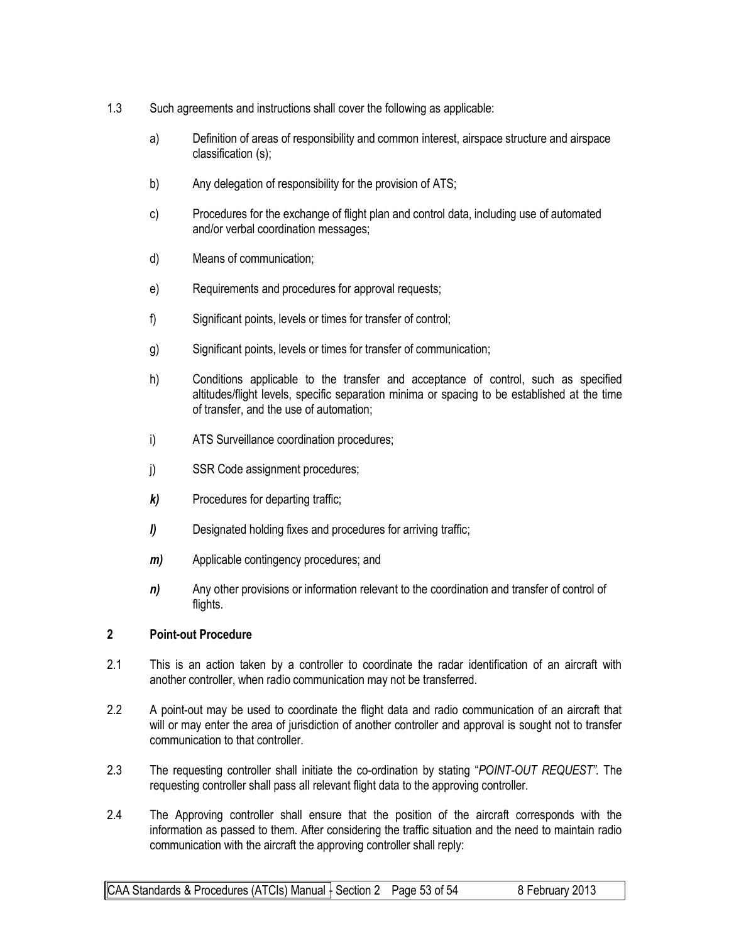- 1.3 Such agreements and instructions shall cover the following as applicable:
	- a) Definition of areas of responsibility and common interest, airspace structure and airspace classification (s);
	- b) Any delegation of responsibility for the provision of ATS;
	- c) Procedures for the exchange of flight plan and control data, including use of automated and/or verbal coordination messages;
	- d) Means of communication;
	- e) Requirements and procedures for approval requests;
	- f) Significant points, levels or times for transfer of control;
	- g) Significant points, levels or times for transfer of communication;
	- h) Conditions applicable to the transfer and acceptance of control, such as specified altitudes/flight levels, specific separation minima or spacing to be established at the time of transfer, and the use of automation;
	- i) ATS Surveillance coordination procedures;
	- j) SSR Code assignment procedures;
	- *k)* Procedures for departing traffic;
	- *l)* Designated holding fixes and procedures for arriving traffic;
	- *m)* Applicable contingency procedures; and
	- *n*) Any other provisions or information relevant to the coordination and transfer of control of flights.

#### **2 Point-out Procedure**

- 2.1 This is an action taken by a controller to coordinate the radar identification of an aircraft with another controller, when radio communication may not be transferred.
- 2.2 A point-out may be used to coordinate the flight data and radio communication of an aircraft that will or may enter the area of jurisdiction of another controller and approval is sought not to transfer communication to that controller.
- 2.3 The requesting controller shall initiate the co-ordination by stating "*POINT-OUT REQUEST".* The requesting controller shall pass all relevant flight data to the approving controller.
- 2.4 The Approving controller shall ensure that the position of the aircraft corresponds with the information as passed to them. After considering the traffic situation and the need to maintain radio communication with the aircraft the approving controller shall reply: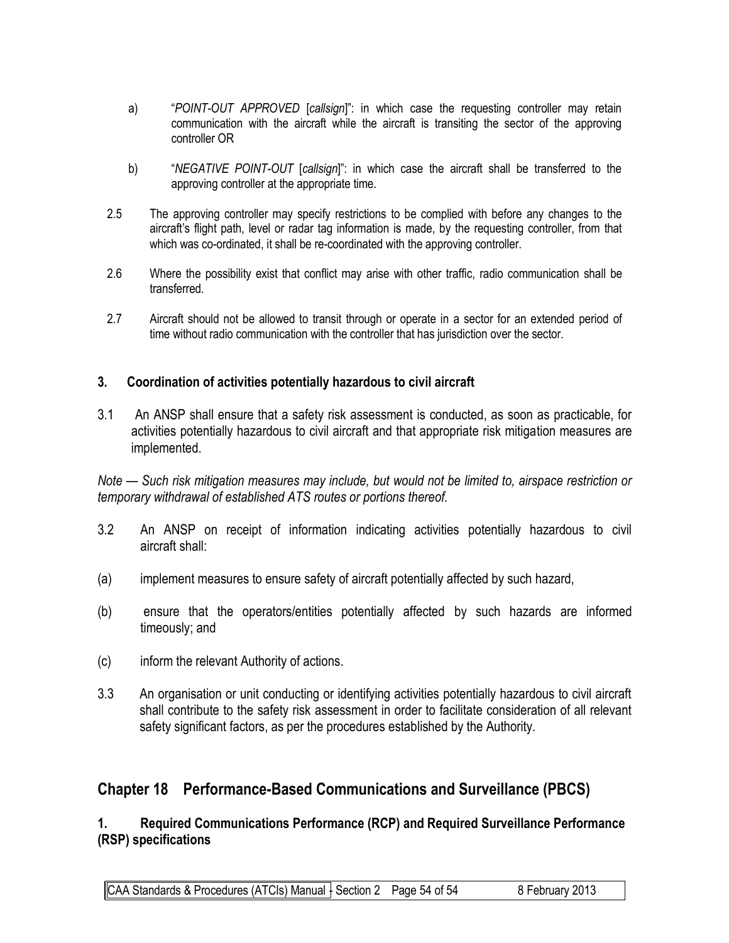- a) "*POINT-OUT APPROVED* [*callsign*]": in which case the requesting controller may retain communication with the aircraft while the aircraft is transiting the sector of the approving controller OR
- b) "*NEGATIVE POINT-OUT* [*callsign*]": in which case the aircraft shall be transferred to the approving controller at the appropriate time.
- 2.5 The approving controller may specify restrictions to be complied with before any changes to the aircraft's flight path, level or radar tag information is made, by the requesting controller, from that which was co-ordinated, it shall be re-coordinated with the approving controller.
- 2.6 Where the possibility exist that conflict may arise with other traffic, radio communication shall be transferred.
- 2.7 Aircraft should not be allowed to transit through or operate in a sector for an extended period of time without radio communication with the controller that has jurisdiction over the sector.

#### **3. Coordination of activities potentially hazardous to civil aircraft**

3.1 An ANSP shall ensure that a safety risk assessment is conducted, as soon as practicable, for activities potentially hazardous to civil aircraft and that appropriate risk mitigation measures are implemented.

*Note — Such risk mitigation measures may include, but would not be limited to, airspace restriction or temporary withdrawal of established ATS routes or portions thereof.*

- 3.2 An ANSP on receipt of information indicating activities potentially hazardous to civil aircraft shall:
- (a) implement measures to ensure safety of aircraft potentially affected by such hazard,
- (b) ensure that the operators/entities potentially affected by such hazards are informed timeously; and
- (c) inform the relevant Authority of actions.
- 3.3 An organisation or unit conducting or identifying activities potentially hazardous to civil aircraft shall contribute to the safety risk assessment in order to facilitate consideration of all relevant safety significant factors, as per the procedures established by the Authority.

## **Chapter 18 Performance-Based Communications and Surveillance (PBCS)**

**1. Required Communications Performance (RCP) and Required Surveillance Performance (RSP) specifications** 

 $|$ CAA Standards & Procedures (ATCIs) Manual  $\frac{1}{2}$  Section 2 Page 54 of 54 8 February 2013